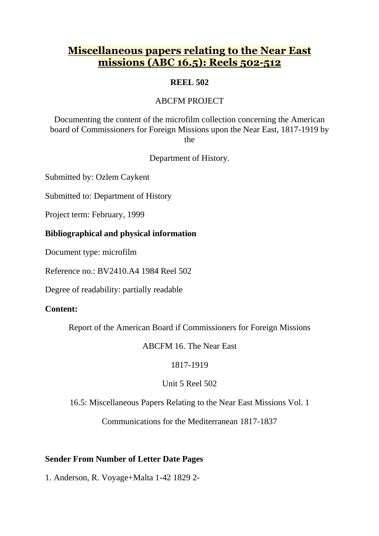# **Miscellaneous papers relating to the Near East missions (ABC 16.5): Reels 502-512**

# **REEL 502**

# ABCFM PROJECT

Documenting the content of the microfilm collection concerning the American board of Commissioners for Foreign Missions upon the Near East, 1817-1919 by the

Department of History.

Submitted by: Ozlem Caykent

Submitted to: Department of History

Project term: February, 1999

## **Bibliographical and physical information**

Document type: microfilm

Reference no.: BV2410.A4 1984 Reel 502

Degree of readability: partially readable

# **Content:**

Report of the American Board if Commissioners for Foreign Missions

## ABCFM 16. The Near East

# 1817-1919

# Unit 5 Reel 502

16.5: Miscellaneous Papers Relating to the Near East Missions Vol. 1

Communications for the Mediterranean 1817-1837

# **Sender From Number of Letter Date Pages**

1. Anderson, R. Voyage+Malta 1-42 1829 2-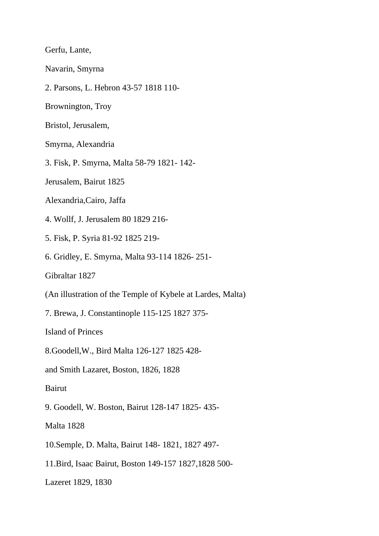Gerfu, Lante,

Navarin, Smyrna

2. Parsons, L. Hebron 43-57 1818 110-

Brownington, Troy

Bristol, Jerusalem,

Smyrna, Alexandria

3. Fisk, P. Smyrna, Malta 58-79 1821- 142-

Jerusalem, Bairut 1825

Alexandria,Cairo, Jaffa

4. Wollf, J. Jerusalem 80 1829 216-

5. Fisk, P. Syria 81-92 1825 219-

6. Gridley, E. Smyrna, Malta 93-114 1826- 251-

Gibraltar 1827

(An illustration of the Temple of Kybele at Lardes, Malta)

7. Brewa, J. Constantinople 115-125 1827 375-

Island of Princes

8.Goodell,W., Bird Malta 126-127 1825 428-

and Smith Lazaret, Boston, 1826, 1828

Bairut

9. Goodell, W. Boston, Bairut 128-147 1825- 435-

Malta 1828

10.Semple, D. Malta, Bairut 148- 1821, 1827 497-

11.Bird, Isaac Bairut, Boston 149-157 1827,1828 500-

Lazeret 1829, 1830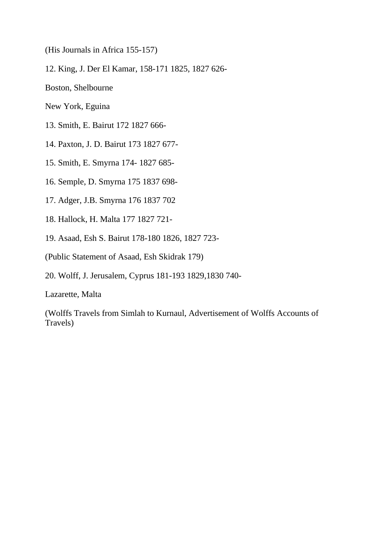(His Journals in Africa 155-157)

12. King, J. Der El Kamar, 158-171 1825, 1827 626-

Boston, Shelbourne

New York, Eguina

13. Smith, E. Bairut 172 1827 666-

14. Paxton, J. D. Bairut 173 1827 677-

15. Smith, E. Smyrna 174- 1827 685-

16. Semple, D. Smyrna 175 1837 698-

17. Adger, J.B. Smyrna 176 1837 702

18. Hallock, H. Malta 177 1827 721-

19. Asaad, Esh S. Bairut 178-180 1826, 1827 723-

(Public Statement of Asaad, Esh Skidrak 179)

20. Wolff, J. Jerusalem, Cyprus 181-193 1829,1830 740-

Lazarette, Malta

(Wolffs Travels from Simlah to Kurnaul, Advertisement of Wolffs Accounts of Travels)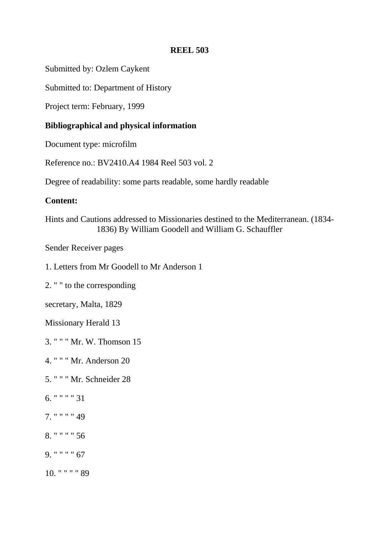## **REEL 503**

Submitted by: Ozlem Caykent

Submitted to: Department of History

Project term: February, 1999

# **Bibliographical and physical information**

Document type: microfilm

Reference no.: BV2410.A4 1984 Reel 503 vol. 2

Degree of readability: some parts readable, some hardly readable

# **Content:**

Hints and Cautions addressed to Missionaries destined to the Mediterranean. (1834- 1836) By William Goodell and William G. Schauffler

Sender Receiver pages

1. Letters from Mr Goodell to Mr Anderson 1

2. " " to the corresponding

secretary, Malta, 1829

Missionary Herald 13

3. " " " Mr. W. Thomson 15

4. " " " Mr. Anderson 20

5. " " " Mr. Schneider 28

- 6. " " " " 31
- 7. " " " " 49
- 8. " " " " 56
- 9. " " " " 67
- 10. " " " " 89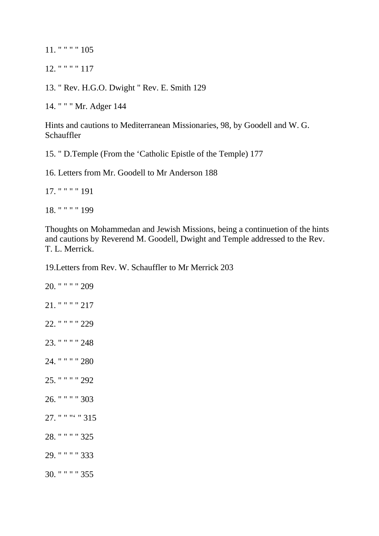11. " " " " 105

12. " " " " 117

13. " Rev. H.G.O. Dwight " Rev. E. Smith 129

14. " " " Mr. Adger 144

Hints and cautions to Mediterranean Missionaries, 98, by Goodell and W. G. Schauffler

15. " D.Temple (From the 'Catholic Epistle of the Temple) 177

16. Letters from Mr. Goodell to Mr Anderson 188

17. " " " " 191 18. " " " " 199

Thoughts on Mohammedan and Jewish Missions, being a continuetion of the hints and cautions by Reverend M. Goodell, Dwight and Temple addressed to the Rev. T. L. Merrick.

19.Letters from Rev. W. Schauffler to Mr Merrick 203

20. " " " " 209 21. " " " " 217 22. " " " " 229 23. " " " " 248 24. " " " " 280 25. " " " " 292 26. " " " " 303 27. " " "' " 315 28. " " " " 325 29. " " " " 333 30. " " " " 355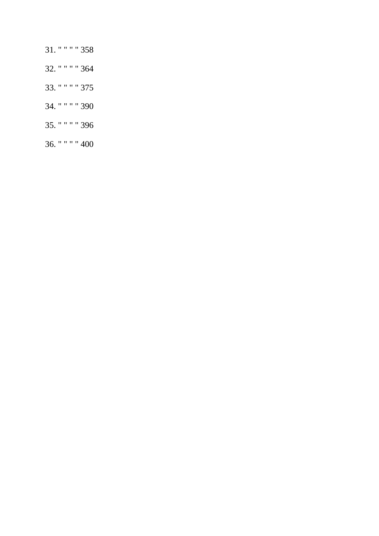- 31. " " " " 358
- 32. " " " " 364
- 33. " " " " 375
- 34. " " " " 390
- 35. " " " " 396
- 36. " " " " 400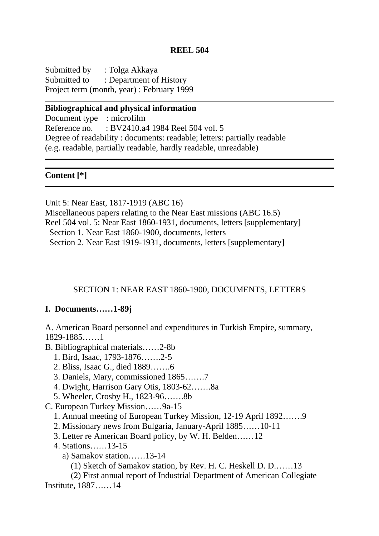## **REEL 504**

Submitted by : Tolga Akkaya Submitted to : Department of History Project term (month, year) : February 1999

### **Bibliographical and physical information**

Document type : microfilm Reference no. : BV2410.a4 1984 Reel 504 vol. 5 Degree of readability : documents: readable; letters: partially readable (e.g. readable, partially readable, hardly readable, unreadable)

**Content [\*]**

Unit 5: Near East, 1817-1919 (ABC 16) Miscellaneous papers relating to the Near East missions (ABC 16.5) Reel 504 vol. 5: Near East 1860-1931, documents, letters [supplementary] Section 1. Near East 1860-1900, documents, letters Section 2. Near East 1919-1931, documents, letters [supplementary]

### SECTION 1: NEAR EAST 1860-1900, DOCUMENTS, LETTERS

## **I. Documents……1-89j**

A. American Board personnel and expenditures in Turkish Empire, summary, 1829-1885……1

- B. Bibliographical materials……2-8b
	- 1. Bird, Isaac, 1793-1876…….2-5
	- 2. Bliss, Isaac G., died 1889…….6
	- 3. Daniels, Mary, commissioned 1865…….7
	- 4. Dwight, Harrison Gary Otis, 1803-62…….8a
	- 5. Wheeler, Crosby H., 1823-96…….8b
- C. European Turkey Mission……9a-15
	- 1. Annual meeting of European Turkey Mission, 12-19 April 1892…….9
	- 2. Missionary news from Bulgaria, January-April 1885……10-11
	- 3. Letter re American Board policy, by W. H. Belden……12
	- 4. Stations……13-15
		- a) Samakov station……13-14
			- (1) Sketch of Samakov station, by Rev. H. C. Heskell D. D.……13

 (2) First annual report of Industrial Department of American Collegiate Institute, 1887……14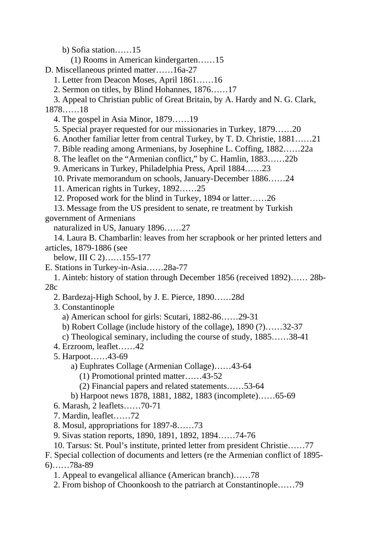b) Sofia station……15

(1) Rooms in American kindergarten……15

D. Miscellaneous printed matter……16a-27

1. Letter from Deacon Moses, April 1861……16

2. Sermon on titles, by Blind Hohannes, 1876……17

 3. Appeal to Christian public of Great Britain, by A. Hardy and N. G. Clark, 1878……18

4. The gospel in Asia Minor, 1879……19

5. Special prayer requested for our missionaries in Turkey, 1879……20

6. Another familiar letter from central Turkey, by T. D. Christie, 1881……21

7. Bible reading among Armenians, by Josephine L. Coffing, 1882……22a

8. The leaflet on the "Armenian conflict," by C. Hamlin, 1883……22b

9. Americans in Turkey, Philadelphia Press, April 1884……23

10. Private memorandum on schools, January-December 1886……24

11. American rights in Turkey, 1892……25

12. Proposed work for the blind in Turkey, 1894 or latter……26

 13. Message from the US president to senate, re treatment by Turkish government of Armenians

naturalized in US, January 1896……27

 14. Laura B. Chambarlin: leaves from her scrapbook or her printed letters and articles, 1879-1886 (see

below, III C 2)……155-177

E. Stations in Turkey-in-Asia……28a-77

 1. Ainteb: history of station through December 1856 (received 1892)…… 28b-28c

2. Bardezaj-High School, by J. E. Pierce, 1890……28d

3. Constantinople

a) American school for girls: Scutari, 1882-86……29-31

b) Robert Collage (include history of the collage), 1890 (?)……32-37

c) Theological seminary, including the course of study, 1885……38-41

4. Erzroom, leaflet……42

5. Harpoot……43-69

a) Euphrates Collage (Armenian Collage)……43-64

(1) Promotional printed matter……43-52

(2) Financial papers and related statements……53-64

b) Harpoot news 1878, 1881, 1882, 1883 (incomplete)……65-69

6. Marash, 2 leaflets……70-71

7. Mardin, leaflet……72

8. Mosul, appropriations for 1897-8……73

9. Sivas station reports, 1890, 1891, 1892, 1894……74-76

10. Tarsus: St. Poul's institute, printed letter from president Christie……77

F. Special collection of documents and letters (re the Armenian conflict of 1895- 6)……78a-89

1. Appeal to evangelical alliance (American branch)……78

2. From bishop of Choonkoosh to the patriarch at Constantinople……79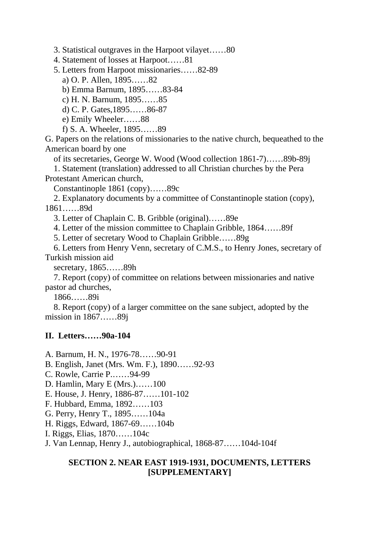3. Statistical outgraves in the Harpoot vilayet……80

4. Statement of losses at Harpoot……81

5. Letters from Harpoot missionaries……82-89

a) O. P. Allen, 1895……82

b) Emma Barnum, 1895……83-84

c) H. N. Barnum, 1895……85

d) C. P. Gates,1895……86-87

e) Emily Wheeler……88

f) S. A. Wheeler, 1895……89

G. Papers on the relations of missionaries to the native church, bequeathed to the American board by one

of its secretaries, George W. Wood (Wood collection 1861-7)……89b-89j

 1. Statement (translation) addressed to all Christian churches by the Pera Protestant American church,

Constantinople 1861 (copy)……89c

 2. Explanatory documents by a committee of Constantinople station (copy), 1861……89d

3. Letter of Chaplain C. B. Gribble (original)……89e

4. Letter of the mission committee to Chaplain Gribble, 1864……89f

5. Letter of secretary Wood to Chaplain Gribble……89g

 6. Letters from Henry Venn, secretary of C.M.S., to Henry Jones, secretary of Turkish mission aid

secretary, 1865……89h

 7. Report (copy) of committee on relations between missionaries and native pastor ad churches,

1866……89i

 8. Report (copy) of a larger committee on the sane subject, adopted by the mission in 1867……89j

## **II. Letters……90a-104**

A. Barnum, H. N., 1976-78……90-91

B. English, Janet (Mrs. Wm. F.), 1890……92-93

C. Rowle, Carrie P.……94-99

D. Hamlin, Mary E (Mrs.)……100

E. House, J. Henry, 1886-87……101-102

F. Hubbard, Emma, 1892……103

G. Perry, Henry T., 1895……104a

H. Riggs, Edward, 1867-69……104b

I. Riggs, Elias, 1870……104c

J. Van Lennap, Henry J., autobiographical, 1868-87……104d-104f

## **SECTION 2. NEAR EAST 1919-1931, DOCUMENTS, LETTERS [SUPPLEMENTARY]**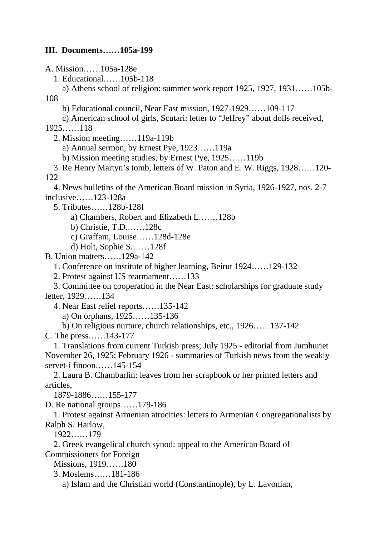## **III. Documents……105a-199**

A. Mission……105a-128e

1. Educational……105b-118

 a) Athens school of religion: summer work report 1925, 1927, 1931……105b-108

b) Educational council, Near East mission, 1927-1929……109-117

 c) American school of girls, Scutari: letter to "Jeffrey" about dolls received, 1925……118

2. Mission meeting……119a-119b

a) Annual sermon, by Ernest Pye, 1923……119a

b) Mission meeting studies, by Ernest Pye, 1925……119b

 3. Re Henry Martyn's tomb, letters of W. Paton and E. W. Riggs, 1928……120- 122

 4. News bulletins of the American Board mission in Syria, 1926-1927, nos. 2-7 inclusive……123-128a

5. Tributes……128b-128f

a) Chambers, Robert and Elizabeth L.……128b

b) Christie, T.D.……128c

c) Graffam, Louise……128d-128e

d) Holt, Sophie S.……128f

B. Union matters……129a-142

1. Conference on institute of higher learning, Beirut 1924……129-132

2. Protest against US rearmament……133

 3. Committee on cooperation in the Near East: scholarships for graduate study letter, 1929……134

4. Near East relief reports……135-142

a) On orphans, 1925……135-136

b) On religious nurture, church relationships, etc., 1926……137-142

C. The press……143-177

 1. Translations from current Turkish press; July 1925 - editorial from Jumhuriet November 26, 1925; February 1926 - summaries of Turkish news from the weakly servet-i finoon……145-154

 2. Laura B. Chambarlin: leaves from her scrapbook or her printed letters and articles,

1879-1886……155-177

D. Re national groups……179-186

 1. Protest against Armenian atrocities: letters to Armenian Congregationalists by Ralph S. Harlow,

1922……179

2. Greek evangelical church synod: appeal to the American Board of

Commissioners for Foreign

 Missions, 1919……180 3. Moslems……181-186

a) Islam and the Christian world (Constantinople), by L. Lavonian,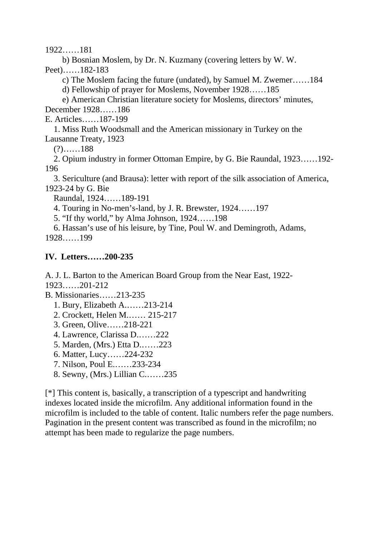1922……181

 b) Bosnian Moslem, by Dr. N. Kuzmany (covering letters by W. W. Peet)……182-183

c) The Moslem facing the future (undated), by Samuel M. Zwemer……184

d) Fellowship of prayer for Moslems, November 1928……185

 e) American Christian literature society for Moslems, directors' minutes, December 1928……186

E. Articles……187-199

 1. Miss Ruth Woodsmall and the American missionary in Turkey on the Lausanne Treaty, 1923

 $(?) \dots . . 188$ 

 2. Opium industry in former Ottoman Empire, by G. Bie Raundal, 1923……192- 196

 3. Sericulture (and Brausa): letter with report of the silk association of America, 1923-24 by G. Bie

Raundal, 1924……189-191

4. Touring in No-men's-land, by J. R. Brewster, 1924……197

5. "If thy world," by Alma Johnson, 1924……198

 6. Hassan's use of his leisure, by Tine, Poul W. and Demingroth, Adams, 1928……199

## **IV. Letters……200-235**

A. J. L. Barton to the American Board Group from the Near East, 1922-

1923……201-212

B. Missionaries……213-235

- 1. Bury, Elizabeth A.……213-214
- 2. Crockett, Helen M.…… 215-217
- 3. Green, Olive……218-221
- 4. Lawrence, Clarissa D.……222
- 5. Marden, (Mrs.) Etta D.……223
- 6. Matter, Lucy……224-232
- 7. Nilson, Poul E.……233-234
- 8. Sewny, (Mrs.) Lillian C.……235

[\*] This content is, basically, a transcription of a typescript and handwriting indexes located inside the microfilm. Any additional information found in the microfilm is included to the table of content. Italic numbers refer the page numbers. Pagination in the present content was transcribed as found in the microfilm; no attempt has been made to regularize the page numbers.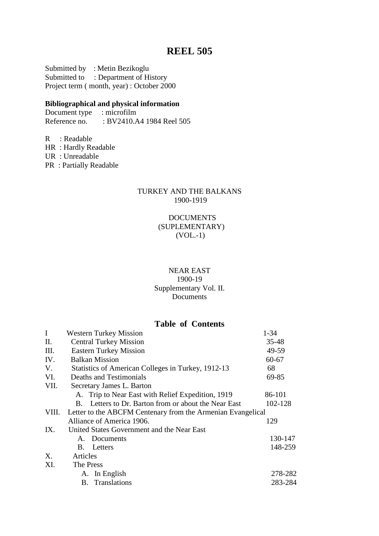# **REEL 505**

Submitted by : Metin Bezikoglu Submitted to : Department of History Project term ( month, year) : October 2000

### **Bibliographical and physical information**

Document type : microfilm<br>Reference no. : BV2410.A : BV2410.A4 1984 Reel 505

R : Readable HR : Hardly Readable UR : Unreadable PR : Partially Readable

### TURKEY AND THE BALKANS 1900-1919

### DOCUMENTS (SUPLEMENTARY) (VOL.-1)

### NEAR EAST 1900-19

#### Supplementary Vol. II. Documents

## **Table of Contents**

| $\mathbf I$ | <b>Western Turkey Mission</b>                               | $1 - 34$  |  |
|-------------|-------------------------------------------------------------|-----------|--|
| П.          | <b>Central Turkey Mission</b>                               | 35-48     |  |
| Ш.          | <b>Eastern Turkey Mission</b>                               | 49-59     |  |
| IV.         | <b>Balkan Mission</b>                                       | $60 - 67$ |  |
| V.          | Statistics of American Colleges in Turkey, 1912-13          | 68        |  |
| VI.         | Deaths and Testimonials                                     | 69-85     |  |
| VII.        | Secretary James L. Barton                                   |           |  |
|             | A. Trip to Near East with Relief Expedition, 1919           | 86-101    |  |
|             | Letters to Dr. Barton from or about the Near East<br>В.     | 102-128   |  |
| VIII.       | Letter to the ABCFM Centenary from the Armenian Evangelical |           |  |
|             | Alliance of America 1906.                                   | 129       |  |
| IX.         | United States Government and the Near East                  |           |  |
|             | A. Documents                                                | 130-147   |  |
|             | <b>B.</b> Letters                                           | 148-259   |  |
| X.          | Articles                                                    |           |  |
| XI.         | The Press                                                   |           |  |
|             | A. In English                                               | 278-282   |  |
|             | <b>B.</b> Translations                                      | 283-284   |  |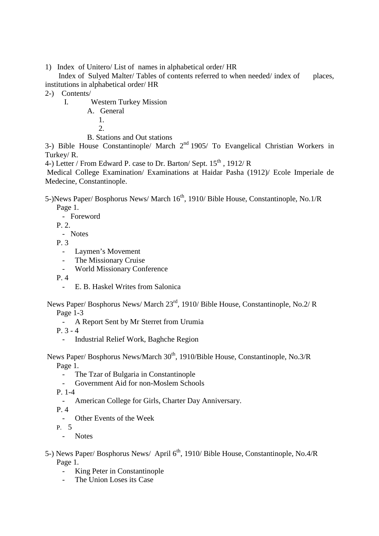1) Index of Unitero/ List of names in alphabetical order/ HR

Index of Sulved Malter/ Tables of contents referred to when needed/ index of places, institutions in alphabetical order/ HR

- 2-) Contents/
	- I. Western Turkey Mission
		- A. General
			- 1.
			- $2<sup>1</sup>$
		- B. Stations and Out stations

3-) Bible House Constantinople/ March  $2<sup>nd</sup>$  1905/ To Evangelical Christian Workers in Turkey/ R.

4-) Letter / From Edward P. case to Dr. Barton/ Sept.  $15^{th}$ , 1912/ R

 Medical College Examination/ Examinations at Haidar Pasha (1912)/ Ecole Imperiale de Medecine, Constantinople.

5-)News Paper/ Bosphorus News/ March 16<sup>th</sup>, 1910/ Bible House, Constantinople, No.1/R Page 1.

- Foreword

P. 2.

- Notes

P. 3

- Laymen's Movement
- The Missionary Cruise
- World Missionary Conference

P. 4

- E. B. Haskel Writes from Salonica
- News Paper/ Bosphorus News/ March 23rd, 1910/ Bible House, Constantinople, No.2/ R Page 1-3
	- A Report Sent by Mr Sterret from Urumia

P. 3 - 4

- Industrial Relief Work, Baghche Region

News Paper/ Bosphorus News/March  $30<sup>th</sup>$ , 1910/Bible House, Constantinople, No.3/R Page 1.

- The Tzar of Bulgaria in Constantinople
- Government Aid for non-Moslem Schools

P. 1-4

- American College for Girls, Charter Day Anniversary.
- P. 4
	- Other Events of the Week

P. 5

- Notes
- 5-) News Paper/ Bosphorus News/ April 6<sup>th</sup>, 1910/ Bible House, Constantinople, No.4/R Page 1.
	- King Peter in Constantinople
	- The Union Loses its Case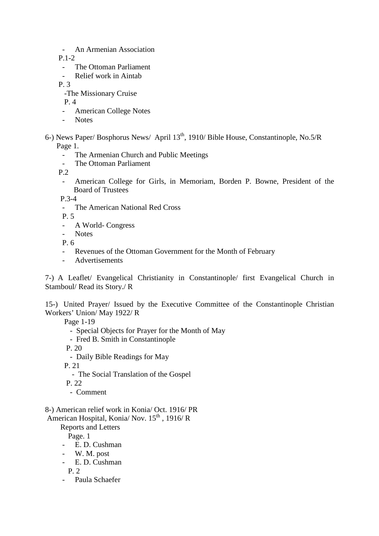- An Armenian Association

P.1-2

- The Ottoman Parliament<br>- Relief work in Aintab
- Relief work in Aintab

P. 3

-The Missionary Cruise

P. 4

- American College Notes
- Note<sub>s</sub>
- 6-) News Paper/ Bosphorus News/ April 13th, 1910/ Bible House, Constantinople, No.5/R Page 1.
	- The Armenian Church and Public Meetings
	- The Ottoman Parliament

P.2

- American College for Girls, in Memoriam, Borden P. Bowne, President of the Board of Trustees

P.3-4

- The American National Red Cross

P. 5

- A World- Congress
- Notes

P. 6

- Revenues of the Ottoman Government for the Month of February
- Advertisements

7-) A Leaflet/ Evangelical Christianity in Constantinople/ first Evangelical Church in Stamboul/ Read its Story./ R

15-) United Prayer/ Issued by the Executive Committee of the Constantinople Christian Workers' Union/ May 1922/ R

Page 1-19

- Special Objects for Prayer for the Month of May
- Fred B. Smith in Constantinople
- P. 20
	- Daily Bible Readings for May
- P. 21
	- The Social Translation of the Gospel
- P. 22
	- Comment

8-) American relief work in Konia/ Oct. 1916/ PR

American Hospital, Konia/ Nov. 15<sup>th</sup>, 1916/R

Reports and Letters

Page. 1

- E. D. Cushman
- W. M. post
- E. D. Cushman

P. 2

- Paula Schaefer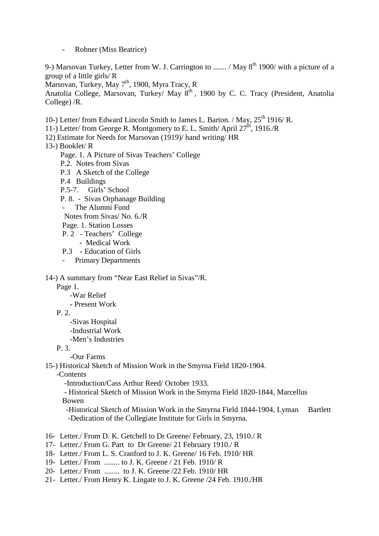Rohner (Miss Beatrice)

9-) Marsovan Turkey, Letter from W. J. Carrington to ....... / May  $8<sup>th</sup>$  1900/ with a picture of a group of a little girls/ R

Marsovan, Turkey, May 7<sup>th</sup>, 1900, Myra Tracy, R

Anatolia College, Marsovan, Turkey/ May 8<sup>th</sup>, 1900 by C. C. Tracy (President, Anatolia College) /R.

10-) Letter/ from Edward Lincoln Smith to James L. Barton. / May, 25<sup>th</sup> 1916/ R.

11-) Letter/ from George R. Montgomery to E. L. Smith/ April  $27<sup>th</sup>$ , 1916./R

- 12) Estimate for Needs for Marsovan (1919)/ hand writing/ HR
- 13-) Booklet/ R
	- Page. 1. A Picture of Sivas Teachers' College
	- P.2. Notes from Sivas
	- P.3 A Sketch of the College
	- P.4 Buildings
	- P.5-7. Girls' School
	- P. 8. Sivas Orphanage Building
	- The Alumni Fund

Notes from Sivas/ No. 6./R

- Page. 1. Station Losses
- P. 2 Teachers' College
	- Medical Work
- P.3 Education of Girls
- Primary Departments

14-) A summary from "Near East Relief in Sivas"/R.

Page 1.

-War Relief

- Present Work

- P. 2.
	- -Sivas Hospital
	- -Industrial Work
	- -Men's Industries
- P. 3.

-Our Farms

15-) Historical Sketch of Mission Work in the Smyrna Field 1820-1904.

-Contents

-Introduction/Cass Arthur Reed/ October 1933.

 - Historical Sketch of Mission Work in the Smyrna Field 1820-1844, Marcellus Bowen

-Historical Sketch of Mission Work in the Smyrna Field 1844-1904, Lyman Bartlett -Dedication of the Collegiate Institute for Girls in Smyrna.

- 16- Letter./ From D. K. Getchell to Dr Greene/ February, 23, 1910./ R
- 17- Letter./ From G. Part to Dr Greene/ 21 February 1910./ R
- 18- Letter./ From L. S. Cranford to J. K. Greene/ 16 Feb. 1910/ HR
- 19- Letter./ From ........ to J. K. Greene / 21 Feb. 1910/ R
- 20- Letter./ From ........ to J. K. Greene /22 Feb. 1910/ HR
- 21- Letter./ From Henry K. Lingate to J. K. Greene /24 Feb. 1910./HR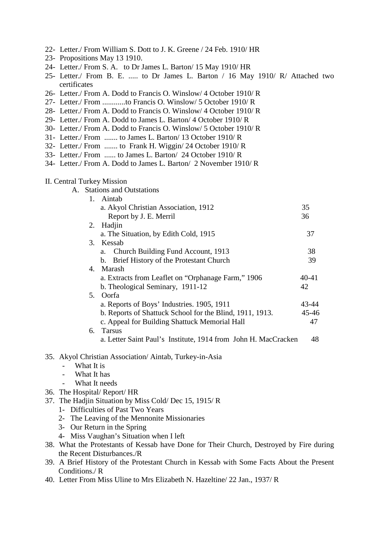| 22- Letter./ From William S. Dott to J. K. Greene / 24 Feb. 1910/ HR<br>23- Propositions May 13 1910.<br>24- Letter./ From S. A. to Dr James L. Barton/ 15 May 1910/ HR<br>25- Letter./ From B. E.  to Dr James L. Barton / 16 May 1910/ R/ Attached two<br>certificates<br>26- Letter./ From A. Dodd to Francis O. Winslow/ 4 October 1910/ R<br>27- Letter./ From to Francis O. Winslow/ 5 October 1910/ R<br>28- Letter./ From A. Dodd to Francis O. Winslow/ 4 October 1910/ R<br>29- Letter./ From A. Dodd to James L. Barton/ 4 October 1910/ R<br>30- Letter./ From A. Dodd to Francis O. Winslow/ 5 October 1910/ R<br>31- Letter./ From  to James L. Barton/ 13 October 1910/ R<br>32- Letter./ From  to Frank H. Wiggin/ 24 October 1910/ R<br>33- Letter./ From  to James L. Barton/ 24 October 1910/R<br>34- Letter./ From A. Dodd to James L. Barton/ 2 November 1910/R |       |
|--------------------------------------------------------------------------------------------------------------------------------------------------------------------------------------------------------------------------------------------------------------------------------------------------------------------------------------------------------------------------------------------------------------------------------------------------------------------------------------------------------------------------------------------------------------------------------------------------------------------------------------------------------------------------------------------------------------------------------------------------------------------------------------------------------------------------------------------------------------------------------------|-------|
| <b>II. Central Turkey Mission</b>                                                                                                                                                                                                                                                                                                                                                                                                                                                                                                                                                                                                                                                                                                                                                                                                                                                    |       |
| A. Stations and Outstations                                                                                                                                                                                                                                                                                                                                                                                                                                                                                                                                                                                                                                                                                                                                                                                                                                                          |       |
| 1. Aintab                                                                                                                                                                                                                                                                                                                                                                                                                                                                                                                                                                                                                                                                                                                                                                                                                                                                            |       |
| a. Akyol Christian Association, 1912                                                                                                                                                                                                                                                                                                                                                                                                                                                                                                                                                                                                                                                                                                                                                                                                                                                 | 35    |
| Report by J. E. Merril<br>Hadjin<br>2.                                                                                                                                                                                                                                                                                                                                                                                                                                                                                                                                                                                                                                                                                                                                                                                                                                               | 36    |
| a. The Situation, by Edith Cold, 1915                                                                                                                                                                                                                                                                                                                                                                                                                                                                                                                                                                                                                                                                                                                                                                                                                                                | 37    |
| Kessab<br>3.                                                                                                                                                                                                                                                                                                                                                                                                                                                                                                                                                                                                                                                                                                                                                                                                                                                                         |       |
| a. Church Building Fund Account, 1913                                                                                                                                                                                                                                                                                                                                                                                                                                                                                                                                                                                                                                                                                                                                                                                                                                                | 38    |
| b. Brief History of the Protestant Church                                                                                                                                                                                                                                                                                                                                                                                                                                                                                                                                                                                                                                                                                                                                                                                                                                            | 39    |
| Marash<br>4.                                                                                                                                                                                                                                                                                                                                                                                                                                                                                                                                                                                                                                                                                                                                                                                                                                                                         |       |
| a. Extracts from Leaflet on "Orphanage Farm," 1906                                                                                                                                                                                                                                                                                                                                                                                                                                                                                                                                                                                                                                                                                                                                                                                                                                   | 40-41 |
| b. Theological Seminary, 1911-12                                                                                                                                                                                                                                                                                                                                                                                                                                                                                                                                                                                                                                                                                                                                                                                                                                                     | 42    |
| Oorfa<br>5.                                                                                                                                                                                                                                                                                                                                                                                                                                                                                                                                                                                                                                                                                                                                                                                                                                                                          |       |
| a. Reports of Boys' Industries. 1905, 1911                                                                                                                                                                                                                                                                                                                                                                                                                                                                                                                                                                                                                                                                                                                                                                                                                                           | 43-44 |
| b. Reports of Shattuck School for the Blind, 1911, 1913.                                                                                                                                                                                                                                                                                                                                                                                                                                                                                                                                                                                                                                                                                                                                                                                                                             | 45-46 |
| c. Appeal for Building Shattuck Memorial Hall                                                                                                                                                                                                                                                                                                                                                                                                                                                                                                                                                                                                                                                                                                                                                                                                                                        | 47    |
| <b>Tarsus</b><br>6.                                                                                                                                                                                                                                                                                                                                                                                                                                                                                                                                                                                                                                                                                                                                                                                                                                                                  |       |
| a. Letter Saint Paul's Institute, 1914 from John H. MacCracken                                                                                                                                                                                                                                                                                                                                                                                                                                                                                                                                                                                                                                                                                                                                                                                                                       | 48    |
|                                                                                                                                                                                                                                                                                                                                                                                                                                                                                                                                                                                                                                                                                                                                                                                                                                                                                      |       |
| 35. Akyol Christian Association/Aintab, Turkey-in-Asia<br>What It is                                                                                                                                                                                                                                                                                                                                                                                                                                                                                                                                                                                                                                                                                                                                                                                                                 |       |
| What It has                                                                                                                                                                                                                                                                                                                                                                                                                                                                                                                                                                                                                                                                                                                                                                                                                                                                          |       |
| What It needs                                                                                                                                                                                                                                                                                                                                                                                                                                                                                                                                                                                                                                                                                                                                                                                                                                                                        |       |
| 36. The Hospital/Report/HR                                                                                                                                                                                                                                                                                                                                                                                                                                                                                                                                                                                                                                                                                                                                                                                                                                                           |       |
| 37. The Hadjin Situation by Miss Cold/Dec 15, 1915/R                                                                                                                                                                                                                                                                                                                                                                                                                                                                                                                                                                                                                                                                                                                                                                                                                                 |       |
| 1- Difficulties of Past Two Years                                                                                                                                                                                                                                                                                                                                                                                                                                                                                                                                                                                                                                                                                                                                                                                                                                                    |       |
| 2- The Leaving of the Mennonite Missionaries                                                                                                                                                                                                                                                                                                                                                                                                                                                                                                                                                                                                                                                                                                                                                                                                                                         |       |
| 3- Our Return in the Spring                                                                                                                                                                                                                                                                                                                                                                                                                                                                                                                                                                                                                                                                                                                                                                                                                                                          |       |
| 4- Miss Vaughan's Situation when I left                                                                                                                                                                                                                                                                                                                                                                                                                                                                                                                                                                                                                                                                                                                                                                                                                                              |       |
| 38. What the Protestants of Kessab have Done for Their Church, Destroyed by Fire during                                                                                                                                                                                                                                                                                                                                                                                                                                                                                                                                                                                                                                                                                                                                                                                              |       |
| the Recent Disturbances./R                                                                                                                                                                                                                                                                                                                                                                                                                                                                                                                                                                                                                                                                                                                                                                                                                                                           |       |
| 39. A Brief History of the Protestant Church in Kessab with Some Facts About the Present                                                                                                                                                                                                                                                                                                                                                                                                                                                                                                                                                                                                                                                                                                                                                                                             |       |
| Conditions./R                                                                                                                                                                                                                                                                                                                                                                                                                                                                                                                                                                                                                                                                                                                                                                                                                                                                        |       |
| 40. Letter From Miss Uline to Mrs Elizabeth N. Hazeltine/ 22 Jan., 1937/ R                                                                                                                                                                                                                                                                                                                                                                                                                                                                                                                                                                                                                                                                                                                                                                                                           |       |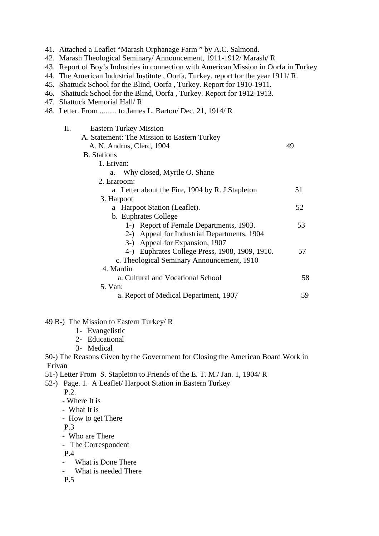| 41. Attached a Leaflet "Marash Orphanage Farm" by A.C. Salmond.<br>42. Marash Theological Seminary/ Announcement, 1911-1912/ Marash/R<br>43. Report of Boy's Industries in connection with American Mission in Oorfa in Turkey<br>44. The American Industrial Institute, Oorfa, Turkey. report for the year 1911/R.<br>45. Shattuck School for the Blind, Oorfa, Turkey. Report for 1910-1911.<br>46. Shattuck School for the Blind, Oorfa, Turkey. Report for 1912-1913.<br>47. Shattuck Memorial Hall/R<br>48. Letter. From  to James L. Barton/Dec. 21, 1914/R |    |
|-------------------------------------------------------------------------------------------------------------------------------------------------------------------------------------------------------------------------------------------------------------------------------------------------------------------------------------------------------------------------------------------------------------------------------------------------------------------------------------------------------------------------------------------------------------------|----|
| П.<br><b>Eastern Turkey Mission</b>                                                                                                                                                                                                                                                                                                                                                                                                                                                                                                                               |    |
| A. Statement: The Mission to Eastern Turkey                                                                                                                                                                                                                                                                                                                                                                                                                                                                                                                       |    |
| A. N. Andrus, Clerc, 1904                                                                                                                                                                                                                                                                                                                                                                                                                                                                                                                                         | 49 |
| <b>B.</b> Stations                                                                                                                                                                                                                                                                                                                                                                                                                                                                                                                                                |    |
| 1. Erivan:                                                                                                                                                                                                                                                                                                                                                                                                                                                                                                                                                        |    |
| Why closed, Myrtle O. Shane<br>a.                                                                                                                                                                                                                                                                                                                                                                                                                                                                                                                                 |    |
| 2. Erzroom:                                                                                                                                                                                                                                                                                                                                                                                                                                                                                                                                                       |    |
| a Letter about the Fire, 1904 by R. J. Stapleton                                                                                                                                                                                                                                                                                                                                                                                                                                                                                                                  | 51 |
| 3. Harpoot                                                                                                                                                                                                                                                                                                                                                                                                                                                                                                                                                        |    |
| a Harpoot Station (Leaflet).                                                                                                                                                                                                                                                                                                                                                                                                                                                                                                                                      | 52 |
| b. Euphrates College                                                                                                                                                                                                                                                                                                                                                                                                                                                                                                                                              |    |
| 1-) Report of Female Departments, 1903.                                                                                                                                                                                                                                                                                                                                                                                                                                                                                                                           | 53 |
| 2-) Appeal for Industrial Departments, 1904                                                                                                                                                                                                                                                                                                                                                                                                                                                                                                                       |    |
| 3-) Appeal for Expansion, 1907                                                                                                                                                                                                                                                                                                                                                                                                                                                                                                                                    |    |
| 4-) Euphrates College Press, 1908, 1909, 1910.                                                                                                                                                                                                                                                                                                                                                                                                                                                                                                                    | 57 |
| c. Theological Seminary Announcement, 1910                                                                                                                                                                                                                                                                                                                                                                                                                                                                                                                        |    |
| 4. Mardin                                                                                                                                                                                                                                                                                                                                                                                                                                                                                                                                                         |    |
| a. Cultural and Vocational School                                                                                                                                                                                                                                                                                                                                                                                                                                                                                                                                 | 58 |
| 5. Van:                                                                                                                                                                                                                                                                                                                                                                                                                                                                                                                                                           |    |
| a. Report of Medical Department, 1907                                                                                                                                                                                                                                                                                                                                                                                                                                                                                                                             | 59 |
| 49 B-) The Mission to Eastern Turkey/R<br>1- Evangelistic<br>2- Educational<br>3- Medical                                                                                                                                                                                                                                                                                                                                                                                                                                                                         |    |
| 50-) The Reasons Given by the Government for Closing the American Board Work in                                                                                                                                                                                                                                                                                                                                                                                                                                                                                   |    |
| Erivan                                                                                                                                                                                                                                                                                                                                                                                                                                                                                                                                                            |    |
| 51-) Letter From S. Stapleton to Friends of the E. T. M./ Jan. 1, 1904/R                                                                                                                                                                                                                                                                                                                                                                                                                                                                                          |    |
| 52-) Page. 1. A Leaflet/ Harpoot Station in Eastern Turkey                                                                                                                                                                                                                                                                                                                                                                                                                                                                                                        |    |

P.2.

- Where It is
- What It is
- How to get There

P.3

- Who are There
- The Correspondent
	- P.4
	- What is Done There<br>- What is needed There
	- What is needed There
	- P.5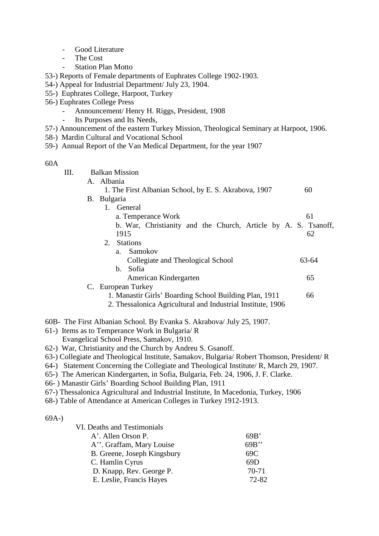- Good Literature
- The Cost
	- Station Plan Motto
- 53-) Reports of Female departments of Euphrates College 1902-1903.
- 54-) Appeal for Industrial Department/ July 23, 1904.
- 55-) Euphrates College, Harpoot, Turkey
- 56-) Euphrates College Press
	- Announcement/ Henry H. Riggs, President, 1908
	- Its Purposes and Its Needs,
- 57-) Announcement of the eastern Turkey Mission, Theological Seminary at Harpoot, 1906.
- 58-) Mardin Cultural and Vocational School
- 59-) Annual Report of the Van Medical Department, for the year 1907

#### 60A

| III. | <b>Balkan Mission</b>                                          |       |
|------|----------------------------------------------------------------|-------|
|      | A. Albania                                                     |       |
|      | 1. The First Albanian School, by E. S. Akrabova, 1907          | 60    |
|      | B. Bulgaria                                                    |       |
|      | 1. General                                                     |       |
|      | a. Temperance Work                                             | 61    |
|      | b. War, Christianity and the Church, Article by A. S. Tsanoff, |       |
|      | 1915                                                           | 62    |
|      | 2.<br><b>Stations</b>                                          |       |
|      | Samokov<br>$a_{-}$                                             |       |
|      | Collegiate and Theological School                              | 63-64 |
|      | Sofia<br>b.                                                    |       |
|      | American Kindergarten                                          | 65    |
|      | C. European Turkey                                             |       |
|      | 1. Manastir Girls' Boarding School Building Plan, 1911         | 66    |
|      | 2. Thessalonica Agricultural and Industrial Institute, 1906    |       |

- 60B- The First Albanian School. By Evanka S. Akrabova/ July 25, 1907.
- 61-) Items as to Temperance Work in Bulgaria/ R Evangelical School Press, Samakov, 1910.
- 62-) War, Christianity and the Church by Andreu S. Gsanoff.
- 63-) Collegiate and Theological Institute, Samakov, Bulgaria/ Robert Thomson, President/ R
- 64-) Statement Concerning the Collegiate and Theological Institute/ R, March 29, 1907.
- 65-) The American Kindergarten, in Sofia, Bulgaria, Feb. 24, 1906, J. F. Clarke.
- 66- ) Manastir Girls' Boarding School Building Plan, 1911
- 67-) Thessalonica Agricultural and Industrial Institute, In Macedonia, Turkey, 1906
- 68-) Table of Attendance at American Colleges in Turkey 1912-1913.

#### 69A-)

VI. Deaths and Testimonials

| A'. Allen Orson P.          | 69B'  |
|-----------------------------|-------|
| A". Graffam, Mary Louise    | 69B   |
| B. Greene, Joseph Kingsbury | 69C   |
| C. Hamlin Cyrus             | 69D   |
| D. Knapp, Rev. George P.    | 70-71 |
| E. Leslie, Francis Hayes    | 72-82 |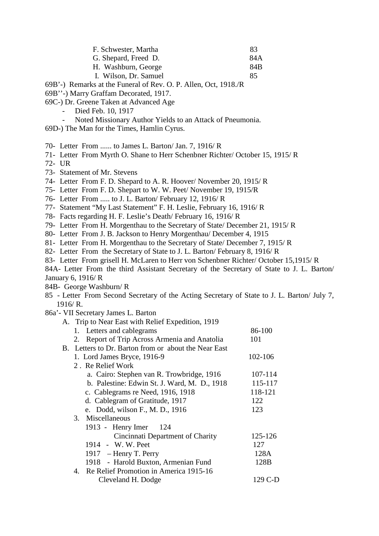| F. Schwester, Martha  | 83  |
|-----------------------|-----|
| G. Shepard, Freed D.  | 84A |
| H. Washburn, George   | 84B |
| I. Wilson, Dr. Samuel | 85  |

- 69B'-) Remarks at the Funeral of Rev. O. P. Allen, Oct, 1918./R
- 69B''-) Marry Graffam Decorated, 1917.
- 69C-) Dr. Greene Taken at Advanced Age
	- Died Feb. 10, 1917
	- Noted Missionary Author Yields to an Attack of Pneumonia.
- 69D-) The Man for the Times, Hamlin Cyrus.
- 70- Letter From ...... to James L. Barton/ Jan. 7, 1916/ R
- 71- Letter From Myrth O. Shane to Herr Schenbner Richter/ October 15, 1915/ R
- 72- UR
- 73- Statement of Mr. Stevens
- 74- Letter From F. D. Shepard to A. R. Hoover/ November 20, 1915/ R
- 75- Letter From F. D. Shepart to W. W. Peet/ November 19, 1915/R
- 76- Letter From ..... to J. L. Barton/ February 12, 1916/ R
- 77- Statement "My Last Statement" F. H. Leslie, February 16, 1916/ R
- 78- Facts regarding H. F. Leslie's Death/ February 16, 1916/ R
- 79- Letter From H. Morgenthau to the Secretary of State/ December 21, 1915/ R
- 80- Letter From J. B. Jackson to Henry Morgenthau/ December 4, 1915
- 81- Letter From H. Morgenthau to the Secretary of State/ December 7, 1915/ R
- 82- Letter From the Secretary of State to J. L. Barton/ February 8, 1916/ R
- 83- Letter From grisell H. McLaren to Herr von Schenbner Richter/ October 15,1915/ R
- 84A- Letter From the third Assistant Secretary of the Secretary of State to J. L. Barton/ January 6, 1916/ R
- 84B- George Washburn/ R
- 85 Letter From Second Secretary of the Acting Secretary of State to J. L. Barton/ July 7, 1916/ R.
- 86a'- VII Secretary James L. Barton

|    | A. Trip to Near East with Relief Expedition, 1919    |         |
|----|------------------------------------------------------|---------|
|    | 1. Letters and cablegrams                            | 86-100  |
| 2. | Report of Trip Across Armenia and Anatolia           | 101     |
|    | B. Letters to Dr. Barton from or about the Near East |         |
|    | 1. Lord James Bryce, 1916-9                          | 102-106 |
|    | 2. Re Relief Work                                    |         |
|    | a. Cairo: Stephen van R. Trowbridge, 1916            | 107-114 |
|    | b. Palestine: Edwin St. J. Ward, M. D., 1918         | 115-117 |
|    | c. Cablegrams re Need, 1916, 1918                    | 118-121 |
|    | d. Cablegram of Gratitude, 1917                      | 122     |
|    | e. Dodd, wilson F., M. D., 1916                      | 123     |
|    | 3. Miscellaneous                                     |         |
|    | 1913 - Henry Imer<br>124                             |         |
|    | Cincinnati Department of Charity                     | 125-126 |
|    | 1914 - W. W. Peet                                    | 127     |
|    | 1917 – Henry T. Perry                                | 128A    |
|    | 1918 - Harold Buxton, Armenian Fund                  | 128B    |
|    | 4. Re Relief Promotion in America 1915-16            |         |
|    | Cleveland H. Dodge                                   | 129 C-D |
|    |                                                      |         |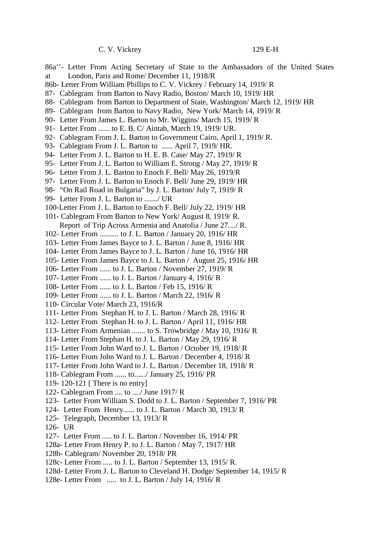C. V. Vickrey 129 E-H

- 86a''- Letter From Acting Secretary of State to the Ambassadors of the United States at London, Paris and Rome/ December 11, 1918/R
- 86b- Letter From William Phillips to C. V. Vickrey / February 14, 1919/ R
- 87- Cablegram from Barton to Navy Radio, Boston/ March 10, 1919/ HR
- 88- Cablegram from Barton to Department of State, Washington/ March 12, 1919/ HR
- 89- Cablegram from Barton to Navy Radio, New York/ March 14, 1919/ R
- 90- Letter From James L. Barton to Mr. Wiggins/ March 15, 1919/ R
- 91- Letter From ...... to E. B. C/ Aintab, March 19, 1919/ UR.
- 92- Cablegram From J. L. Barton to Government Cairo, April 1, 1919/ R.
- 93- Cablegram From J. L. Barton to ...... April 7, 1919/ HR.
- 94- Letter From J. L. Barton to H. E. B. Case/ May 27, 1919/ R
- 95- Letter From J. L. Barton to William E. Strong / May 27, 1919/ R
- 96- Letter From J. L. Barton to Enoch F. Bell/ May 26, 1919/R
- 97- Letter From J. L. Barton to Enoch F. Bell/ June 29, 1919/ HR
- 98- "On Rail Road in Bulgaria" by J. L. Barton/ July 7, 1919/ R
- 99- Letter From J. L. Barton to ......./ UR
- 100-Letter From J. L. Barton to Enoch F. Bell/ July 22, 1919/ HR
- 101- Cablegram From Barton to New York/ August 8, 1919/ R. Report of Trip Across Armenia and Anatolia / June 27..../ R.
- 102- Letter From .......... to J. L. Barton / January 20, 1916/ HR
- 103- Letter From James Bayce to J. L. Barton / June 8, 1916/ HR
- 104- Letter From James Bayce to J. L. Barton / June 16, 1916/ HR
- 105- Letter From James Bayce to J. L. Barton / August 25, 1916/ HR
- 106- Letter From ...... to J. L. Barton / November 27, 1919/ R
- 107- Letter From ...... to J. L. Barton / January 4, 1916/ R
- 108- Letter From ...... to J. L. Barton / Feb 15, 1916/ R
- 109- Letter From ...... to J. L. Barton / March 22, 1916/ R
- 110- Circular Vote/ March 23, 1916/R
- 111- Letter From Stephan H. to J. L. Barton / March 28, 1916/ R
- 112- Letter From Stephan H. to J. L. Barton / April 11, 1916/ HR
- 113- Letter From Armenian ....... to S. Trowbridge / May 10, 1916/ R
- 114- Letter From Stephan H. to J. L. Barton / May 29, 1916/ R
- 115- Letter From John Ward to J. L. Barton / October 19, 1918/ R
- 116- Letter From John Ward to J. L. Barton / December 4, 1918/ R
- 117- Letter From John Ward to J. L. Barton / December 18, 1918/ R
- 118- Cablegram From ...... to....../ January 25, 1916/ PR
- 119- 120-121 [ There is no entry]
- 122- Cablegram From .... to ..../ June 1917/ R
- 123- Letter From William S. Dodd to J. L. Barton / September 7, 1916/ PR
- 124- Letter From Henry...... to J. L. Barton / March 30, 1913/ R
- 125- Telegraph, December 13, 1913/ R
- 126- UR
- 127- Letter From ..... to J. L. Barton / November 16, 1914/ PR
- 128a- Letter From Henry P. to J. L. Barton / May 7, 1917/ HR
- 128b- Cablegram/ November 20, 1918/ PR
- 128c- Letter From ..... to J. L. Barton / September 13, 1915/ R.
- 128d- Letter From J. L. Barton to Cleveland H. Dodge/ September 14, 1915/ R
- 128e- Letter From ..... to J. L. Barton / July 14, 1916/ R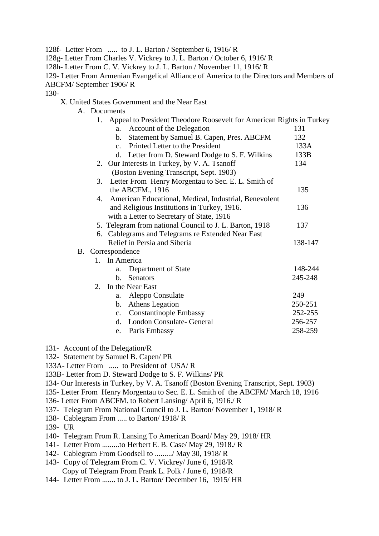128f- Letter From ..... to J. L. Barton / September 6, 1916/ R

128g- Letter From Charles V. Vickrey to J. L. Barton / October 6, 1916/ R

128h- Letter From C. V. Vickrey to J. L. Barton / November 11, 1916/ R

129- Letter From Armenian Evangelical Alliance of America to the Directors and Members of ABCFM/ September 1906/ R

130-

X. United States Government and the Near East

A. Documents

| Appeal to President Theodore Roosevelt for American Rights in Turkey<br>1. |         |
|----------------------------------------------------------------------------|---------|
| Account of the Delegation<br>a.                                            | 131     |
| Statement by Samuel B. Capen, Pres. ABCFM<br>b.                            | 132     |
| Printed Letter to the President<br>$c_{\rm}$                               | 133A    |
| d. Letter from D. Steward Dodge to S. F. Wilkins                           | 133B    |
| 2. Our Interests in Turkey, by V. A. Tsanoff                               | 134     |
| (Boston Evening Transcript, Sept. 1903)                                    |         |
| Letter From Henry Morgentau to Sec. E. L. Smith of<br>3.                   |         |
| the ABCFM., 1916                                                           | 135     |
| American Educational, Medical, Industrial, Benevolent<br>4.                |         |
| and Religious Institutions in Turkey, 1916.                                | 136     |
| with a Letter to Secretary of State, 1916                                  |         |
| 5. Telegram from national Council to J. L. Barton, 1918                    | 137     |
| 6. Cablegrams and Telegrams re Extended Near East                          |         |
| Relief in Persia and Siberia                                               | 138-147 |
| B. Correspondence                                                          |         |
| 1. In America                                                              |         |
| Department of State<br>a.                                                  | 148-244 |
| Senators<br>$\mathbf{b}$ .                                                 | 245-248 |
| $2^{\circ}$<br>In the Near East                                            |         |
| Aleppo Consulate<br>a.                                                     | 249     |
| Athens Legation<br>$\mathbf{b}$ .                                          | 250-251 |
| <b>Constantinople Embassy</b><br>c.                                        | 252-255 |
| London Consulate- General<br>d.                                            | 256-257 |
| Paris Embassy<br>e.                                                        | 258-259 |
|                                                                            |         |

- 131- Account of the Delegation/R
- 132- Statement by Samuel B. Capen/ PR
- 133A- Letter From ..... to President of USA/ R
- 133B- Letter from D. Steward Dodge to S. F. Wilkins/ PR
- 134- Our Interests in Turkey, by V. A. Tsanoff (Boston Evening Transcript, Sept. 1903)
- 135- Letter From Henry Morgentau to Sec. E. L. Smith of the ABCFM/ March 18, 1916
- 136- Letter From ABCFM. to Robert Lansing/ April 6, 1916./ R
- 137- Telegram From National Council to J. L. Barton/ November 1, 1918/ R
- 138- Cablegram From ..... to Barton/ 1918/ R
- 139- UR
- 140- Telegram From R. Lansing To American Board/ May 29, 1918/ HR
- 141- Letter From .........to Herbert E. B. Case/ May 29, 1918./ R
- 142- Cablegram From Goodsell to ........./ May 30, 1918/ R
- 143- Copy of Telegram From C. V. Vickrey/ June 6, 1918/R Copy of Telegram From Frank L. Polk / June 6, 1918/R
- 144- Letter From ....... to J. L. Barton/ December 16, 1915/ HR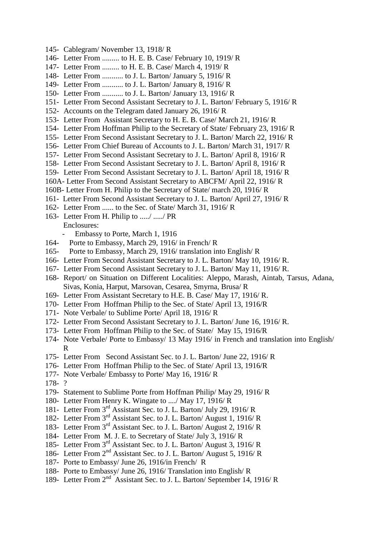- 145- Cablegram/ November 13, 1918/ R
- 146- Letter From ......... to H. E. B. Case/ February 10, 1919/ R
- 147- Letter From ......... to H. E. B. Case/ March 4, 1919/ R
- 148- Letter From ........... to J. L. Barton/ January 5, 1916/ R
- 149- Letter From ........... to J. L. Barton/ January 8, 1916/ R
- 150- Letter From ........... to J. L. Barton/ January 13, 1916/ R
- 151- Letter From Second Assistant Secretary to J. L. Barton/ February 5, 1916/ R
- 152- Accounts on the Telegram dated January 26, 1916/ R
- 153- Letter From Assistant Secretary to H. E. B. Case/ March 21, 1916/ R
- 154- Letter From Hoffman Philip to the Secretary of State/ February 23, 1916/ R
- 155- Letter From Second Assistant Secretary to J. L. Barton/ March 22, 1916/ R
- 156- Letter From Chief Bureau of Accounts to J. L. Barton/ March 31, 1917/ R
- 157- Letter From Second Assistant Secretary to J. L. Barton/ April 8, 1916/ R
- 158- Letter From Second Assistant Secretary to J. L. Barton/ April 8, 1916/ R
- 159- Letter From Second Assistant Secretary to J. L. Barton/ April 18, 1916/ R
- 160A- Letter From Second Assistant Secretary to ABCFM/ April 22, 1916/ R
- 160B- Letter From H. Philip to the Secretary of State/ march 20, 1916/ R
- 161- Letter From Second Assistant Secretary to J. L. Barton/ April 27, 1916/ R
- 162- Letter From ...... to the Sec. of State/ March 31, 1916/ R
- 163- Letter From H. Philip to ...../ ...../ PR Enclosures:
	- Embassy to Porte, March 1, 1916
- 164- Porte to Embassy, March 29, 1916/ in French/ R
- 165- Porte to Embassy, March 29, 1916/ translation into English/ R
- 166- Letter From Second Assistant Secretary to J. L. Barton/ May 10, 1916/ R.
- 167- Letter From Second Assistant Secretary to J. L. Barton/ May 11, 1916/ R.
- 168- Report/ on Situation on Different Localities: Aleppo, Marash, Aintab, Tarsus, Adana, Sivas, Konia, Harput, Marsovan, Cesarea, Smyrna, Brusa/ R
- 169- Letter From Assistant Secretary to H.E. B. Case/ May 17, 1916/ R.
- 170- Letter From Hoffman Philip to the Sec. of State/ April 13, 1916/R
- 171- Note Verbale/ to Sublime Porte/ April 18, 1916/ R
- 172- Letter From Second Assistant Secretary to J. L. Barton/ June 16, 1916/ R.
- 173- Letter From Hoffman Philip to the Sec. of State/ May 15, 1916/R
- 174- Note Verbale/ Porte to Embassy/ 13 May 1916/ in French and translation into English/ R
- 175- Letter From Second Assistant Sec. to J. L. Barton/ June 22, 1916/ R
- 176- Letter From Hoffman Philip to the Sec. of State/ April 13, 1916/R
- 177- Note Verbale/ Embassy to Porte/ May 16, 1916/ R
- 178- ?
- 179- Statement to Sublime Porte from Hoffman Philip/ May 29, 1916/ R
- 180- Letter From Henry K. Wingate to ..../ May 17, 1916/ R
- 181- Letter From 3rd Assistant Sec. to J. L. Barton/ July 29, 1916/ R
- 182- Letter From 3rd Assistant Sec. to J. L. Barton/ August 1, 1916/ R
- 183- Letter From 3rd Assistant Sec. to J. L. Barton/ August 2, 1916/ R
- 184- Letter From M. J. E. to Secretary of State/ July 3, 1916/ R
- 185- Letter From 3rd Assistant Sec. to J. L. Barton/ August 3, 1916/ R
- 186- Letter From 2<sup>nd</sup> Assistant Sec. to J. L. Barton/ August 5, 1916/R
- 187- Porte to Embassy/ June 26, 1916/in French/ R
- 188- Porte to Embassy/ June 26, 1916/ Translation into English/ R
- 189- Letter From 2<sup>nd</sup> Assistant Sec. to J. L. Barton/ September 14, 1916/ R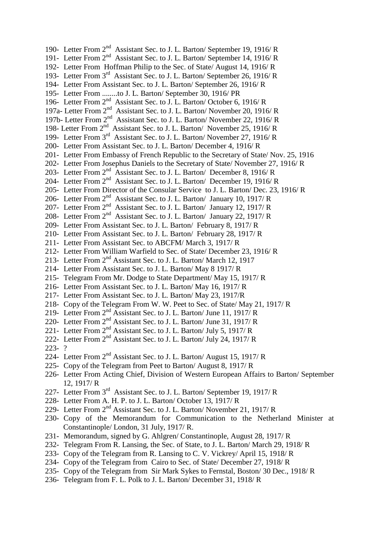190- Letter From 2<sup>nd</sup> Assistant Sec. to J. L. Barton/ September 19, 1916/R 191- Letter From 2<sup>nd</sup> Assistant Sec. to J. L. Barton/ September 14, 1916/R 192- Letter From Hoffman Philip to the Sec. of State/ August 14, 1916/ R 193- Letter From 3rd Assistant Sec. to J. L. Barton/ September 26, 1916/ R 194- Letter From Assistant Sec. to J. L. Barton/ September 26, 1916/ R 195- Letter From ........to J. L. Barton/ September 30, 1916/ PR 196- Letter From 2nd Assistant Sec. to J. L. Barton/ October 6, 1916/ R 197a- Letter From 2<sup>nd</sup> Assistant Sec. to J. L. Barton/November 20, 1916/R 197b- Letter From 2<sup>nd</sup> Assistant Sec. to J. L. Barton/November 22, 1916/R 198- Letter From 2<sup>nd</sup> Assistant Sec. to J. L. Barton/November 25, 1916/R 199- Letter From 3rd Assistant Sec. to J. L. Barton/ November 27, 1916/ R 200- Letter From Assistant Sec. to J. L. Barton/ December 4, 1916/ R 201- Letter From Embassy of French Republic to the Secretary of State/ Nov. 25, 1916 202- Letter From Josephus Daniels to the Secretary of State/ November 27, 1916/ R 203- Letter From 2<sup>nd</sup> Assistant Sec. to J. L. Barton/ December 8, 1916/R 204- Letter From 2<sup>nd</sup> Assistant Sec. to J. L. Barton/ December 19, 1916/R 205- Letter From Director of the Consular Service to J. L. Barton/ Dec. 23, 1916/ R 206- Letter From 2<sup>nd</sup> Assistant Sec. to J. L. Barton/ January 10, 1917/R 207- Letter From 2<sup>nd</sup> Assistant Sec. to J. L. Barton/ January 12, 1917/R 208- Letter From 2<sup>nd</sup> Assistant Sec. to J. L. Barton/ January 22, 1917/ R 209- Letter From Assistant Sec. to J. L. Barton/ February 8, 1917/ R 210- Letter From Assistant Sec. to J. L. Barton/ February 28, 1917/ R 211- Letter From Assistant Sec. to ABCFM/ March 3, 1917/ R 212- Letter From William Warfield to Sec. of State/ December 23, 1916/ R 213- Letter From 2<sup>nd</sup> Assistant Sec. to J. L. Barton/ March 12, 1917 214- Letter From Assistant Sec. to J. L. Barton/ May 8 1917/ R 215- Telegram From Mr. Dodge to State Department/ May 15, 1917/ R 216- Letter From Assistant Sec. to J. L. Barton/ May 16, 1917/ R 217- Letter From Assistant Sec. to J. L. Barton/ May 23, 1917/R 218- Copy of the Telegram From W. W. Peet to Sec. of State/ May 21, 1917/ R 219- Letter From 2nd Assistant Sec. to J. L. Barton/ June 11, 1917/ R 220- Letter From 2<sup>nd</sup> Assistant Sec. to J. L. Barton/ June 31, 1917/ R 221- Letter From 2<sup>nd</sup> Assistant Sec. to J. L. Barton/ July 5, 1917/ R 222- Letter From 2<sup>nd</sup> Assistant Sec. to J. L. Barton/ July 24, 1917/ R 223- ? 224- Letter From 2<sup>nd</sup> Assistant Sec. to J. L. Barton/ August 15, 1917/ R 225- Copy of the Telegram from Peet to Barton/ August 8, 1917/ R 226- Letter From Acting Chief, Division of Western European Affairs to Barton/ September 12, 1917/ R 227- Letter From 3<sup>rd</sup> Assistant Sec. to J. L. Barton/ September 19, 1917/ R 228- Letter From A. H. P. to J. L. Barton/ October 13, 1917/ R 229- Letter From 2<sup>nd</sup> Assistant Sec. to J. L. Barton/November 21, 1917/R 230- Copy of the Memorandum for Communication to the Netherland Minister at Constantinople/ London, 31 July, 1917/ R. 231- Memorandum, signed by G. Ahlgren/ Constantinople, August 28, 1917/ R 232- Telegram From R. Lansing, the Sec. of State, to J. L. Barton/ March 29, 1918/ R 233- Copy of the Telegram from R. Lansing to C. V. Vickrey/ April 15, 1918/ R 234- Copy of the Telegram from Cairo to Sec. of State/ December 27, 1918/ R

- 235- Copy of the Telegram from Sir Mark Sykes to Fernstal, Boston/ 30 Dec., 1918/ R
- 236- Telegram from F. L. Polk to J. L. Barton/ December 31, 1918/ R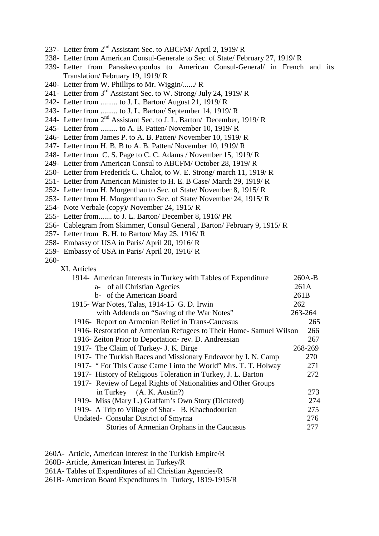- 237- Letter from 2<sup>nd</sup> Assistant Sec. to ABCFM/ April 2, 1919/ R
- 238- Letter from American Consul-Generale to Sec. of State/ February 27, 1919/ R
- 239- Letter from Paraskevopoulos to American Consul-General/ in French and its Translation/ February 19, 1919/ R
- 240- Letter from W. Phillips to Mr. Wiggin/....../ R
- 241- Letter from 3rd Assistant Sec. to W. Strong/ July 24, 1919/ R
- 242- Letter from ......... to J. L. Barton/ August 21, 1919/ R
- 243- Letter from ......... to J. L. Barton/ September 14, 1919/ R
- 244- Letter from 2<sup>nd</sup> Assistant Sec. to J. L. Barton/ December, 1919/R
- 245- Letter from ......... to A. B. Patten/ November 10, 1919/ R
- 246- Letter from James P. to A. B. Patten/ November 10, 1919/ R
- 247- Letter from H. B. B to A. B. Patten/ November 10, 1919/ R
- 248- Letter from C. S. Page to C. C. Adams / November 15, 1919/ R
- 249- Letter from American Consul to ABCFM/ October 28, 1919/ R
- 250- Letter from Frederick C. Chalot, to W. E. Strong/ march 11, 1919/ R
- 251- Letter from American Minister to H. E. B Case/ March 29, 1919/ R
- 252- Letter from H. Morgenthau to Sec. of State/ November 8, 1915/ R
- 253- Letter from H. Morgenthau to Sec. of State/ November 24, 1915/ R
- 254- Note Verbale (copy)/ November 24, 1915/ R
- 255- Letter from....... to J. L. Barton/ December 8, 1916/ PR
- 256- Cablegram from Skimmer, Consul General , Barton/ February 9, 1915/ R
- 257- Letter from B. H. to Barton/ May 25, 1916/ R
- 258- Embassy of USA in Paris/ April 20, 1916/ R
- 259- Embassy of USA in Paris/ April 20, 1916/ R

260-

XI. Articles

| 1914- American Interests in Turkey with Tables of Expenditure       | $260A-B$ |
|---------------------------------------------------------------------|----------|
| a- of all Christian Agecies                                         | 261A     |
| b- of the American Board                                            | 261B     |
| 1915 - War Notes, Talas, 1914-15 G. D. Irwin                        | 262      |
| with Addenda on "Saving of the War Notes"                           | 263-264  |
| 1916- Report on Armenian Relief in Trans-Caucasus                   | 265      |
| 1916- Restoration of Armenian Refugees to Their Home- Samuel Wilson | 266      |
| 1916- Zeiton Prior to Deportation-rev. D. Andreasian                | 267      |
| 1917- The Claim of Turkey- J. K. Birge                              | 268-269  |
| 1917 - The Turkish Races and Missionary Endeavor by I. N. Camp      | 270      |
| 1917- "For This Cause Came I into the World" Mrs. T. T. Holway      | 271      |
| 1917- History of Religious Toleration in Turkey, J. L. Barton       | 272      |
| 1917 - Review of Legal Rights of Nationalities and Other Groups     |          |
| in Turkey (A. K. Austin?)                                           | 273      |
| 1919- Miss (Mary L.) Graffam's Own Story (Dictated)                 | 274      |
| 1919- A Trip to Village of Shar- B. Khachodourian                   | 275      |
| Undated- Consular District of Smyrna                                | 276      |
| Stories of Armenian Orphans in the Caucasus                         | 277      |
|                                                                     |          |

- 260A- Article, American Interest in the Turkish Empire/R
- 260B- Article, American Interest in Turkey/R
- 261A- Tables of Expenditures of all Christian Agencies/R
- 261B- American Board Expenditures in Turkey, 1819-1915/R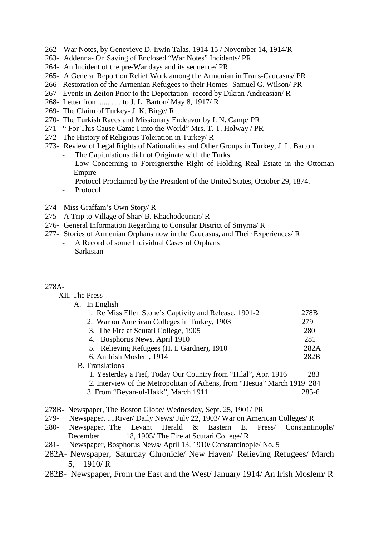- 262- War Notes, by Genevieve D. Irwin Talas, 1914-15 / November 14, 1914/R
- 263- Addenna- On Saving of Enclosed "War Notes" Incidents/ PR
- 264- An Incident of the pre-War days and its sequence/ PR
- 265- A General Report on Relief Work among the Armenian in Trans-Caucasus/ PR
- 266- Restoration of the Armenian Refugees to their Homes- Samuel G. Wilson/ PR
- 267- Events in Zeiton Prior to the Deportation- record by Dikran Andreasian/ R
- 268- Letter from ........... to J. L. Barton/ May 8, 1917/ R
- 269- The Claim of Turkey- J. K. Birge/ R
- 270- The Turkish Races and Missionary Endeavor by I. N. Camp/ PR
- 271- " For This Cause Came I into the World" Mrs. T. T. Holway / PR
- 272- The History of Religious Toleration in Turkey/ R
- 273- Review of Legal Rights of Nationalities and Other Groups in Turkey, J. L. Barton
	- The Capitulations did not Originate with the Turks
	- Low Concerning to Foreignersthe Right of Holding Real Estate in the Ottoman Empire
	- Protocol Proclaimed by the President of the United States, October 29, 1874.
	- Protocol
- 274- Miss Graffam's Own Story/ R
- 275- A Trip to Village of Shar/ B. Khachodourian/ R
- 276- General Information Regarding to Consular District of Smyrna/ R
- 277- Stories of Armenian Orphans now in the Caucasus, and Their Experiences/ R
	- A Record of some Individual Cases of Orphans
	- Sarkisian

#### 278A-

XII. The Press

| A. In English                                                            |       |
|--------------------------------------------------------------------------|-------|
| 1. Re Miss Ellen Stone's Captivity and Release, 1901-2                   | 278B  |
| 2. War on American Colleges in Turkey, 1903                              | 279   |
| 3. The Fire at Scutari College, 1905                                     | 280   |
| 4. Bosphorus News, April 1910                                            | 281   |
| 5. Relieving Refugees (H. I. Gardner), 1910                              | 282A  |
| 6. An Irish Moslem, 1914                                                 | 282B  |
| <b>B.</b> Translations                                                   |       |
| 1. Yesterday a Fief, Today Our Country from "Hilal", Apr. 1916           | 283   |
| 2. Interview of the Metropolitan of Athens, from "Hestia" March 1919 284 |       |
| 3. From "Beyan-ul-Hakk", March 1911                                      | 285-6 |

- 278B- Newspaper, The Boston Globe/ Wednesday, Sept. 25, 1901/ PR
- 279- Newspaper, ....River/ Daily News/ July 22, 1903/ War on American Colleges/ R
- 280- Newspaper, The Levant Herald & Eastern E. Press/ Constantinople/ December 18, 1905/ The Fire at Scutari College/ R
- 281- Newspaper, Bosphorus News/ April 13, 1910/ Constantinople/ No. 5
- 282A- Newspaper, Saturday Chronicle/ New Haven/ Relieving Refugees/ March 5, 1910/ R
- 282B- Newspaper, From the East and the West/ January 1914/ An Irish Moslem/ R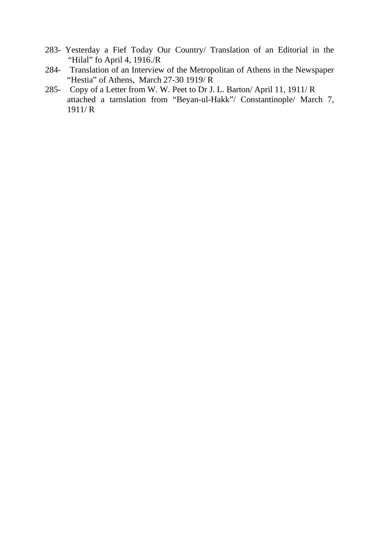- 283- Yesterday a Fief Today Our Country/ Translation of an Editorial in the "Hilal" fo April 4, 1916./R
- 284- Translation of an Interview of the Metropolitan of Athens in the Newspaper "Hestia" of Athens, March 27-30 1919/R
- 285- Copy of a Letter from W. W. Peet to Dr J. L. Barton/ April 11, 1911/ R attached a tarnslation from "Beyan-ul-Hakk"/ Constantinople/ March 7, 1911/ R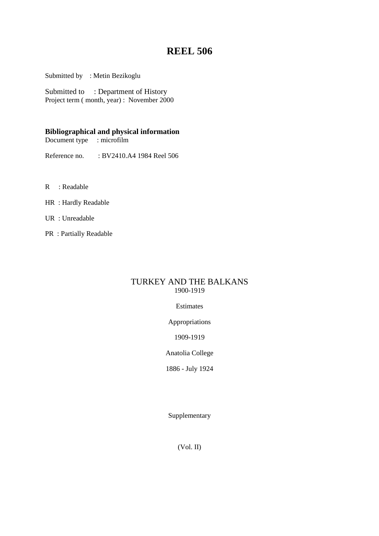# **REEL 506**

Submitted by : Metin Bezikoglu

Submitted to : Department of History Project term ( month, year) : November 2000

### **Bibliographical and physical information**

Document type : microfilm

Reference no. : BV2410.A4 1984 Reel 506

- R : Readable
- HR : Hardly Readable
- UR : Unreadable
- PR : Partially Readable

### TURKEY AND THE BALKANS 1900-1919

### Estimates

Appropriations

1909-1919

Anatolia College

1886 - July 1924

Supplementary

(Vol. II)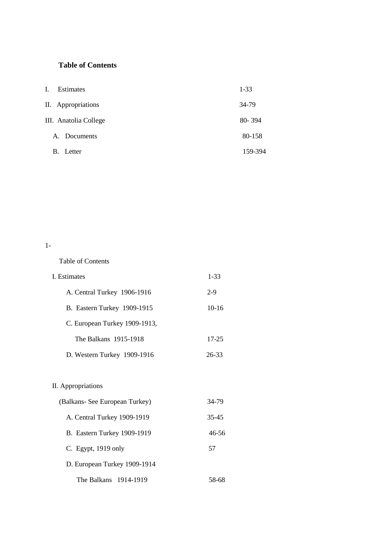## **Table of Contents**

| L.<br><b>Estimates</b>   | $1 - 33$   |
|--------------------------|------------|
| II. Appropriations       | 34-79      |
| III. Anatolia College    | $80 - 394$ |
| A. Documents             | 80-158     |
| $\mathbf{B}$ .<br>Letter | 159-394    |

1-

Table of Contents

| I. Estimates                  |         |
|-------------------------------|---------|
| A. Central Turkey 1906-1916   | $2-9$   |
| B. Eastern Turkey 1909-1915   | $10-16$ |
| C. European Turkey 1909-1913, |         |
| The Balkans 1915-1918         | 17-25   |
| D. Western Turkey 1909-1916   | 26-33   |

## II. Appropriations

| (Balkans- See European Turkey) | 34-79 |
|--------------------------------|-------|
| A. Central Turkey 1909-1919    | 35-45 |
| B. Eastern Turkey 1909-1919    | 46-56 |
| C. Egypt, $1919$ only          | 57    |
| D. European Turkey 1909-1914   |       |
| The Balkans 1914-1919          |       |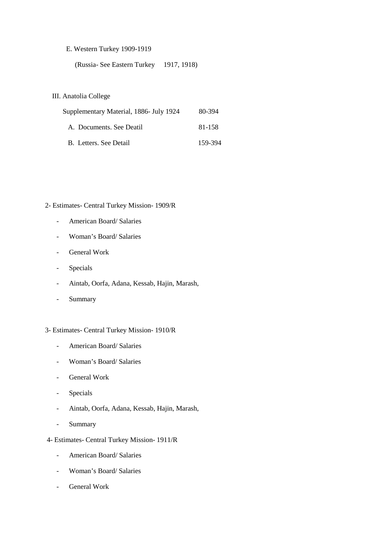### E. Western Turkey 1909-1919

(Russia- See Eastern Turkey 1917, 1918)

### III. Anatolia College

| Supplementary Material, 1886- July 1924 | 80-394  |
|-----------------------------------------|---------|
| A. Documents. See Deatil                | 81-158  |
| B. Letters. See Detail                  | 159-394 |

### 2- Estimates- Central Turkey Mission- 1909/R

- American Board/ Salaries
- Woman's Board/ Salaries
- General Work
- Specials
- Aintab, Oorfa, Adana, Kessab, Hajin, Marash,
- Summary

#### 3- Estimates- Central Turkey Mission- 1910/R

- American Board/ Salaries
- Woman's Board/ Salaries
- General Work
- Specials
- Aintab, Oorfa, Adana, Kessab, Hajin, Marash,
- Summary
- 4- Estimates- Central Turkey Mission- 1911/R
	- American Board/ Salaries
	- Woman's Board/ Salaries
	- General Work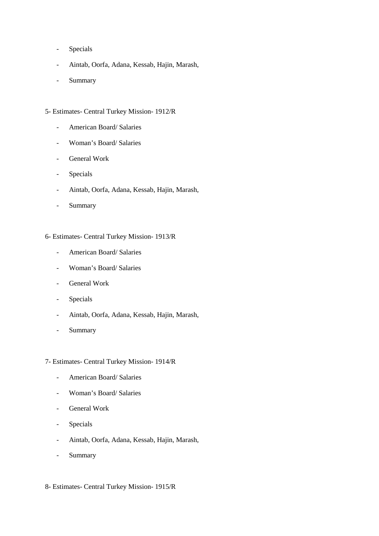- Specials
- Aintab, Oorfa, Adana, Kessab, Hajin, Marash,
- Summary

### 5- Estimates- Central Turkey Mission- 1912/R

- American Board/ Salaries
- Woman's Board/ Salaries
- General Work
- Specials
- Aintab, Oorfa, Adana, Kessab, Hajin, Marash,
- Summary
- 6- Estimates- Central Turkey Mission- 1913/R
	- American Board/ Salaries
	- Woman's Board/ Salaries
	- General Work
	- Specials
	- Aintab, Oorfa, Adana, Kessab, Hajin, Marash,
	- Summary

#### 7- Estimates- Central Turkey Mission- 1914/R

- American Board/ Salaries
- Woman's Board/ Salaries
- General Work
- Specials
- Aintab, Oorfa, Adana, Kessab, Hajin, Marash,
- Summary
- 8- Estimates- Central Turkey Mission- 1915/R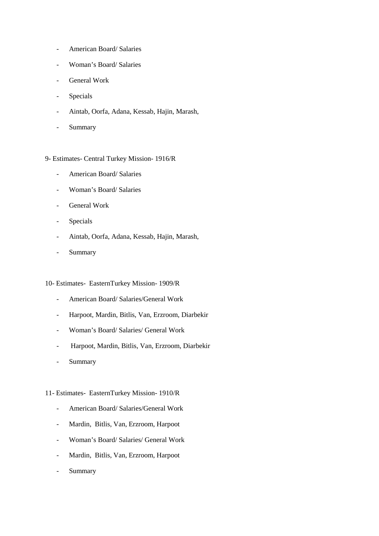- American Board/ Salaries
- Woman's Board/ Salaries
- General Work
- Specials
- Aintab, Oorfa, Adana, Kessab, Hajin, Marash,
- Summary

### 9- Estimates- Central Turkey Mission- 1916/R

- American Board/ Salaries
- Woman's Board/ Salaries
- General Work
- Specials
- Aintab, Oorfa, Adana, Kessab, Hajin, Marash,
- Summary

#### 10- Estimates- EasternTurkey Mission- 1909/R

- American Board/ Salaries/General Work
- Harpoot, Mardin, Bitlis, Van, Erzroom, Diarbekir
- Woman's Board/ Salaries/ General Work
- Harpoot, Mardin, Bitlis, Van, Erzroom, Diarbekir
- Summary

#### 11- Estimates- EasternTurkey Mission- 1910/R

- American Board/ Salaries/General Work
- Mardin, Bitlis, Van, Erzroom, Harpoot
- Woman's Board/ Salaries/ General Work
- Mardin, Bitlis, Van, Erzroom, Harpoot
- Summary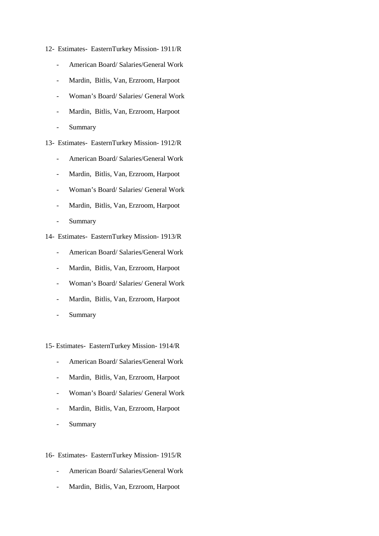- 12- Estimates- EasternTurkey Mission- 1911/R
	- American Board/ Salaries/General Work
	- Mardin, Bitlis, Van, Erzroom, Harpoot
	- Woman's Board/ Salaries/ General Work
	- Mardin, Bitlis, Van, Erzroom, Harpoot
	- Summary

13- Estimates- EasternTurkey Mission- 1912/R

- American Board/ Salaries/General Work
- Mardin, Bitlis, Van, Erzroom, Harpoot
- Woman's Board/ Salaries/ General Work
- Mardin, Bitlis, Van, Erzroom, Harpoot
- Summary
- 14- Estimates- EasternTurkey Mission- 1913/R
	- American Board/ Salaries/General Work
	- Mardin, Bitlis, Van, Erzroom, Harpoot
	- Woman's Board/ Salaries/ General Work
	- Mardin, Bitlis, Van, Erzroom, Harpoot
	- Summary

15- Estimates- EasternTurkey Mission- 1914/R

- American Board/ Salaries/General Work
- Mardin, Bitlis, Van, Erzroom, Harpoot
- Woman's Board/ Salaries/ General Work
- Mardin, Bitlis, Van, Erzroom, Harpoot
- Summary

#### 16- Estimates- EasternTurkey Mission- 1915/R

- American Board/ Salaries/General Work
- Mardin, Bitlis, Van, Erzroom, Harpoot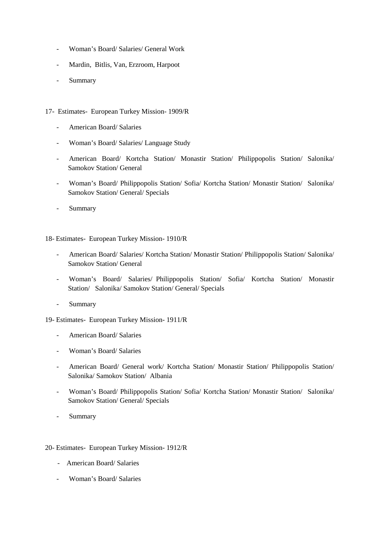- Woman's Board/ Salaries/ General Work
- Mardin, Bitlis, Van, Erzroom, Harpoot
- Summary
- 17- Estimates- European Turkey Mission- 1909/R
	- American Board/ Salaries
	- Woman's Board/ Salaries/ Language Study
	- American Board/ Kortcha Station/ Monastir Station/ Philippopolis Station/ Salonika/ Samokov Station/ General
	- Woman's Board/ Philippopolis Station/ Sofia/ Kortcha Station/ Monastir Station/ Salonika/ Samokov Station/ General/ Specials
	- Summary

18- Estimates- European Turkey Mission- 1910/R

- American Board/ Salaries/ Kortcha Station/ Monastir Station/ Philippopolis Station/ Salonika/ Samokov Station/ General
- Woman's Board/ Salaries/ Philippopolis Station/ Sofia/ Kortcha Station/ Monastir Station/ Salonika/ Samokov Station/ General/ Specials
- Summary

19- Estimates- European Turkey Mission- 1911/R

- American Board/ Salaries
- Woman's Board/ Salaries
- American Board/ General work/ Kortcha Station/ Monastir Station/ Philippopolis Station/ Salonika/ Samokov Station/ Albania
- Woman's Board/ Philippopolis Station/ Sofia/ Kortcha Station/ Monastir Station/ Salonika/ Samokov Station/ General/ Specials
- **Summary**

#### 20- Estimates- European Turkey Mission- 1912/R

- American Board/ Salaries
- Woman's Board/ Salaries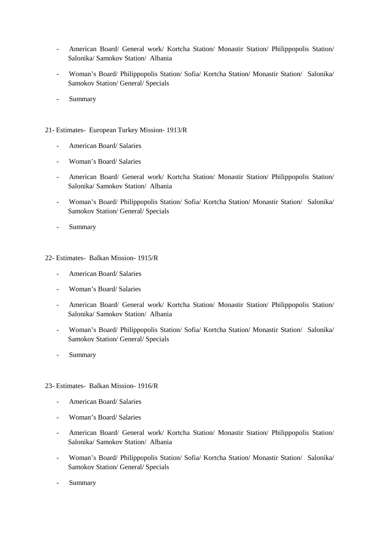- American Board/ General work/ Kortcha Station/ Monastir Station/ Philippopolis Station/ Salonika/ Samokov Station/ Albania
- Woman's Board/ Philippopolis Station/ Sofia/ Kortcha Station/ Monastir Station/ Salonika/ Samokov Station/ General/ Specials
- Summary
- 21- Estimates- European Turkey Mission- 1913/R
	- American Board/ Salaries
	- Woman's Board/ Salaries
	- American Board/ General work/ Kortcha Station/ Monastir Station/ Philippopolis Station/ Salonika/ Samokov Station/ Albania
	- Woman's Board/ Philippopolis Station/ Sofia/ Kortcha Station/ Monastir Station/ Salonika/ Samokov Station/ General/ Specials
	- Summary

22- Estimates- Balkan Mission- 1915/R

- American Board/ Salaries
- Woman's Board/ Salaries
- American Board/ General work/ Kortcha Station/ Monastir Station/ Philippopolis Station/ Salonika/ Samokov Station/ Albania
- Woman's Board/ Philippopolis Station/ Sofia/ Kortcha Station/ Monastir Station/ Salonika/ Samokov Station/ General/ Specials
- Summary

23- Estimates- Balkan Mission- 1916/R

- American Board/ Salaries
- Woman's Board/ Salaries
- American Board/ General work/ Kortcha Station/ Monastir Station/ Philippopolis Station/ Salonika/ Samokov Station/ Albania
- Woman's Board/ Philippopolis Station/ Sofia/ Kortcha Station/ Monastir Station/ Salonika/ Samokov Station/ General/ Specials
- Summary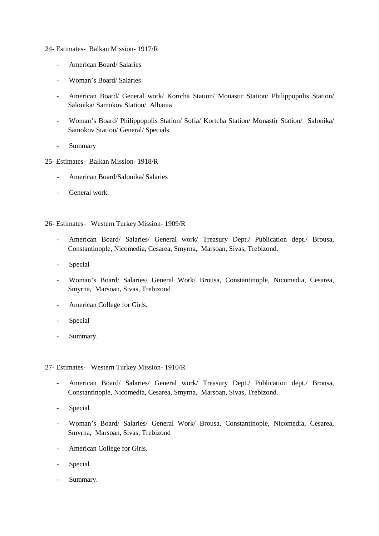#### 24- Estimates- Balkan Mission- 1917/R

- American Board/ Salaries
- Woman's Board/ Salaries
- American Board/ General work/ Kortcha Station/ Monastir Station/ Philippopolis Station/ Salonika/ Samokov Station/ Albania
- Woman's Board/ Philippopolis Station/ Sofia/ Kortcha Station/ Monastir Station/ Salonika/ Samokov Station/ General/ Specials
- Summary
- 25- Estimates- Balkan Mission- 1918/R
	- American Board/Salonika/ Salaries
	- General work.

26- Estimates- Western Turkey Mission- 1909/R

- American Board/ Salaries/ General work/ Treasury Dept./ Publication dept./ Brousa, Constantinople, Nicomedia, Cesarea, Smyrna, Marsoan, Sivas, Trebizond.
- **Special**
- Woman's Board/ Salaries/ General Work/ Brousa, Constantinople, Nicomedia, Cesarea, Smyrna, Marsoan, Sivas, Trebizond
- American College for Girls.
- **Special**
- Summary.

#### 27- Estimates- Western Turkey Mission- 1910/R

- American Board/ Salaries/ General work/ Treasury Dept./ Publication dept./ Brousa, Constantinople, Nicomedia, Cesarea, Smyrna, Marsoan, Sivas, Trebizond.
- Special
- Woman's Board/ Salaries/ General Work/ Brousa, Constantinople, Nicomedia, Cesarea, Smyrna, Marsoan, Sivas, Trebizond
- American College for Girls.
- **Special**
- Summary.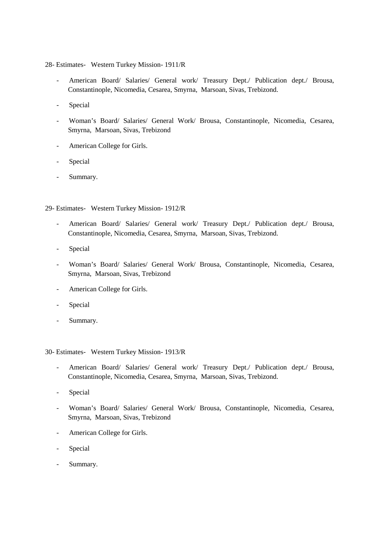- 28- Estimates- Western Turkey Mission- 1911/R
	- American Board/ Salaries/ General work/ Treasury Dept./ Publication dept./ Brousa, Constantinople, Nicomedia, Cesarea, Smyrna, Marsoan, Sivas, Trebizond.
	- Special
	- Woman's Board/ Salaries/ General Work/ Brousa, Constantinople, Nicomedia, Cesarea, Smyrna, Marsoan, Sivas, Trebizond
	- American College for Girls.
	- Special
	- Summary.
- 29- Estimates- Western Turkey Mission- 1912/R
	- American Board/ Salaries/ General work/ Treasury Dept./ Publication dept./ Brousa, Constantinople, Nicomedia, Cesarea, Smyrna, Marsoan, Sivas, Trebizond.
	- Special
	- Woman's Board/ Salaries/ General Work/ Brousa, Constantinople, Nicomedia, Cesarea, Smyrna, Marsoan, Sivas, Trebizond
	- American College for Girls.
	- Special
	- Summary.

30- Estimates- Western Turkey Mission- 1913/R

- American Board/ Salaries/ General work/ Treasury Dept./ Publication dept./ Brousa, Constantinople, Nicomedia, Cesarea, Smyrna, Marsoan, Sivas, Trebizond.
- Special
- Woman's Board/ Salaries/ General Work/ Brousa, Constantinople, Nicomedia, Cesarea, Smyrna, Marsoan, Sivas, Trebizond
- American College for Girls.
- Special
- Summary.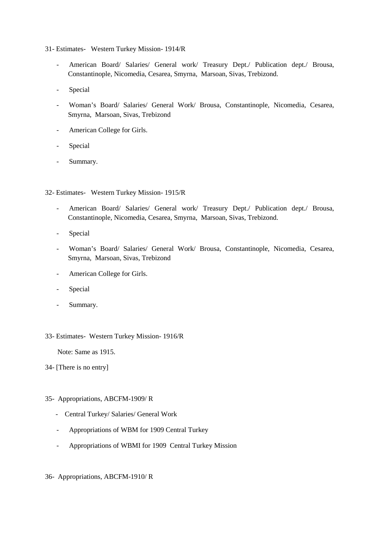31- Estimates- Western Turkey Mission- 1914/R

- American Board/ Salaries/ General work/ Treasury Dept./ Publication dept./ Brousa, Constantinople, Nicomedia, Cesarea, Smyrna, Marsoan, Sivas, Trebizond.
- Special
- Woman's Board/ Salaries/ General Work/ Brousa, Constantinople, Nicomedia, Cesarea, Smyrna, Marsoan, Sivas, Trebizond
- American College for Girls.
- Special
- Summary.
- 32- Estimates- Western Turkey Mission- 1915/R
	- American Board/ Salaries/ General work/ Treasury Dept./ Publication dept./ Brousa, Constantinople, Nicomedia, Cesarea, Smyrna, Marsoan, Sivas, Trebizond.
	- Special
	- Woman's Board/ Salaries/ General Work/ Brousa, Constantinople, Nicomedia, Cesarea, Smyrna, Marsoan, Sivas, Trebizond
	- American College for Girls.
	- Special
	- Summary.

### 33- Estimates- Western Turkey Mission- 1916/R

Note: Same as 1915.

# 34- [There is no entry]

# 35- Appropriations, ABCFM-1909/ R

- Central Turkey/ Salaries/ General Work
- Appropriations of WBM for 1909 Central Turkey
- Appropriations of WBMI for 1909 Central Turkey Mission

# 36- Appropriations, ABCFM-1910/ R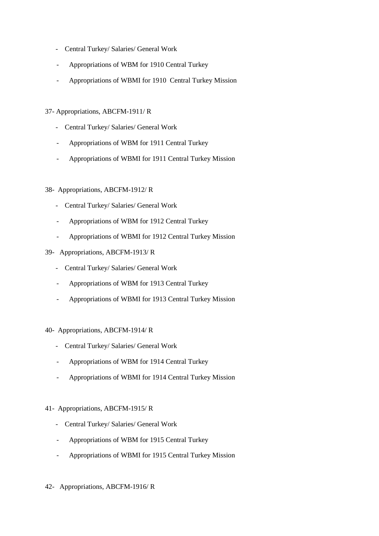- Central Turkey/ Salaries/ General Work
- Appropriations of WBM for 1910 Central Turkey
- Appropriations of WBMI for 1910 Central Turkey Mission

# 37- Appropriations, ABCFM-1911/ R

- Central Turkey/ Salaries/ General Work
- Appropriations of WBM for 1911 Central Turkey
- Appropriations of WBMI for 1911 Central Turkey Mission

# 38- Appropriations, ABCFM-1912/ R

- Central Turkey/ Salaries/ General Work
- Appropriations of WBM for 1912 Central Turkey
- Appropriations of WBMI for 1912 Central Turkey Mission
- 39- Appropriations, ABCFM-1913/ R
	- Central Turkey/ Salaries/ General Work
	- Appropriations of WBM for 1913 Central Turkey
	- Appropriations of WBMI for 1913 Central Turkey Mission

# 40- Appropriations, ABCFM-1914/ R

- Central Turkey/ Salaries/ General Work
- Appropriations of WBM for 1914 Central Turkey
- Appropriations of WBMI for 1914 Central Turkey Mission

# 41- Appropriations, ABCFM-1915/ R

- Central Turkey/ Salaries/ General Work
- Appropriations of WBM for 1915 Central Turkey
- Appropriations of WBMI for 1915 Central Turkey Mission
- 42- Appropriations, ABCFM-1916/ R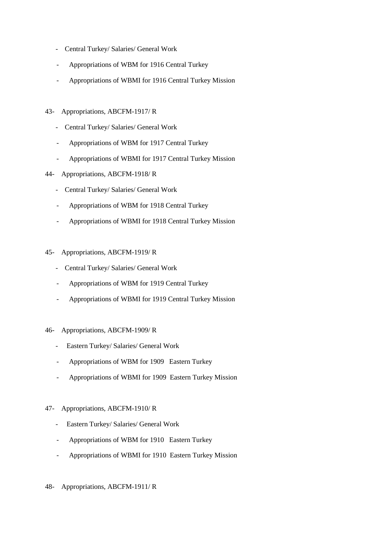- Central Turkey/ Salaries/ General Work
- Appropriations of WBM for 1916 Central Turkey
- Appropriations of WBMI for 1916 Central Turkey Mission
- 43- Appropriations, ABCFM-1917/ R
	- Central Turkey/ Salaries/ General Work
	- Appropriations of WBM for 1917 Central Turkey
	- Appropriations of WBMI for 1917 Central Turkey Mission
- 44- Appropriations, ABCFM-1918/ R
	- Central Turkey/ Salaries/ General Work
	- Appropriations of WBM for 1918 Central Turkey
	- Appropriations of WBMI for 1918 Central Turkey Mission
- 45- Appropriations, ABCFM-1919/ R
	- Central Turkey/ Salaries/ General Work
	- Appropriations of WBM for 1919 Central Turkey
	- Appropriations of WBMI for 1919 Central Turkey Mission
- 46- Appropriations, ABCFM-1909/ R
	- Eastern Turkey/ Salaries/ General Work
	- Appropriations of WBM for 1909 Eastern Turkey
	- Appropriations of WBMI for 1909 Eastern Turkey Mission

# 47- Appropriations, ABCFM-1910/ R

- Eastern Turkey/ Salaries/ General Work
- Appropriations of WBM for 1910 Eastern Turkey
- Appropriations of WBMI for 1910 Eastern Turkey Mission
- 48- Appropriations, ABCFM-1911/ R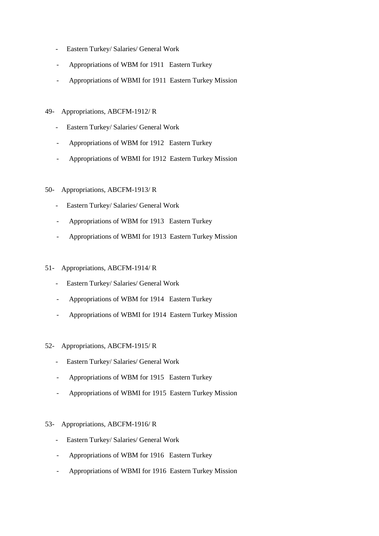- Eastern Turkey/ Salaries/ General Work
- Appropriations of WBM for 1911 Eastern Turkey
- Appropriations of WBMI for 1911 Eastern Turkey Mission
- 49- Appropriations, ABCFM-1912/ R
	- Eastern Turkey/ Salaries/ General Work
	- Appropriations of WBM for 1912 Eastern Turkey
	- Appropriations of WBMI for 1912 Eastern Turkey Mission
- 50- Appropriations, ABCFM-1913/ R
	- Eastern Turkey/ Salaries/ General Work
	- Appropriations of WBM for 1913 Eastern Turkey
	- Appropriations of WBMI for 1913 Eastern Turkey Mission
- 51- Appropriations, ABCFM-1914/ R
	- Eastern Turkey/ Salaries/ General Work
	- Appropriations of WBM for 1914 Eastern Turkey
	- Appropriations of WBMI for 1914 Eastern Turkey Mission
- 52- Appropriations, ABCFM-1915/ R
	- Eastern Turkey/ Salaries/ General Work
	- Appropriations of WBM for 1915 Eastern Turkey
	- Appropriations of WBMI for 1915 Eastern Turkey Mission
- 53- Appropriations, ABCFM-1916/ R
	- Eastern Turkey/ Salaries/ General Work
	- Appropriations of WBM for 1916 Eastern Turkey
	- Appropriations of WBMI for 1916 Eastern Turkey Mission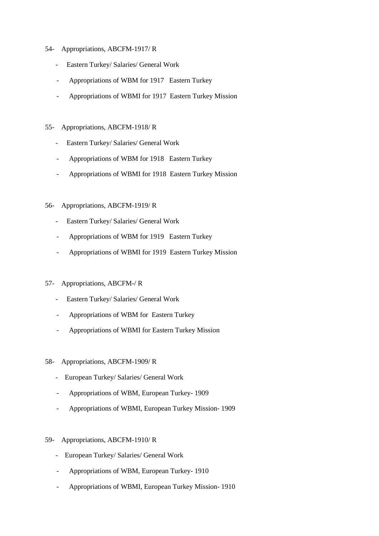- 54- Appropriations, ABCFM-1917/ R
	- Eastern Turkey/ Salaries/ General Work
	- Appropriations of WBM for 1917 Eastern Turkey
	- Appropriations of WBMI for 1917 Eastern Turkey Mission
- 55- Appropriations, ABCFM-1918/ R
	- Eastern Turkey/ Salaries/ General Work
	- Appropriations of WBM for 1918 Eastern Turkey
	- Appropriations of WBMI for 1918 Eastern Turkey Mission

# 56- Appropriations, ABCFM-1919/ R

- Eastern Turkey/ Salaries/ General Work
- Appropriations of WBM for 1919 Eastern Turkey
- Appropriations of WBMI for 1919 Eastern Turkey Mission

# 57- Appropriations, ABCFM-/ R

- Eastern Turkey/ Salaries/ General Work
- Appropriations of WBM for Eastern Turkey
- Appropriations of WBMI for Eastern Turkey Mission
- 58- Appropriations, ABCFM-1909/ R
	- European Turkey/ Salaries/ General Work
	- Appropriations of WBM, European Turkey- 1909
	- Appropriations of WBMI, European Turkey Mission- 1909
- 59- Appropriations, ABCFM-1910/ R
	- European Turkey/ Salaries/ General Work
	- Appropriations of WBM, European Turkey- 1910
	- Appropriations of WBMI, European Turkey Mission- 1910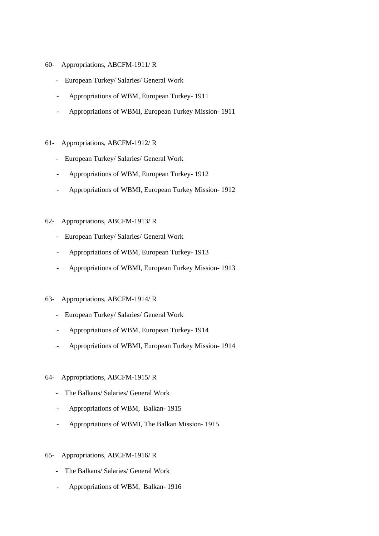- 60- Appropriations, ABCFM-1911/ R
	- European Turkey/ Salaries/ General Work
	- Appropriations of WBM, European Turkey- 1911
	- Appropriations of WBMI, European Turkey Mission- 1911

# 61- Appropriations, ABCFM-1912/ R

- European Turkey/ Salaries/ General Work
- Appropriations of WBM, European Turkey- 1912
- Appropriations of WBMI, European Turkey Mission- 1912

# 62- Appropriations, ABCFM-1913/ R

- European Turkey/ Salaries/ General Work
- Appropriations of WBM, European Turkey- 1913
- Appropriations of WBMI, European Turkey Mission- 1913

# 63- Appropriations, ABCFM-1914/ R

- European Turkey/ Salaries/ General Work
- Appropriations of WBM, European Turkey- 1914
- Appropriations of WBMI, European Turkey Mission- 1914

# 64- Appropriations, ABCFM-1915/ R

- The Balkans/ Salaries/ General Work
- Appropriations of WBM, Balkan- 1915
- Appropriations of WBMI, The Balkan Mission- 1915

# 65- Appropriations, ABCFM-1916/ R

- The Balkans/ Salaries/ General Work
- Appropriations of WBM, Balkan- 1916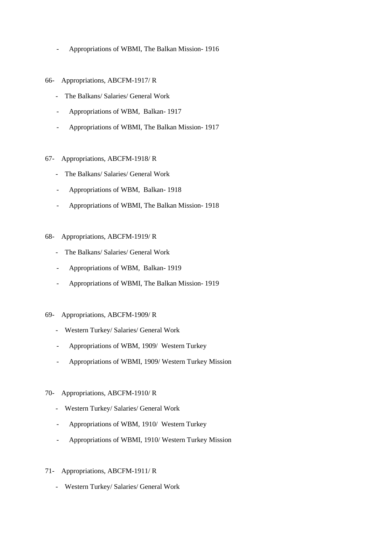- Appropriations of WBMI, The Balkan Mission- 1916
- 66- Appropriations, ABCFM-1917/ R
	- The Balkans/ Salaries/ General Work
	- Appropriations of WBM, Balkan- 1917
	- Appropriations of WBMI, The Balkan Mission- 1917
- 67- Appropriations, ABCFM-1918/ R
	- The Balkans/ Salaries/ General Work
	- Appropriations of WBM, Balkan- 1918
	- Appropriations of WBMI, The Balkan Mission- 1918
- 68- Appropriations, ABCFM-1919/ R
	- The Balkans/ Salaries/ General Work
	- Appropriations of WBM, Balkan- 1919
	- Appropriations of WBMI, The Balkan Mission- 1919
- 69- Appropriations, ABCFM-1909/ R
	- Western Turkey/ Salaries/ General Work
	- Appropriations of WBM, 1909/ Western Turkey
	- Appropriations of WBMI, 1909/ Western Turkey Mission
- 70- Appropriations, ABCFM-1910/ R
	- Western Turkey/ Salaries/ General Work
	- Appropriations of WBM, 1910/ Western Turkey
	- Appropriations of WBMI, 1910/ Western Turkey Mission
- 71- Appropriations, ABCFM-1911/ R
	- Western Turkey/ Salaries/ General Work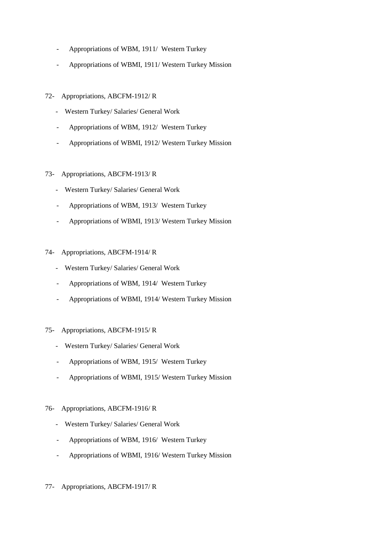- Appropriations of WBM, 1911/ Western Turkey
- Appropriations of WBMI, 1911/ Western Turkey Mission
- 72- Appropriations, ABCFM-1912/ R
	- Western Turkey/ Salaries/ General Work
	- Appropriations of WBM, 1912/ Western Turkey
	- Appropriations of WBMI, 1912/ Western Turkey Mission
- 73- Appropriations, ABCFM-1913/ R
	- Western Turkey/ Salaries/ General Work
	- Appropriations of WBM, 1913/ Western Turkey
	- Appropriations of WBMI, 1913/ Western Turkey Mission
- 74- Appropriations, ABCFM-1914/ R
	- Western Turkey/ Salaries/ General Work
	- Appropriations of WBM, 1914/ Western Turkey
	- Appropriations of WBMI, 1914/ Western Turkey Mission
- 75- Appropriations, ABCFM-1915/ R
	- Western Turkey/ Salaries/ General Work
	- Appropriations of WBM, 1915/ Western Turkey
	- Appropriations of WBMI, 1915/ Western Turkey Mission
- 76- Appropriations, ABCFM-1916/ R
	- Western Turkey/ Salaries/ General Work
	- Appropriations of WBM, 1916/ Western Turkey
	- Appropriations of WBMI, 1916/ Western Turkey Mission
- 77- Appropriations, ABCFM-1917/ R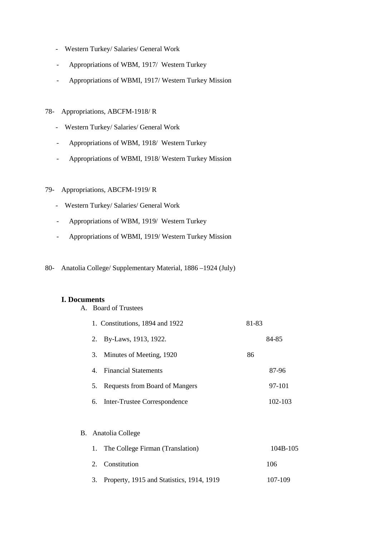- Western Turkey/ Salaries/ General Work
- Appropriations of WBM, 1917/ Western Turkey
- Appropriations of WBMI, 1917/ Western Turkey Mission
- 78- Appropriations, ABCFM-1918/ R
	- Western Turkey/ Salaries/ General Work
	- Appropriations of WBM, 1918/ Western Turkey
	- Appropriations of WBMI, 1918/ Western Turkey Mission

# 79- Appropriations, ABCFM-1919/ R

- Western Turkey/ Salaries/ General Work
- Appropriations of WBM, 1919/ Western Turkey
- Appropriations of WBMI, 1919/ Western Turkey Mission
- 80- Anatolia College/ Supplementary Material, 1886 –1924 (July)

# **I. Documents**

A. Board of Trustees

|    |    | 1. Constitutions, 1894 and 1922 | 81-83 |         |
|----|----|---------------------------------|-------|---------|
|    | 2. | By-Laws, 1913, 1922.            |       | 84-85   |
|    | 3. | Minutes of Meeting, 1920        | 86    |         |
|    | 4. | <b>Financial Statements</b>     |       | 87-96   |
|    | 5. | Requests from Board of Mangers  |       | 97-101  |
|    |    | 6. Inter-Trustee Correspondence |       | 102-103 |
|    |    |                                 |       |         |
| В. |    | Anatolia College                |       |         |
|    |    |                                 |       |         |

| 1. The College Firman (Translation)          | 104B-105 |
|----------------------------------------------|----------|
| 2. Constitution                              | 106      |
| 3. Property, 1915 and Statistics, 1914, 1919 | 107-109  |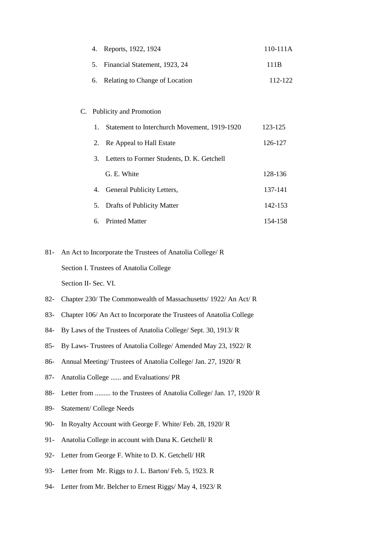| 4.                                                    | Reports, 1922, 1924                          | 110-111A |  |
|-------------------------------------------------------|----------------------------------------------|----------|--|
| 5.                                                    | Financial Statement, 1923, 24                | 111B     |  |
| 6.                                                    | Relating to Change of Location               | 112-122  |  |
|                                                       |                                              |          |  |
|                                                       | C. Publicity and Promotion                   |          |  |
| 1.                                                    | Statement to Interchurch Movement, 1919-1920 | 123-125  |  |
| 2.                                                    | Re Appeal to Hall Estate                     | 126-127  |  |
| 3.                                                    | Letters to Former Students, D. K. Getchell   |          |  |
|                                                       | G. E. White                                  | 128-136  |  |
|                                                       | 4. General Publicity Letters,                | 137-141  |  |
| 5.                                                    | Drafts of Publicity Matter                   | 142-153  |  |
| 6.                                                    | <b>Printed Matter</b>                        | 154-158  |  |
|                                                       |                                              |          |  |
| it to Incomponente the Timeters of Ametalia College/D |                                              |          |  |

81- An Act to Incorporate the Trustees of Anatolia College/ R

Section I. Trustees of Anatolia College

Section II- Sec. VI.

- 82- Chapter 230/ The Commonwealth of Massachusetts/ 1922/ An Act/ R
- 83- Chapter 106/ An Act to Incorporate the Trustees of Anatolia College
- 84- By Laws of the Trustees of Anatolia College/ Sept. 30, 1913/ R
- 85- By Laws- Trustees of Anatolia College/ Amended May 23, 1922/ R
- 86- Annual Meeting/ Trustees of Anatolia College/ Jan. 27, 1920/ R
- 87- Anatolia College ...... and Evaluations/ PR
- 88- Letter from ......... to the Trustees of Anatolia College/ Jan. 17, 1920/ R
- 89- Statement/ College Needs
- 90- In Royalty Account with George F. White/ Feb. 28, 1920/ R
- 91- Anatolia College in account with Dana K. Getchell/ R
- 92- Letter from George F. White to D. K. Getchell/ HR
- 93- Letter from Mr. Riggs to J. L. Barton/ Feb. 5, 1923. R
- 94- Letter from Mr. Belcher to Ernest Riggs/ May 4, 1923/ R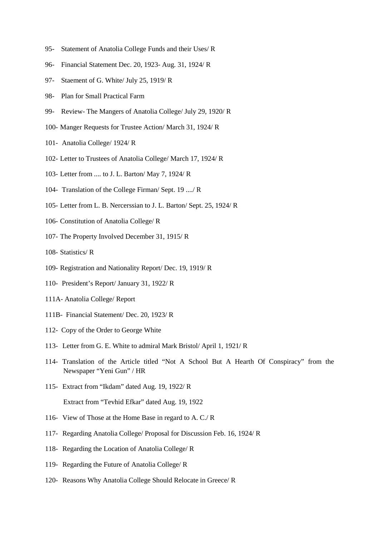- 95- Statement of Anatolia College Funds and their Uses/ R
- 96- Financial Statement Dec. 20, 1923- Aug. 31, 1924/ R
- 97- Staement of G. White/ July 25, 1919/ R
- 98- Plan for Small Practical Farm
- 99- Review- The Mangers of Anatolia College/ July 29, 1920/ R
- 100- Manger Requests for Trustee Action/ March 31, 1924/ R
- 101- Anatolia College/ 1924/ R
- 102- Letter to Trustees of Anatolia College/ March 17, 1924/ R
- 103- Letter from .... to J. L. Barton/ May 7, 1924/ R
- 104- Translation of the College Firman/ Sept. 19 ..../ R
- 105- Letter from L. B. Nercerssian to J. L. Barton/ Sept. 25, 1924/ R
- 106- Constitution of Anatolia College/ R
- 107- The Property Involved December 31, 1915/ R
- 108- Statistics/ R
- 109- Registration and Nationality Report/ Dec. 19, 1919/ R
- 110- President's Report/ January 31, 1922/ R
- 111A- Anatolia College/ Report
- 111B- Financial Statement/ Dec. 20, 1923/ R
- 112- Copy of the Order to George White
- 113- Letter from G. E. White to admiral Mark Bristol/ April 1, 1921/ R
- 114- Translation of the Article titled "Not A School But A Hearth Of Conspiracy" from the Newspaper "Yeni Gun" / HR
- 115- Extract from "Ikdam" dated Aug. 19, 1922/ R Extract from "Tevhid Efkar" dated Aug. 19, 1922
- 116- View of Those at the Home Base in regard to A. C./ R
- 117- Regarding Anatolia College/ Proposal for Discussion Feb. 16, 1924/ R
- 118- Regarding the Location of Anatolia College/ R
- 119- Regarding the Future of Anatolia College/ R
- 120- Reasons Why Anatolia College Should Relocate in Greece/ R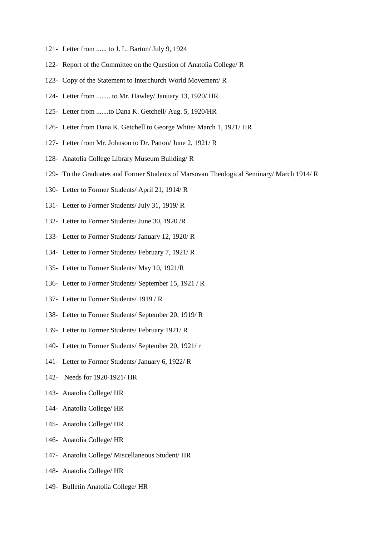- 121- Letter from ...... to J. L. Barton/ July 9, 1924
- 122- Report of the Committee on the Question of Anatolia College/ R
- 123- Copy of the Statement to Interchurch World Movement/ R
- 124- Letter from ........ to Mr. Hawley/ January 13, 1920/ HR
- 125- Letter from .......to Dana K. Getchell/ Aug. 5, 1920/HR
- 126- Letter from Dana K. Getchell to George White/ March 1, 1921/ HR
- 127- Letter from Mr. Johnson to Dr. Patton/ June 2, 1921/ R
- 128- Anatolia College Library Museum Building/ R
- 129- To the Graduates and Former Students of Marsovan Theological Seminary/ March 1914/ R
- 130- Letter to Former Students/ April 21, 1914/ R
- 131- Letter to Former Students/ July 31, 1919/ R
- 132- Letter to Former Students/ June 30, 1920 /R
- 133- Letter to Former Students/ January 12, 1920/ R
- 134- Letter to Former Students/ February 7, 1921/ R
- 135- Letter to Former Students/ May 10, 1921/R
- 136- Letter to Former Students/ September 15, 1921 / R
- 137- Letter to Former Students/ 1919 / R
- 138- Letter to Former Students/ September 20, 1919/ R
- 139- Letter to Former Students/ February 1921/ R
- 140- Letter to Former Students/ September 20, 1921/ r
- 141- Letter to Former Students/ January 6, 1922/ R
- 142- Needs for 1920-1921/ HR
- 143- Anatolia College/ HR
- 144- Anatolia College/ HR
- 145- Anatolia College/ HR
- 146- Anatolia College/ HR
- 147- Anatolia College/ Miscellaneous Student/ HR
- 148- Anatolia College/ HR
- 149- Bulletin Anatolia College/ HR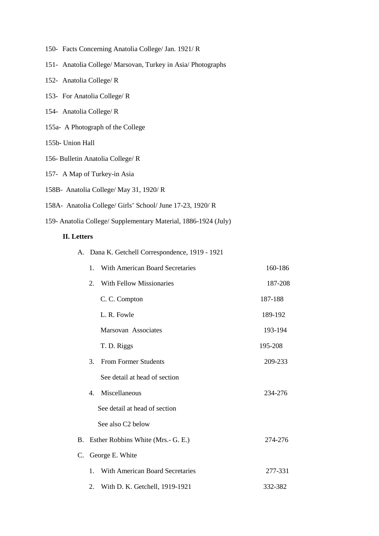- 150- Facts Concerning Anatolia College/ Jan. 1921/ R
- 151- Anatolia College/ Marsovan, Turkey in Asia/ Photographs
- 152- Anatolia College/ R
- 153- For Anatolia College/ R
- 154- Anatolia College/ R
- 155a- A Photograph of the College
- 155b- Union Hall
- 156- Bulletin Anatolia College/ R
- 157- A Map of Turkey-in Asia
- 158B- Anatolia College/ May 31, 1920/ R
- 158A- Anatolia College/ Girls' School/ June 17-23, 1920/ R
- 159- Anatolia College/ Supplementary Material, 1886-1924 (July)

# **II. Letters**

A. Dana K. Getchell Correspondence, 1919 - 1921

|    | 1.             | With American Board Secretaries        | 160-186 |
|----|----------------|----------------------------------------|---------|
|    | 2.             | <b>With Fellow Missionaries</b>        | 187-208 |
|    |                | C. C. Compton                          | 187-188 |
|    |                | L. R. Fowle                            | 189-192 |
|    |                | Marsovan Associates                    | 193-194 |
|    |                | T. D. Riggs                            | 195-208 |
|    | 3.             | <b>From Former Students</b>            | 209-233 |
|    |                | See detail at head of section          |         |
|    | $\mathbf{4}$ . | Miscellaneous                          | 234-276 |
|    |                | See detail at head of section          |         |
|    |                | See also C <sub>2</sub> below          |         |
| В. |                | Esther Robbins White (Mrs.- G. E.)     | 274-276 |
| C. |                | George E. White                        |         |
|    | 1.             | <b>With American Board Secretaries</b> | 277-331 |
|    | 2.             | With D. K. Getchell, 1919-1921         | 332-382 |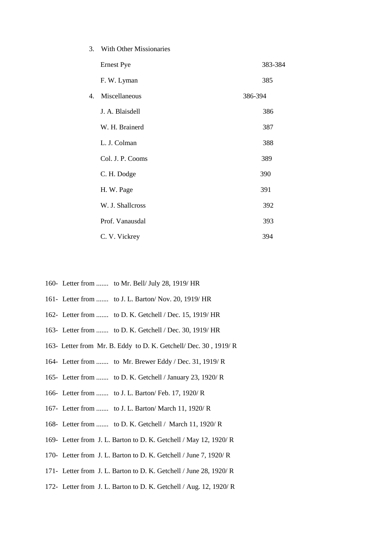| 3.             | With Other Missionaries |         |
|----------------|-------------------------|---------|
|                | <b>Ernest Pye</b>       | 383-384 |
|                | F. W. Lyman             | 385     |
| $\mathbf{4}$ . | Miscellaneous           | 386-394 |
|                | J. A. Blaisdell         | 386     |
|                | W. H. Brainerd          | 387     |
|                | L. J. Colman            | 388     |
|                | Col. J. P. Cooms        | 389     |
|                | C. H. Dodge             | 390     |
|                | H. W. Page              | 391     |
|                | W. J. Shallcross        | 392     |
|                | Prof. Vanausdal         | 393     |
|                | C. V. Vickrey           | 394     |

- 160- Letter from ....... to Mr. Bell/ July 28, 1919/ HR
- 161- Letter from ....... to J. L. Barton/ Nov. 20, 1919/ HR
- 162- Letter from ....... to D. K. Getchell / Dec. 15, 1919/ HR
- 163- Letter from ....... to D. K. Getchell / Dec. 30, 1919/ HR
- 163- Letter from Mr. B. Eddy to D. K. Getchell/ Dec. 30 , 1919/ R
- 164- Letter from ....... to Mr. Brewer Eddy / Dec. 31, 1919/ R
- 165- Letter from ....... to D. K. Getchell / January 23, 1920/ R
- 166- Letter from ....... to J. L. Barton/ Feb. 17, 1920/ R
- 167- Letter from ....... to J. L. Barton/ March 11, 1920/ R
- 168- Letter from ....... to D. K. Getchell / March 11, 1920/ R
- 169- Letter from J. L. Barton to D. K. Getchell / May 12, 1920/ R
- 170- Letter from J. L. Barton to D. K. Getchell / June 7, 1920/ R
- 171- Letter from J. L. Barton to D. K. Getchell / June 28, 1920/ R
- 172- Letter from J. L. Barton to D. K. Getchell / Aug. 12, 1920/ R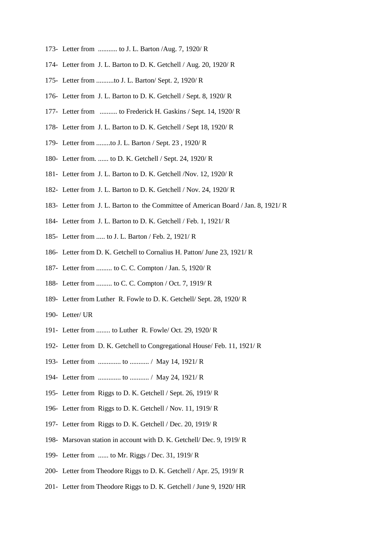- 173- Letter from ........... to J. L. Barton /Aug. 7, 1920/ R
- 174- Letter from J. L. Barton to D. K. Getchell / Aug. 20, 1920/ R
- 175- Letter from ..........to J. L. Barton/ Sept. 2, 1920/ R
- 176- Letter from J. L. Barton to D. K. Getchell / Sept. 8, 1920/ R
- 177- Letter from .......... to Frederick H. Gaskins / Sept. 14, 1920/ R
- 178- Letter from J. L. Barton to D. K. Getchell / Sept 18, 1920/ R
- 179- Letter from ........to J. L. Barton / Sept. 23 , 1920/ R
- 180- Letter from. ...... to D. K. Getchell / Sept. 24, 1920/ R
- 181- Letter from J. L. Barton to D. K. Getchell /Nov. 12, 1920/ R
- 182- Letter from J. L. Barton to D. K. Getchell / Nov. 24, 1920/ R
- 183- Letter from J. L. Barton to the Committee of American Board / Jan. 8, 1921/ R
- 184- Letter from J. L. Barton to D. K. Getchell / Feb. 1, 1921/ R
- 185- Letter from ..... to J. L. Barton / Feb. 2, 1921/ R
- 186- Letter from D. K. Getchell to Cornalius H. Patton/ June 23, 1921/ R
- 187- Letter from ......... to C. C. Compton / Jan. 5, 1920/ R
- 188- Letter from ......... to C. C. Compton / Oct. 7, 1919/ R
- 189- Letter from Luther R. Fowle to D. K. Getchell/ Sept. 28, 1920/ R
- 190- Letter/ UR
- 191- Letter from ........ to Luther R. Fowle/ Oct. 29, 1920/ R
- 192- Letter from D. K. Getchell to Congregational House/ Feb. 11, 1921/ R
- 193- Letter from ............. to ........... / May 14, 1921/ R
- 194- Letter from ............. to ........... / May 24, 1921/ R
- 195- Letter from Riggs to D. K. Getchell / Sept. 26, 1919/ R
- 196- Letter from Riggs to D. K. Getchell / Nov. 11, 1919/ R
- 197- Letter from Riggs to D. K. Getchell / Dec. 20, 1919/ R
- 198- Marsovan station in account with D. K. Getchell/ Dec. 9, 1919/ R
- 199- Letter from ...... to Mr. Riggs / Dec. 31, 1919/ R
- 200- Letter from Theodore Riggs to D. K. Getchell / Apr. 25, 1919/ R
- 201- Letter from Theodore Riggs to D. K. Getchell / June 9, 1920/ HR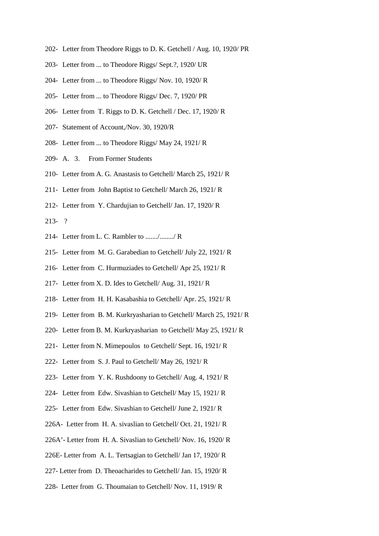- 202- Letter from Theodore Riggs to D. K. Getchell / Aug. 10, 1920/ PR
- 203- Letter from ... to Theodore Riggs/ Sept.?, 1920/ UR
- 204- Letter from ... to Theodore Riggs/ Nov. 10, 1920/ R
- 205- Letter from ... to Theodore Riggs/ Dec. 7, 1920/ PR
- 206- Letter from T. Riggs to D. K. Getchell / Dec. 17, 1920/ R
- 207- Statement of Account,/Nov. 30, 1920/R
- 208- Letter from ... to Theodore Riggs/ May 24, 1921/ R
- 209- A. 3. From Former Students
- 210- Letter from A. G. Anastasis to Getchell/ March 25, 1921/ R
- 211- Letter from John Baptist to Getchell/ March 26, 1921/ R
- 212- Letter from Y. Chardujian to Getchell/ Jan. 17, 1920/ R
- 213- ?
- 214- Letter from L. C. Rambler to ......./......../ R
- 215- Letter from M. G. Garabedian to Getchell/ July 22, 1921/ R
- 216- Letter from C. Hurmuziades to Getchell/ Apr 25, 1921/ R
- 217- Letter from X. D. Ides to Getchell/ Aug. 31, 1921/ R
- 218- Letter from H. H. Kasabashia to Getchell/ Apr. 25, 1921/ R
- 219- Letter from B. M. Kurkryasharian to Getchell/ March 25, 1921/ R
- 220- Letter from B. M. Kurkryasharian to Getchell/ May 25, 1921/ R
- 221- Letter from N. Mimepoulos to Getchell/ Sept. 16, 1921/ R
- 222- Letter from S. J. Paul to Getchell/ May 26, 1921/ R
- 223- Letter from Y. K. Rushdoony to Getchell/ Aug. 4, 1921/ R
- 224- Letter from Edw. Sivashian to Getchell/ May 15, 1921/ R
- 225- Letter from Edw. Sivashian to Getchell/ June 2, 1921/ R
- 226A- Letter from H. A. sivaslian to Getchell/ Oct. 21, 1921/ R
- 226A'- Letter from H. A. Sivaslian to Getchell/ Nov. 16, 1920/ R
- 226E- Letter from A. L. Tertsagian to Getchell/ Jan 17, 1920/ R
- 227- Letter from D. Theoacharides to Getchell/ Jan. 15, 1920/ R
- 228- Letter from G. Thoumaian to Getchell/ Nov. 11, 1919/ R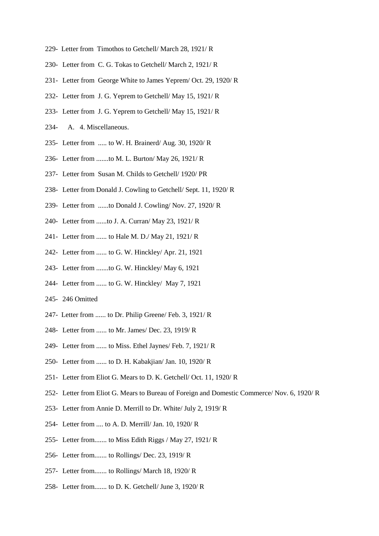- 229- Letter from Timothos to Getchell/ March 28, 1921/ R
- 230- Letter from C. G. Tokas to Getchell/ March 2, 1921/ R
- 231- Letter from George White to James Yeprem/ Oct. 29, 1920/ R
- 232- Letter from J. G. Yeprem to Getchell/ May 15, 1921/ R
- 233- Letter from J. G. Yeprem to Getchell/ May 15, 1921/ R
- 234- A. 4. Miscellaneous.
- 235- Letter from ..... to W. H. Brainerd/ Aug. 30, 1920/ R
- 236- Letter from .......to M. L. Burton/ May 26, 1921/ R
- 237- Letter from Susan M. Childs to Getchell/ 1920/ PR
- 238- Letter from Donald J. Cowling to Getchell/ Sept. 11, 1920/ R
- 239- Letter from ......to Donald J. Cowling/ Nov. 27, 1920/ R
- 240- Letter from ......to J. A. Curran/ May 23, 1921/ R
- 241- Letter from ...... to Hale M. D./ May 21, 1921/ R
- 242- Letter from ...... to G. W. Hinckley/ Apr. 21, 1921
- 243- Letter from .......to G. W. Hinckley/ May 6, 1921
- 244- Letter from ...... to G. W. Hinckley/ May 7, 1921
- 245- 246 Omitted
- 247- Letter from ...... to Dr. Philip Greene/ Feb. 3, 1921/ R
- 248- Letter from ...... to Mr. James/ Dec. 23, 1919/ R
- 249- Letter from ...... to Miss. Ethel Jaynes/ Feb. 7, 1921/ R
- 250- Letter from ...... to D. H. Kabakjian/ Jan. 10, 1920/ R
- 251- Letter from Eliot G. Mears to D. K. Getchell/ Oct. 11, 1920/ R
- 252- Letter from Eliot G. Mears to Bureau of Foreign and Domestic Commerce/ Nov. 6, 1920/ R
- 253- Letter from Annie D. Merrill to Dr. White/ July 2, 1919/ R
- 254- Letter from .... to A. D. Merrill/ Jan. 10, 1920/ R
- 255- Letter from....... to Miss Edith Riggs / May 27, 1921/ R
- 256- Letter from....... to Rollings/ Dec. 23, 1919/ R
- 257- Letter from....... to Rollings/ March 18, 1920/ R
- 258- Letter from....... to D. K. Getchell/ June 3, 1920/ R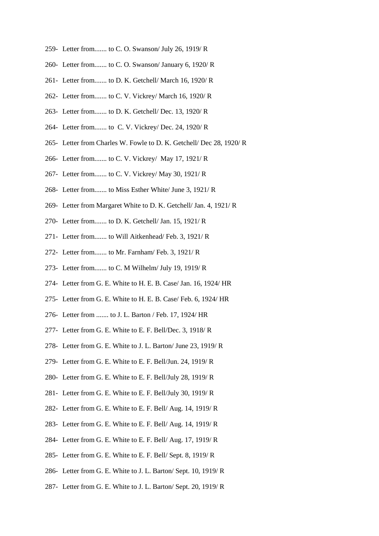- 259- Letter from....... to C. O. Swanson/ July 26, 1919/ R
- 260- Letter from....... to C. O. Swanson/ January 6, 1920/ R
- 261- Letter from....... to D. K. Getchell/ March 16, 1920/ R
- 262- Letter from....... to C. V. Vickrey/ March 16, 1920/ R
- 263- Letter from....... to D. K. Getchell/ Dec. 13, 1920/ R
- 264- Letter from....... to C. V. Vickrey/ Dec. 24, 1920/ R
- 265- Letter from Charles W. Fowle to D. K. Getchell/ Dec 28, 1920/ R
- 266- Letter from....... to C. V. Vickrey/ May 17, 1921/ R
- 267- Letter from....... to C. V. Vickrey/ May 30, 1921/ R
- 268- Letter from....... to Miss Esther White/ June 3, 1921/ R
- 269- Letter from Margaret White to D. K. Getchell/ Jan. 4, 1921/ R
- 270- Letter from....... to D. K. Getchell/ Jan. 15, 1921/ R
- 271- Letter from....... to Will Aitkenhead/ Feb. 3, 1921/ R
- 272- Letter from....... to Mr. Farnham/ Feb. 3, 1921/ R
- 273- Letter from....... to C. M Wilhelm/ July 19, 1919/ R
- 274- Letter from G. E. White to H. E. B. Case/ Jan. 16, 1924/ HR
- 275- Letter from G. E. White to H. E. B. Case/ Feb. 6, 1924/ HR
- 276- Letter from ....... to J. L. Barton / Feb. 17, 1924/ HR
- 277- Letter from G. E. White to E. F. Bell/Dec. 3, 1918/ R
- 278- Letter from G. E. White to J. L. Barton/ June 23, 1919/ R
- 279- Letter from G. E. White to E. F. Bell/Jun. 24, 1919/ R
- 280- Letter from G. E. White to E. F. Bell/July 28, 1919/ R
- 281- Letter from G. E. White to E. F. Bell/July 30, 1919/ R
- 282- Letter from G. E. White to E. F. Bell/ Aug. 14, 1919/ R
- 283- Letter from G. E. White to E. F. Bell/ Aug. 14, 1919/ R
- 284- Letter from G. E. White to E. F. Bell/ Aug. 17, 1919/ R
- 285- Letter from G. E. White to E. F. Bell/ Sept. 8, 1919/ R
- 286- Letter from G. E. White to J. L. Barton/ Sept. 10, 1919/ R
- 287- Letter from G. E. White to J. L. Barton/ Sept. 20, 1919/ R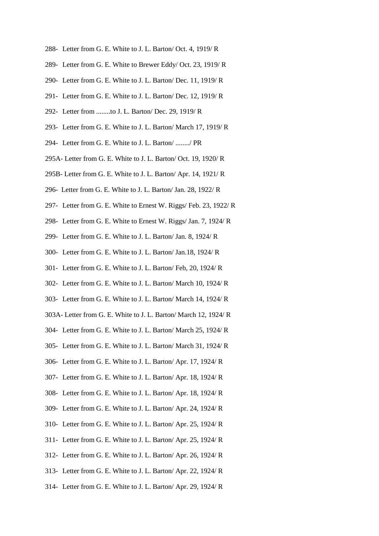- 288- Letter from G. E. White to J. L. Barton/ Oct. 4, 1919/ R
- 289- Letter from G. E. White to Brewer Eddy/ Oct. 23, 1919/ R
- 290- Letter from G. E. White to J. L. Barton/ Dec. 11, 1919/ R
- 291- Letter from G. E. White to J. L. Barton/ Dec. 12, 1919/ R
- 292- Letter from ........to J. L. Barton/ Dec. 29, 1919/ R
- 293- Letter from G. E. White to J. L. Barton/ March 17, 1919/ R
- 294- Letter from G. E. White to J. L. Barton/ ......../ PR
- 295A- Letter from G. E. White to J. L. Barton/ Oct. 19, 1920/ R
- 295B- Letter from G. E. White to J. L. Barton/ Apr. 14, 1921/ R
- 296- Letter from G. E. White to J. L. Barton/ Jan. 28, 1922/ R
- 297- Letter from G. E. White to Ernest W. Riggs/ Feb. 23, 1922/ R
- 298- Letter from G. E. White to Ernest W. Riggs/ Jan. 7, 1924/ R
- 299- Letter from G. E. White to J. L. Barton/ Jan. 8, 1924/ R
- 300- Letter from G. E. White to J. L. Barton/ Jan.18, 1924/ R
- 301- Letter from G. E. White to J. L. Barton/ Feb, 20, 1924/ R
- 302- Letter from G. E. White to J. L. Barton/ March 10, 1924/ R
- 303- Letter from G. E. White to J. L. Barton/ March 14, 1924/ R
- 303A- Letter from G. E. White to J. L. Barton/ March 12, 1924/ R
- 304- Letter from G. E. White to J. L. Barton/ March 25, 1924/ R
- 305- Letter from G. E. White to J. L. Barton/ March 31, 1924/ R
- 306- Letter from G. E. White to J. L. Barton/ Apr. 17, 1924/ R
- 307- Letter from G. E. White to J. L. Barton/ Apr. 18, 1924/ R
- 308- Letter from G. E. White to J. L. Barton/ Apr. 18, 1924/ R
- 309- Letter from G. E. White to J. L. Barton/ Apr. 24, 1924/ R
- 310- Letter from G. E. White to J. L. Barton/ Apr. 25, 1924/ R
- 311- Letter from G. E. White to J. L. Barton/ Apr. 25, 1924/ R
- 312- Letter from G. E. White to J. L. Barton/ Apr. 26, 1924/ R
- 313- Letter from G. E. White to J. L. Barton/ Apr. 22, 1924/ R
- 314- Letter from G. E. White to J. L. Barton/ Apr. 29, 1924/ R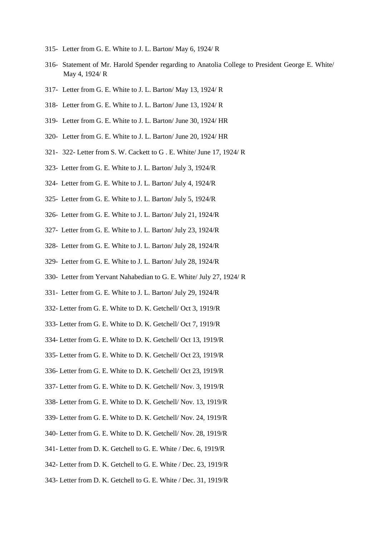- 315- Letter from G. E. White to J. L. Barton/ May 6, 1924/ R
- 316- Statement of Mr. Harold Spender regarding to Anatolia College to President George E. White/ May 4, 1924/ R
- 317- Letter from G. E. White to J. L. Barton/ May 13, 1924/ R
- 318- Letter from G. E. White to J. L. Barton/ June 13, 1924/ R
- 319- Letter from G. E. White to J. L. Barton/ June 30, 1924/ HR
- 320- Letter from G. E. White to J. L. Barton/ June 20, 1924/ HR
- 321- 322- Letter from S. W. Cackett to G . E. White/ June 17, 1924/ R
- 323- Letter from G. E. White to J. L. Barton/ July 3, 1924/R
- 324- Letter from G. E. White to J. L. Barton/ July 4, 1924/R
- 325- Letter from G. E. White to J. L. Barton/ July 5, 1924/R
- 326- Letter from G. E. White to J. L. Barton/ July 21, 1924/R
- 327- Letter from G. E. White to J. L. Barton/ July 23, 1924/R
- 328- Letter from G. E. White to J. L. Barton/ July 28, 1924/R
- 329- Letter from G. E. White to J. L. Barton/ July 28, 1924/R
- 330- Letter from Yervant Nahabedian to G. E. White/ July 27, 1924/ R
- 331- Letter from G. E. White to J. L. Barton/ July 29, 1924/R
- 332- Letter from G. E. White to D. K. Getchell/ Oct 3, 1919/R
- 333- Letter from G. E. White to D. K. Getchell/ Oct 7, 1919/R
- 334- Letter from G. E. White to D. K. Getchell/ Oct 13, 1919/R
- 335- Letter from G. E. White to D. K. Getchell/ Oct 23, 1919/R
- 336- Letter from G. E. White to D. K. Getchell/ Oct 23, 1919/R
- 337- Letter from G. E. White to D. K. Getchell/ Nov. 3, 1919/R
- 338- Letter from G. E. White to D. K. Getchell/ Nov. 13, 1919/R
- 339- Letter from G. E. White to D. K. Getchell/ Nov. 24, 1919/R
- 340- Letter from G. E. White to D. K. Getchell/ Nov. 28, 1919/R
- 341- Letter from D. K. Getchell to G. E. White / Dec. 6, 1919/R
- 342- Letter from D. K. Getchell to G. E. White / Dec. 23, 1919/R
- 343- Letter from D. K. Getchell to G. E. White / Dec. 31, 1919/R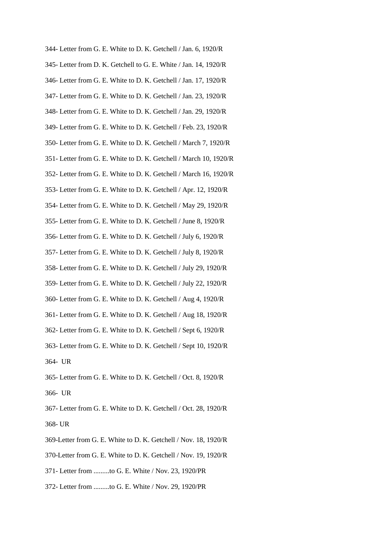344- Letter from G. E. White to D. K. Getchell / Jan. 6, 1920/R 345- Letter from D. K. Getchell to G. E. White / Jan. 14, 1920/R 346- Letter from G. E. White to D. K. Getchell / Jan. 17, 1920/R 347- Letter from G. E. White to D. K. Getchell / Jan. 23, 1920/R 348- Letter from G. E. White to D. K. Getchell / Jan. 29, 1920/R 349- Letter from G. E. White to D. K. Getchell / Feb. 23, 1920/R 350- Letter from G. E. White to D. K. Getchell / March 7, 1920/R 351- Letter from G. E. White to D. K. Getchell / March 10, 1920/R 352- Letter from G. E. White to D. K. Getchell / March 16, 1920/R 353- Letter from G. E. White to D. K. Getchell / Apr. 12, 1920/R 354- Letter from G. E. White to D. K. Getchell / May 29, 1920/R 355- Letter from G. E. White to D. K. Getchell / June 8, 1920/R 356- Letter from G. E. White to D. K. Getchell / July 6, 1920/R 357- Letter from G. E. White to D. K. Getchell / July 8, 1920/R 358- Letter from G. E. White to D. K. Getchell / July 29, 1920/R 359- Letter from G. E. White to D. K. Getchell / July 22, 1920/R 360- Letter from G. E. White to D. K. Getchell / Aug 4, 1920/R 361- Letter from G. E. White to D. K. Getchell / Aug 18, 1920/R 362- Letter from G. E. White to D. K. Getchell / Sept 6, 1920/R 363- Letter from G. E. White to D. K. Getchell / Sept 10, 1920/R 364- UR 365- Letter from G. E. White to D. K. Getchell / Oct. 8, 1920/R 366- UR

367- Letter from G. E. White to D. K. Getchell / Oct. 28, 1920/R 368- UR

- 369-Letter from G. E. White to D. K. Getchell / Nov. 18, 1920/R
- 370-Letter from G. E. White to D. K. Getchell / Nov. 19, 1920/R
- 371- Letter from .........to G. E. White / Nov. 23, 1920/PR
- 372- Letter from .........to G. E. White / Nov. 29, 1920/PR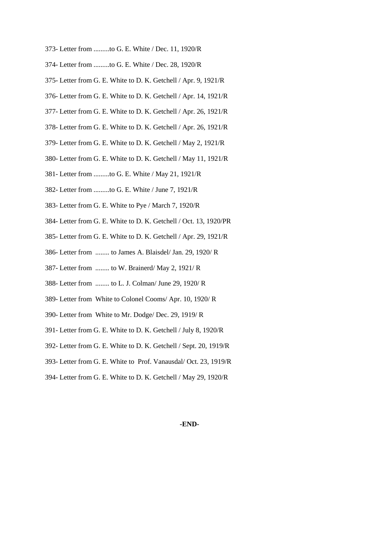- 373- Letter from .........to G. E. White / Dec. 11, 1920/R
- 374- Letter from .........to G. E. White / Dec. 28, 1920/R
- 375- Letter from G. E. White to D. K. Getchell / Apr. 9, 1921/R
- 376- Letter from G. E. White to D. K. Getchell / Apr. 14, 1921/R
- 377- Letter from G. E. White to D. K. Getchell / Apr. 26, 1921/R
- 378- Letter from G. E. White to D. K. Getchell / Apr. 26, 1921/R
- 379- Letter from G. E. White to D. K. Getchell / May 2, 1921/R
- 380- Letter from G. E. White to D. K. Getchell / May 11, 1921/R
- 381- Letter from .........to G. E. White / May 21, 1921/R
- 382- Letter from .........to G. E. White / June 7, 1921/R
- 383- Letter from G. E. White to Pye / March 7, 1920/R
- 384- Letter from G. E. White to D. K. Getchell / Oct. 13, 1920/PR
- 385- Letter from G. E. White to D. K. Getchell / Apr. 29, 1921/R
- 386- Letter from ........ to James A. Blaisdel/ Jan. 29, 1920/ R
- 387- Letter from ........ to W. Brainerd/ May 2, 1921/ R
- 388- Letter from ........ to L. J. Colman/ June 29, 1920/ R
- 389- Letter from White to Colonel Cooms/ Apr. 10, 1920/ R
- 390- Letter from White to Mr. Dodge/ Dec. 29, 1919/ R
- 391- Letter from G. E. White to D. K. Getchell / July 8, 1920/R
- 392- Letter from G. E. White to D. K. Getchell / Sept. 20, 1919/R
- 393- Letter from G. E. White to Prof. Vanausdal/ Oct. 23, 1919/R
- 394- Letter from G. E. White to D. K. Getchell / May 29, 1920/R

#### **-END-**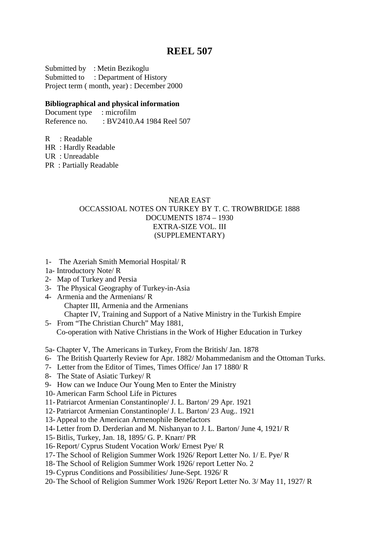# **REEL 507**

Submitted by : Metin Bezikoglu Submitted to : Department of History Project term ( month, year) : December 2000

# **Bibliographical and physical information**

Document type : microfilm Reference no. : BV2410.A4 1984 Reel 507

R : Readable

HR : Hardly Readable

UR : Unreadable

PR : Partially Readable

# NEAR EAST OCCASSIOAL NOTES ON TURKEY BY T. C. TROWBRIDGE 1888 DOCUMENTS 1874 – 1930 EXTRA-SIZE VOL. III (SUPPLEMENTARY)

- 1- The Azeriah Smith Memorial Hospital/ R
- 1a- Introductory Note/ R
- 2- Map of Turkey and Persia
- 3- The Physical Geography of Turkey-in-Asia
- 4- Armenia and the Armenians/ R Chapter III, Armenia and the Armenians Chapter IV, Training and Support of a Native Ministry in the Turkish Empire
- 5- From "The Christian Church" May 1881, Co-operation with Native Christians in the Work of Higher Education in Turkey

5a- Chapter V, The Americans in Turkey, From the British/ Jan. 1878

- 6- The British Quarterly Review for Apr. 1882/ Mohammedanism and the Ottoman Turks.
- 7- Letter from the Editor of Times, Times Office/ Jan 17 1880/ R
- 8- The State of Asiatic Turkey/ R
- 9- How can we Induce Our Young Men to Enter the Ministry
- 10- American Farm School Life in Pictures
- 11- Patriarcot Armenian Constantinople/ J. L. Barton/ 29 Apr. 1921
- 12- Patriarcot Armenian Constantinople/ J. L. Barton/ 23 Aug.. 1921
- 13- Appeal to the American Armenophile Benefactors
- 14- Letter from D. Derderian and M. Nishanyan to J. L. Barton/ June 4, 1921/ R
- 15-Bitlis, Turkey, Jan. 18, 1895/ G. P. Knarr/ PR
- 16-Report/ Cyprus Student Vocation Work/ Ernest Pye/ R
- 17-The School of Religion Summer Work 1926/ Report Letter No. 1/ E. Pye/ R
- 18-The School of Religion Summer Work 1926/ report Letter No. 2
- 19-Cyprus Conditions and Possibilities/ June-Sept. 1926/ R
- 20-The School of Religion Summer Work 1926/ Report Letter No. 3/ May 11, 1927/ R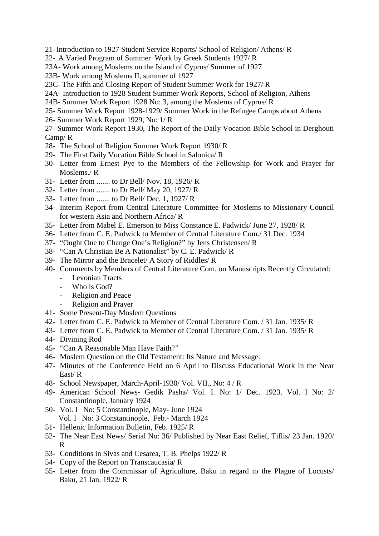- 21-Introduction to 1927 Student Service Reports/ School of Religion/ Athens/ R
- 22- A Varied Program of Summer Work by Greek Students 1927/ R
- 23A- Work among Moslems on the Island of Cyprus/ Summer of 1927
- 23B- Work among Moslems II, summer of 1927
- 23C- The Fifth and Closing Report of Student Summer Work for 1927/ R
- 24A- Introduction to 1928 Student Summer Work Reports, School of Religion, Athens
- 24B- Summer Work Report 1928 No: 3, among the Moslems of Cyprus/ R
- 25- Summer Work Report 1928-1929/ Summer Work in the Refugee Camps about Athens
- 26- Summer Work Report 1929, No: 1/ R
- 27- Summer Work Report 1930, The Report of the Daily Vocation Bible School in Derghouti Camp/ R
- 28- The School of Religion Summer Work Report 1930/ R
- 29- The First Daily Vocation Bible School in Salonica/ R
- 30- Letter from Ernest Pye to the Members of the Fellowship for Work and Prayer for Moslems./ R
- 31- Letter from ....... to Dr Bell/ Nov. 18, 1926/ R
- 32- Letter from ....... to Dr Bell/ May 20, 1927/ R
- 33- Letter from ....... to Dr Bell/ Dec. 1, 1927/ R
- 34- Interim Report from Central Literature Committee for Moslems to Missionary Council for western Asia and Northern Africa/ R
- 35- Letter from Mabel E. Emerson to Miss Constance E. Padwick/ June 27, 1928/ R
- 36- Letter from C. E. Padwick to Member of Central Literature Com./ 31 Dec. 1934
- 37- "Ought One to Change One's Religion?" by Jens Christensen/ R
- 38- "Can A Christian Be A Nationalist" by C. E. Padwick/ R
- 39- The Mirror and the Bracelet/ A Story of Riddles/ R
- 40- Comments by Members of Central Literature Com. on Manuscripts Recently Circulated:
	- Levonian Tracts
	- Who is God?
	- Religion and Peace
	- Religion and Prayer
- 41- Some Present-Day Moslem Questions
- 42- Letter from C. E. Padwick to Member of Central Literature Com. / 31 Jan. 1935/ R
- 43- Letter from C. E. Padwick to Member of Central Literature Com. / 31 Jan. 1935/ R
- 44- Divining Rod
- 45- "Can A Reasonable Man Have Faith?"
- 46- Moslem Question on the Old Testament: Its Nature and Message.
- 47- Minutes of the Conference Held on 6 April to Discuss Educational Work in the Near East/ R
- 48- School Newspaper, March-April-1930/ Vol. VII., No: 4 / R
- 49- American School News- Gedik Pasha/ Vol. I. No: 1/ Dec. 1923. Vol. I No: 2/ Constantinople, January 1924
- 50- Vol. I No: 5 Constantinople, May- June 1924 Vol. I No: 3 Constantinople, Feb.- March 1924
- 51- Hellenic Information Bulletin, Feb. 1925/ R
- 52- The Near East News/ Serial No: 36/ Published by Near East Relief, Tiflis/ 23 Jan. 1920/ R
- 53- Conditions in Sivas and Cesarea, T. B. Phelps 1922/ R
- 54- Copy of the Report on Transcaucasia/ R
- 55- Letter from the Commissar of Agriculture, Baku in regard to the Plague of Locusts/ Baku, 21 Jan. 1922/ R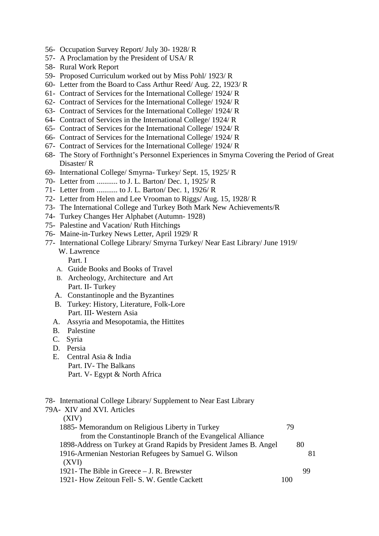- 56- Occupation Survey Report/ July 30- 1928/ R
- 57- A Proclamation by the President of USA/ R
- 58- Rural Work Report
- 59- Proposed Curriculum worked out by Miss Pohl/ 1923/ R
- 60- Letter from the Board to Cass Arthur Reed/ Aug. 22, 1923/ R
- 61- Contract of Services for the International College/ 1924/ R
- 62- Contract of Services for the International College/ 1924/ R
- 63- Contract of Services for the International College/ 1924/ R
- 64- Contract of Services in the International College/ 1924/ R
- 65- Contract of Services for the International College/ 1924/ R
- 66- Contract of Services for the International College/ 1924/ R
- 67- Contract of Services for the International College/ 1924/ R
- 68- The Story of Forthnight's Personnel Experiences in Smyrna Covering the Period of Great Disaster/ R
- 69- International College/ Smyrna- Turkey/ Sept. 15, 1925/ R
- 70- Letter from ........... to J. L. Barton/ Dec. 1, 1925/ R
- 71- Letter from ........... to J. L. Barton/ Dec. 1, 1926/ R
- 72- Letter from Helen and Lee Vrooman to Riggs/ Aug. 15, 1928/ R
- 73- The International College and Turkey Both Mark New Achievements/R
- 74- Turkey Changes Her Alphabet (Autumn- 1928)
- 75- Palestine and Vacation/ Ruth Hitchings
- 76- Maine-in-Turkey News Letter, April 1929/ R
- 77- International College Library/ Smyrna Turkey/ Near East Library/ June 1919/ W. Lawrence
	- Part. I
	- A. Guide Books and Books of Travel
	- B. Archeology, Architecture and Art Part. II- Turkey
	- A. Constantinople and the Byzantines
	- B. Turkey: History, Literature, Folk-Lore Part. III- Western Asia
	- A. Assyria and Mesopotamia, the Hittites
	- B. Palestine
	- C. Syria
	- D. Persia
	- E. Central Asia & India Part. IV- The Balkans Part. V- Egypt & North Africa

# 78- International College Library/ Supplement to Near East Library

| 79A- XIV and XVI. Articles                                         |     |
|--------------------------------------------------------------------|-----|
| (XIV)                                                              |     |
| 1885 Memorandum on Religious Liberty in Turkey                     | 79  |
| from the Constantinople Branch of the Evangelical Alliance         |     |
| 1898-Address on Turkey at Grand Rapids by President James B. Angel | 80  |
| 1916-Armenian Nestorian Refugees by Samuel G. Wilson<br>(XVI)      | 81  |
| 1921 - The Bible in Greece $-$ J. R. Brewster                      | -99 |
| 1921 - How Zeitoun Fell - S. W. Gentle Cackett                     | 100 |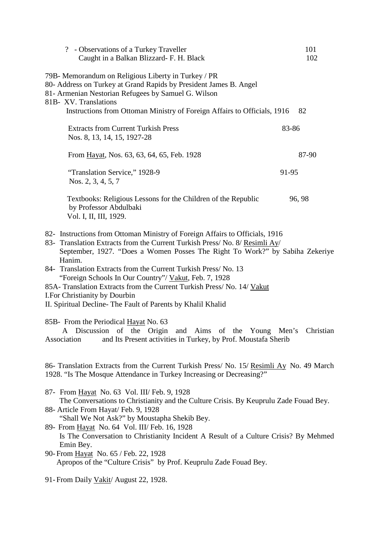| ? - Observations of a Turkey Traveller<br>Caught in a Balkan Blizzard- F. H. Black                                                                                                                                                                                                                                                                                                                                                                                                                                                                           | 101<br>102 |
|--------------------------------------------------------------------------------------------------------------------------------------------------------------------------------------------------------------------------------------------------------------------------------------------------------------------------------------------------------------------------------------------------------------------------------------------------------------------------------------------------------------------------------------------------------------|------------|
| 79B- Memorandum on Religious Liberty in Turkey / PR<br>80- Address on Turkey at Grand Rapids by President James B. Angel<br>81- Armenian Nestorian Refugees by Samuel G. Wilson<br>81B- XV. Translations                                                                                                                                                                                                                                                                                                                                                     |            |
| Instructions from Ottoman Ministry of Foreign Affairs to Officials, 1916                                                                                                                                                                                                                                                                                                                                                                                                                                                                                     | 82         |
| <b>Extracts from Current Turkish Press</b><br>Nos. 8, 13, 14, 15, 1927-28                                                                                                                                                                                                                                                                                                                                                                                                                                                                                    | 83-86      |
| From Hayat, Nos. 63, 63, 64, 65, Feb. 1928                                                                                                                                                                                                                                                                                                                                                                                                                                                                                                                   | 87-90      |
| "Translation Service," 1928-9<br>Nos. 2, 3, 4, 5, 7                                                                                                                                                                                                                                                                                                                                                                                                                                                                                                          | 91-95      |
| Textbooks: Religious Lessons for the Children of the Republic<br>by Professor Abdulbaki<br>Vol. I, II, III, 1929.                                                                                                                                                                                                                                                                                                                                                                                                                                            | 96, 98     |
| 82- Instructions from Ottoman Ministry of Foreign Affairs to Officials, 1916<br>83- Translation Extracts from the Current Turkish Press/ No. 8/ Resimli Ay/<br>September, 1927. "Does a Women Posses The Right To Work?" by Sabiha Zekeriye<br>Hanim.<br>84- Translation Extracts from the Current Turkish Press/No. 13<br>"Foreign Schools In Our Country"/ Vakut, Feb. 7, 1928<br>85A-Translation Extracts from the Current Turkish Press/ No. 14/ Vakut<br>I. For Christianity by Dourbin<br>II. Spiritual Decline- The Fault of Parents by Khalil Khalid |            |
| 85B- From the Periodical Hayat No. 63<br>A Discussion of the Origin and Aims of the Young Men's Christian<br>and Its Present activities in Turkey, by Prof. Moustafa Sherib<br>Association                                                                                                                                                                                                                                                                                                                                                                   |            |
| 86- Translation Extracts from the Current Turkish Press/ No. 15/ Resimit Ay No. 49 March<br>1928. "Is The Mosque Attendance in Turkey Increasing or Decreasing?"                                                                                                                                                                                                                                                                                                                                                                                             |            |
| 87- From Hayat No. 63 Vol. III/ Feb. 9, 1928<br>The Conversations to Christianity and the Culture Crisis. By Keuprulu Zade Fouad Bey.<br>88- Article From Hayat/Feb. 9, 1928<br>"Shall We Not Ask?" by Moustapha Shekib Bey.                                                                                                                                                                                                                                                                                                                                 |            |
| 89- From Hayat No. 64 Vol. III/ Feb. 16, 1928<br>Is The Conversation to Christianity Incident A Result of a Culture Crisis? By Mehmed<br>Emin Bey.                                                                                                                                                                                                                                                                                                                                                                                                           |            |
| 90- From Hayat No. 65 / Feb. 22, 1928<br>Apropos of the "Culture Crisis" by Prof. Keuprulu Zade Fouad Bey.                                                                                                                                                                                                                                                                                                                                                                                                                                                   |            |

91- From Daily Vakit/ August 22, 1928.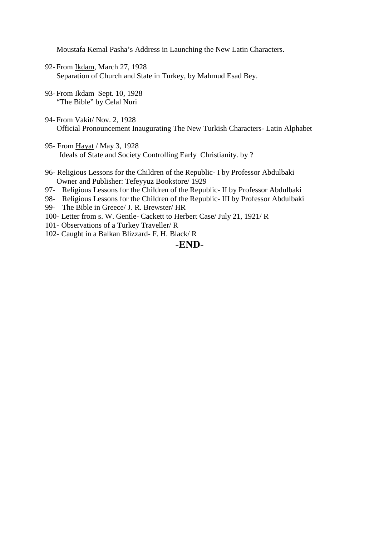Moustafa Kemal Pasha's Address in Launching the New Latin Characters.

- 92- From Ikdam, March 27, 1928 Separation of Church and State in Turkey, by Mahmud Esad Bey.
- 93- From Ikdam Sept. 10, 1928 "The Bible" by Celal Nuri
- 94- From Vakit/ Nov. 2, 1928 Official Pronouncement Inaugurating The New Turkish Characters- Latin Alphabet
- 95- From Hayat / May 3, 1928 Ideals of State and Society Controlling Early Christianity. by ?
- 96- Religious Lessons for the Children of the Republic- I by Professor Abdulbaki Owner and Publisher: Tefeyyuz Bookstore/ 1929
- 97- Religious Lessons for the Children of the Republic- II by Professor Abdulbaki
- 98- Religious Lessons for the Children of the Republic- III by Professor Abdulbaki
- 99- The Bible in Greece/ J. R. Brewster/ HR
- 100- Letter from s. W. Gentle- Cackett to Herbert Case/ July 21, 1921/ R
- 101- Observations of a Turkey Traveller/ R
- 102- Caught in a Balkan Blizzard- F. H. Black/ R

# **-END-**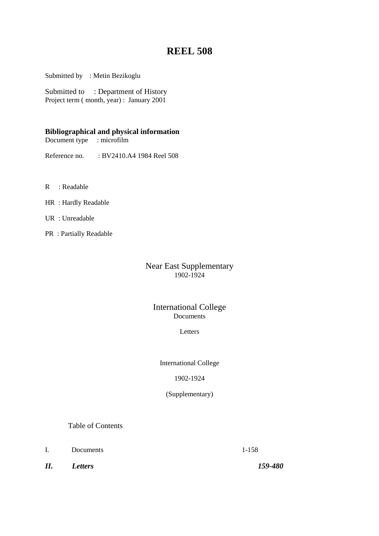# **REEL 508**

Submitted by : Metin Bezikoglu

Submitted to : Department of History Project term (month, year) : January 2001

# **Bibliographical and physical information**

Document type : microfilm

Reference no. : BV2410.A4 1984 Reel 508

- R : Readable
- HR : Hardly Readable
- UR : Unreadable
- PR : Partially Readable

# Near East Supplementary 1902-1924

# International College Documents

# Letters

International College

# 1902-1924

(Supplementary)

Table of Contents

I. Documents 1-158

*II. Letters 159-480*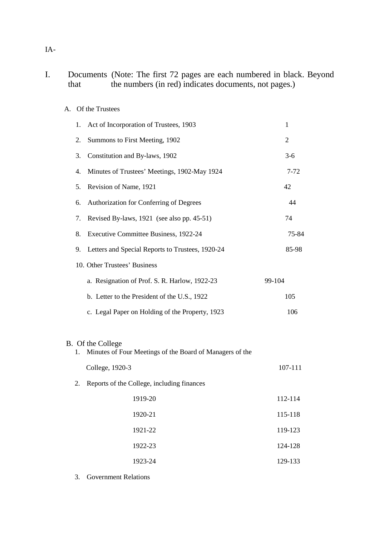# I. Documents (Note: The first 72 pages are each numbered in black. Beyond that the numbers (in red) indicates documents, not pages.)

# A. Of the Trustees

| 1. | Act of Incorporation of Trustees, 1903                                        | 1        |
|----|-------------------------------------------------------------------------------|----------|
| 2. | Summons to First Meeting, 1902                                                | 2        |
| 3. | Constitution and By-laws, 1902                                                | $3-6$    |
| 4. | Minutes of Trustees' Meetings, 1902-May 1924                                  | $7 - 72$ |
| 5. | Revision of Name, 1921                                                        | 42       |
| 6. | Authorization for Conferring of Degrees                                       | 44       |
| 7. | Revised By-laws, 1921 (see also pp. 45-51)                                    | 74       |
| 8. | Executive Committee Business, 1922-24                                         | 75-84    |
| 9. | Letters and Special Reports to Trustees, 1920-24                              | 85-98    |
|    | 10. Other Trustees' Business                                                  |          |
|    | a. Resignation of Prof. S. R. Harlow, 1922-23                                 | 99-104   |
|    | b. Letter to the President of the U.S., 1922                                  | 105      |
|    | c. Legal Paper on Holding of the Property, 1923                               | 106      |
|    |                                                                               |          |
| 1. | B. Of the College<br>Minutes of Four Meetings of the Board of Managers of the |          |
|    | College, 1920-3                                                               | 107-111  |
| 2. | Reports of the College, including finances                                    |          |
|    | 1919-20                                                                       | 112-114  |
|    | 1920-21                                                                       | 115-118  |
|    | 1921-22                                                                       | 119-123  |
|    | 1922-23                                                                       | 124-128  |
|    | 1923-24                                                                       | 129-133  |
|    |                                                                               |          |

3. Government Relations

IA-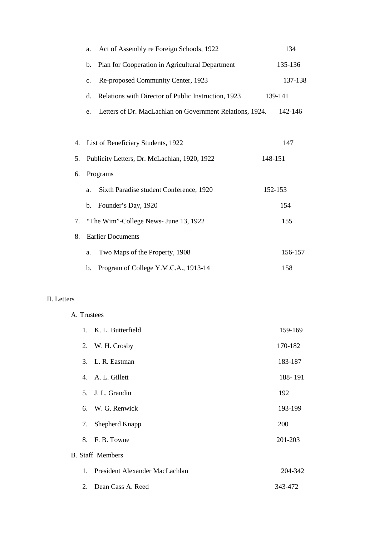|    | a. | Act of Assembly re Foreign Schools, 1922                 | 134     |
|----|----|----------------------------------------------------------|---------|
|    | b. | Plan for Cooperation in Agricultural Department          | 135-136 |
|    | c. | Re-proposed Community Center, 1923                       | 137-138 |
|    | d. | Relations with Director of Public Instruction, 1923      | 139-141 |
|    | e. | Letters of Dr. MacLachlan on Government Relations, 1924. | 142-146 |
|    |    |                                                          |         |
| 4. |    | List of Beneficiary Students, 1922                       | 147     |
| 5. |    | Publicity Letters, Dr. McLachlan, 1920, 1922             | 148-151 |
| 6. |    | Programs                                                 |         |
|    | a. | Sixth Paradise student Conference, 1920                  | 152-153 |
|    | b. | Founder's Day, 1920                                      | 154     |
| 7. |    | "The Wim"-College News- June 13, 1922                    | 155     |
| 8. |    | <b>Earlier Documents</b>                                 |         |
|    | a. | Two Maps of the Property, 1908                           | 156-157 |
|    | b. | Program of College Y.M.C.A., 1913-14                     | 158     |

# II. Letters

# A. Trustees

|         | 1. K. L. Butterfield           | 159-169 |
|---------|--------------------------------|---------|
|         | 2. W. H. Crosby                | 170-182 |
|         | 3. L. R. Eastman               | 183-187 |
|         | 4. A. L. Gillett               | 188-191 |
|         | 5. J. L. Grandin               | 192     |
|         | 6. W. G. Renwick               | 193-199 |
| 7.      | Shepherd Knapp                 | 200     |
|         | 8. F. B. Towne                 | 201-203 |
|         | <b>B.</b> Staff Members        |         |
| $1_{-}$ | President Alexander MacLachlan | 204-342 |
| 2.      | Dean Cass A. Reed              | 343-472 |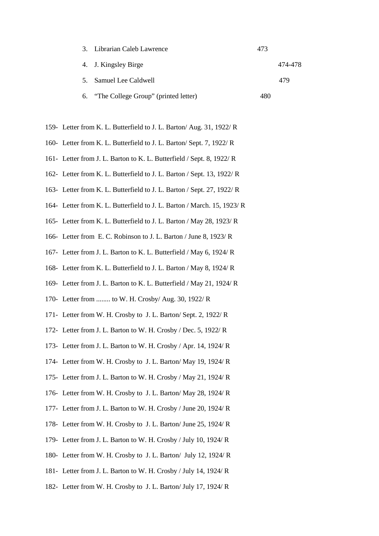| 3. Librarian Caleb Lawrence             | 473 |         |
|-----------------------------------------|-----|---------|
| 4. J. Kingsley Birge                    |     | 474-478 |
| 5. Samuel Lee Caldwell                  |     | 479     |
| 6. "The College Group" (printed letter) | 480 |         |

- 159- Letter from K. L. Butterfield to J. L. Barton/ Aug. 31, 1922/ R
- 160- Letter from K. L. Butterfield to J. L. Barton/ Sept. 7, 1922/ R
- 161- Letter from J. L. Barton to K. L. Butterfield / Sept. 8, 1922/ R
- 162- Letter from K. L. Butterfield to J. L. Barton / Sept. 13, 1922/ R
- 163- Letter from K. L. Butterfield to J. L. Barton / Sept. 27, 1922/ R
- 164- Letter from K. L. Butterfield to J. L. Barton / March. 15, 1923/ R
- 165- Letter from K. L. Butterfield to J. L. Barton / May 28, 1923/ R
- 166- Letter from E. C. Robinson to J. L. Barton / June 8, 1923/ R
- 167- Letter from J. L. Barton to K. L. Butterfield / May 6, 1924/ R
- 168- Letter from K. L. Butterfield to J. L. Barton / May 8, 1924/ R
- 169- Letter from J. L. Barton to K. L. Butterfield / May 21, 1924/ R
- 170- Letter from ........ to W. H. Crosby/ Aug. 30, 1922/ R
- 171- Letter from W. H. Crosby to J. L. Barton/ Sept. 2, 1922/ R
- 172- Letter from J. L. Barton to W. H. Crosby / Dec. 5, 1922/ R
- 173- Letter from J. L. Barton to W. H. Crosby / Apr. 14, 1924/ R
- 174- Letter from W. H. Crosby to J. L. Barton/ May 19, 1924/ R
- 175- Letter from J. L. Barton to W. H. Crosby / May 21, 1924/ R
- 176- Letter from W. H. Crosby to J. L. Barton/ May 28, 1924/ R
- 177- Letter from J. L. Barton to W. H. Crosby / June 20, 1924/ R
- 178- Letter from W. H. Crosby to J. L. Barton/ June 25, 1924/ R
- 179- Letter from J. L. Barton to W. H. Crosby / July 10, 1924/ R
- 180- Letter from W. H. Crosby to J. L. Barton/ July 12, 1924/ R
- 181- Letter from J. L. Barton to W. H. Crosby / July 14, 1924/ R
- 182- Letter from W. H. Crosby to J. L. Barton/ July 17, 1924/ R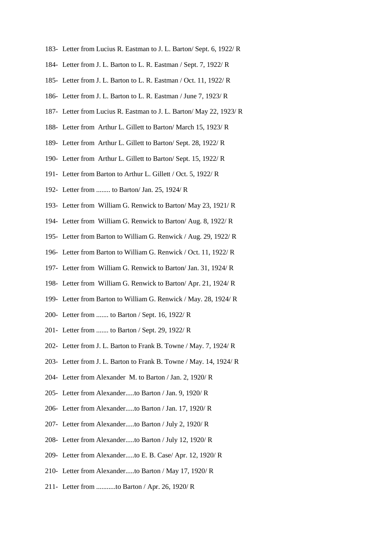- 183- Letter from Lucius R. Eastman to J. L. Barton/ Sept. 6, 1922/ R
- 184- Letter from J. L. Barton to L. R. Eastman / Sept. 7, 1922/ R
- 185- Letter from J. L. Barton to L. R. Eastman / Oct. 11, 1922/ R
- 186- Letter from J. L. Barton to L. R. Eastman / June 7, 1923/ R
- 187- Letter from Lucius R. Eastman to J. L. Barton/ May 22, 1923/ R
- 188- Letter from Arthur L. Gillett to Barton/ March 15, 1923/ R
- 189- Letter from Arthur L. Gillett to Barton/ Sept. 28, 1922/ R
- 190- Letter from Arthur L. Gillett to Barton/ Sept. 15, 1922/ R
- 191- Letter from Barton to Arthur L. Gillett / Oct. 5, 1922/ R
- 192- Letter from ........ to Barton/ Jan. 25, 1924/ R
- 193- Letter from William G. Renwick to Barton/ May 23, 1921/ R
- 194- Letter from William G. Renwick to Barton/ Aug. 8, 1922/ R
- 195- Letter from Barton to William G. Renwick / Aug. 29, 1922/ R
- 196- Letter from Barton to William G. Renwick / Oct. 11, 1922/ R
- 197- Letter from William G. Renwick to Barton/ Jan. 31, 1924/ R
- 198- Letter from William G. Renwick to Barton/ Apr. 21, 1924/ R
- 199- Letter from Barton to William G. Renwick / May. 28, 1924/ R
- 200- Letter from ....... to Barton / Sept. 16, 1922/ R
- 201- Letter from ....... to Barton / Sept. 29, 1922/ R
- 202- Letter from J. L. Barton to Frank B. Towne / May. 7, 1924/ R
- 203- Letter from J. L. Barton to Frank B. Towne / May. 14, 1924/ R
- 204- Letter from Alexander M. to Barton / Jan. 2, 1920/ R
- 205- Letter from Alexander.....to Barton / Jan. 9, 1920/ R
- 206- Letter from Alexander.....to Barton / Jan. 17, 1920/ R
- 207- Letter from Alexander.....to Barton / July 2, 1920/ R
- 208- Letter from Alexander.....to Barton / July 12, 1920/ R
- 209- Letter from Alexander.....to E. B. Case/ Apr. 12, 1920/ R
- 210- Letter from Alexander.....to Barton / May 17, 1920/ R
- 211- Letter from ...........to Barton / Apr. 26, 1920/ R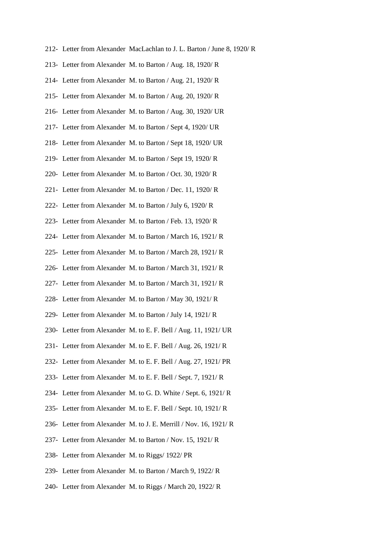- 212- Letter from Alexander MacLachlan to J. L. Barton / June 8, 1920/ R
- 213- Letter from Alexander M. to Barton / Aug. 18, 1920/ R
- 214- Letter from Alexander M. to Barton / Aug. 21, 1920/ R
- 215- Letter from Alexander M. to Barton / Aug. 20, 1920/ R
- 216- Letter from Alexander M. to Barton / Aug. 30, 1920/ UR
- 217- Letter from Alexander M. to Barton / Sept 4, 1920/ UR
- 218- Letter from Alexander M. to Barton / Sept 18, 1920/ UR
- 219- Letter from Alexander M. to Barton / Sept 19, 1920/ R
- 220- Letter from Alexander M. to Barton / Oct. 30, 1920/ R
- 221- Letter from Alexander M. to Barton / Dec. 11, 1920/ R
- 222- Letter from Alexander M. to Barton / July 6, 1920/ R
- 223- Letter from Alexander M. to Barton / Feb. 13, 1920/ R
- 224- Letter from Alexander M. to Barton / March 16, 1921/ R
- 225- Letter from Alexander M. to Barton / March 28, 1921/ R
- 226- Letter from Alexander M. to Barton / March 31, 1921/ R
- 227- Letter from Alexander M. to Barton / March 31, 1921/ R
- 228- Letter from Alexander M. to Barton / May 30, 1921/ R
- 229- Letter from Alexander M. to Barton / July 14, 1921/ R
- 230- Letter from Alexander M. to E. F. Bell / Aug. 11, 1921/ UR
- 231- Letter from Alexander M. to E. F. Bell / Aug. 26, 1921/ R
- 232- Letter from Alexander M. to E. F. Bell / Aug. 27, 1921/ PR
- 233- Letter from Alexander M. to E. F. Bell / Sept. 7, 1921/ R
- 234- Letter from Alexander M. to G. D. White / Sept. 6, 1921/ R
- 235- Letter from Alexander M. to E. F. Bell / Sept. 10, 1921/ R
- 236- Letter from Alexander M. to J. E. Merrill / Nov. 16, 1921/ R
- 237- Letter from Alexander M. to Barton / Nov. 15, 1921/ R
- 238- Letter from Alexander M. to Riggs/ 1922/ PR
- 239- Letter from Alexander M. to Barton / March 9, 1922/ R
- 240- Letter from Alexander M. to Riggs / March 20, 1922/ R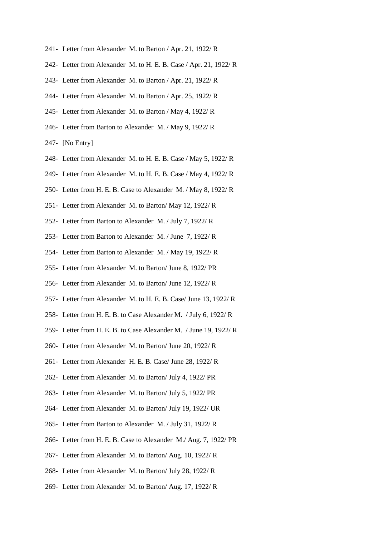- 241- Letter from Alexander M. to Barton / Apr. 21, 1922/ R
- 242- Letter from Alexander M. to H. E. B. Case / Apr. 21, 1922/ R
- 243- Letter from Alexander M. to Barton / Apr. 21, 1922/ R
- 244- Letter from Alexander M. to Barton / Apr. 25, 1922/ R
- 245- Letter from Alexander M. to Barton / May 4, 1922/ R
- 246- Letter from Barton to Alexander M. / May 9, 1922/ R
- 247- [No Entry]
- 248- Letter from Alexander M. to H. E. B. Case / May 5, 1922/ R
- 249- Letter from Alexander M. to H. E. B. Case / May 4, 1922/ R
- 250- Letter from H. E. B. Case to Alexander M. / May 8, 1922/ R
- 251- Letter from Alexander M. to Barton/ May 12, 1922/ R
- 252- Letter from Barton to Alexander M. / July 7, 1922/ R
- 253- Letter from Barton to Alexander M. / June 7, 1922/ R
- 254- Letter from Barton to Alexander M. / May 19, 1922/ R
- 255- Letter from Alexander M. to Barton/ June 8, 1922/ PR
- 256- Letter from Alexander M. to Barton/ June 12, 1922/ R
- 257- Letter from Alexander M. to H. E. B. Case/ June 13, 1922/ R
- 258- Letter from H. E. B. to Case Alexander M. / July 6, 1922/ R
- 259- Letter from H. E. B. to Case Alexander M. / June 19, 1922/ R
- 260- Letter from Alexander M. to Barton/ June 20, 1922/ R
- 261- Letter from Alexander H. E. B. Case/ June 28, 1922/ R
- 262- Letter from Alexander M. to Barton/ July 4, 1922/ PR
- 263- Letter from Alexander M. to Barton/ July 5, 1922/ PR
- 264- Letter from Alexander M. to Barton/ July 19, 1922/ UR
- 265- Letter from Barton to Alexander M. / July 31, 1922/ R
- 266- Letter from H. E. B. Case to Alexander M./ Aug. 7, 1922/ PR
- 267- Letter from Alexander M. to Barton/ Aug. 10, 1922/ R
- 268- Letter from Alexander M. to Barton/ July 28, 1922/ R
- 269- Letter from Alexander M. to Barton/ Aug. 17, 1922/ R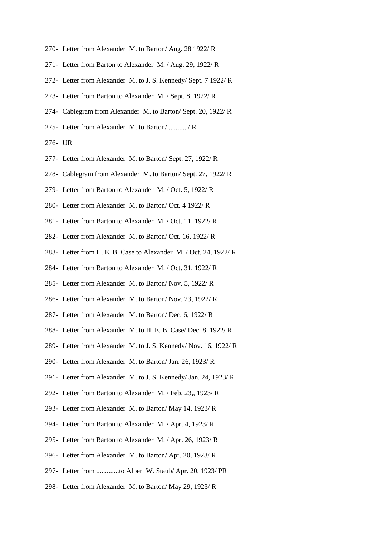- 270- Letter from Alexander M. to Barton/ Aug. 28 1922/ R
- 271- Letter from Barton to Alexander M. / Aug. 29, 1922/ R
- 272- Letter from Alexander M. to J. S. Kennedy/ Sept. 7 1922/ R
- 273- Letter from Barton to Alexander M. / Sept. 8, 1922/ R
- 274- Cablegram from Alexander M. to Barton/ Sept. 20, 1922/ R
- 275- Letter from Alexander M. to Barton/ .........../ R
- 276- UR
- 277- Letter from Alexander M. to Barton/ Sept. 27, 1922/ R
- 278- Cablegram from Alexander M. to Barton/ Sept. 27, 1922/ R
- 279- Letter from Barton to Alexander M. / Oct. 5, 1922/ R
- 280- Letter from Alexander M. to Barton/ Oct. 4 1922/ R
- 281- Letter from Barton to Alexander M. / Oct. 11, 1922/ R
- 282- Letter from Alexander M. to Barton/ Oct. 16, 1922/ R
- 283- Letter from H. E. B. Case to Alexander M. / Oct. 24, 1922/ R
- 284- Letter from Barton to Alexander M. / Oct. 31, 1922/ R
- 285- Letter from Alexander M. to Barton/ Nov. 5, 1922/ R
- 286- Letter from Alexander M. to Barton/ Nov. 23, 1922/ R
- 287- Letter from Alexander M. to Barton/ Dec. 6, 1922/ R
- 288- Letter from Alexander M. to H. E. B. Case/ Dec. 8, 1922/ R
- 289- Letter from Alexander M. to J. S. Kennedy/ Nov. 16, 1922/ R
- 290- Letter from Alexander M. to Barton/ Jan. 26, 1923/ R
- 291- Letter from Alexander M. to J. S. Kennedy/ Jan. 24, 1923/ R
- 292- Letter from Barton to Alexander M. / Feb. 23,, 1923/ R
- 293- Letter from Alexander M. to Barton/ May 14, 1923/ R
- 294- Letter from Barton to Alexander M. / Apr. 4, 1923/ R
- 295- Letter from Barton to Alexander M. / Apr. 26, 1923/ R
- 296- Letter from Alexander M. to Barton/ Apr. 20, 1923/ R
- 297- Letter from .............to Albert W. Staub/ Apr. 20, 1923/ PR
- 298- Letter from Alexander M. to Barton/ May 29, 1923/ R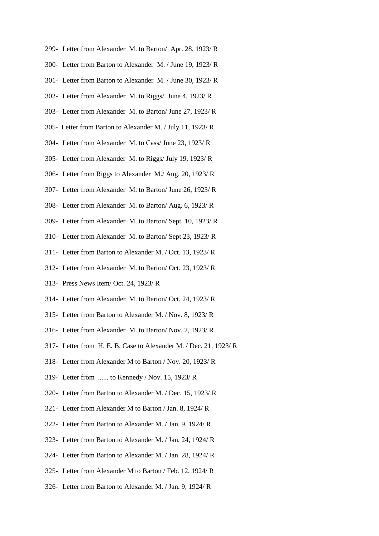- 299- Letter from Alexander M. to Barton/ Apr. 28, 1923/ R
- 300- Letter from Barton to Alexander M. / June 19, 1923/ R
- 301- Letter from Barton to Alexander M. / June 30, 1923/ R
- 302- Letter from Alexander M. to Riggs/ June 4, 1923/ R
- 303- Letter from Alexander M. to Barton/ June 27, 1923/ R
- 305- Letter from Barton to Alexander M. / July 11, 1923/ R
- 304- Letter from Alexander M. to Cass/ June 23, 1923/ R
- 305- Letter from Alexander M. to Riggs/ July 19, 1923/ R
- 306- Letter from Riggs to Alexander M./ Aug. 20, 1923/ R
- 307- Letter from Alexander M. to Barton/ June 26, 1923/ R
- 308- Letter from Alexander M. to Barton/ Aug. 6, 1923/ R
- 309- Letter from Alexander M. to Barton/ Sept. 10, 1923/ R
- 310- Letter from Alexander M. to Barton/ Sept 23, 1923/ R
- 311- Letter from Barton to Alexander M. / Oct. 13, 1923/ R
- 312- Letter from Alexander M. to Barton/ Oct. 23, 1923/ R
- 313- Press News Item/ Oct. 24, 1923/ R
- 314- Letter from Alexander M. to Barton/ Oct. 24, 1923/ R
- 315- Letter from Barton to Alexander M. / Nov. 8, 1923/ R
- 316- Letter from Alexander M. to Barton/ Nov. 2, 1923/ R
- 317- Letter from H. E. B. Case to Alexander M. / Dec. 21, 1923/ R
- 318- Letter from Alexander M to Barton / Nov. 20, 1923/ R
- 319- Letter from ...... to Kennedy / Nov. 15, 1923/ R
- 320- Letter from Barton to Alexander M. / Dec. 15, 1923/ R
- 321- Letter from Alexander M to Barton / Jan. 8, 1924/ R
- 322- Letter from Barton to Alexander M. / Jan. 9, 1924/ R
- 323- Letter from Barton to Alexander M. / Jan. 24, 1924/ R
- 324- Letter from Barton to Alexander M. / Jan. 28, 1924/ R
- 325- Letter from Alexander M to Barton / Feb. 12, 1924/ R
- 326- Letter from Barton to Alexander M. / Jan. 9, 1924/ R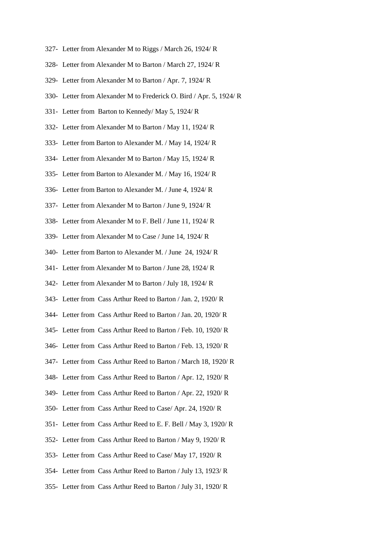- 327- Letter from Alexander M to Riggs / March 26, 1924/ R
- 328- Letter from Alexander M to Barton / March 27, 1924/ R
- 329- Letter from Alexander M to Barton / Apr. 7, 1924/ R
- 330- Letter from Alexander M to Frederick O. Bird / Apr. 5, 1924/ R
- 331- Letter from Barton to Kennedy/ May 5, 1924/ R
- 332- Letter from Alexander M to Barton / May 11, 1924/ R
- 333- Letter from Barton to Alexander M. / May 14, 1924/ R
- 334- Letter from Alexander M to Barton / May 15, 1924/ R
- 335- Letter from Barton to Alexander M. / May 16, 1924/ R
- 336- Letter from Barton to Alexander M. / June 4, 1924/ R
- 337- Letter from Alexander M to Barton / June 9, 1924/ R
- 338- Letter from Alexander M to F. Bell / June 11, 1924/ R
- 339- Letter from Alexander M to Case / June 14, 1924/ R
- 340- Letter from Barton to Alexander M. / June 24, 1924/ R
- 341- Letter from Alexander M to Barton / June 28, 1924/ R
- 342- Letter from Alexander M to Barton / July 18, 1924/ R
- 343- Letter from Cass Arthur Reed to Barton / Jan. 2, 1920/ R
- 344- Letter from Cass Arthur Reed to Barton / Jan. 20, 1920/ R
- 345- Letter from Cass Arthur Reed to Barton / Feb. 10, 1920/ R
- 346- Letter from Cass Arthur Reed to Barton / Feb. 13, 1920/ R
- 347- Letter from Cass Arthur Reed to Barton / March 18, 1920/ R
- 348- Letter from Cass Arthur Reed to Barton / Apr. 12, 1920/ R
- 349- Letter from Cass Arthur Reed to Barton / Apr. 22, 1920/ R
- 350- Letter from Cass Arthur Reed to Case/ Apr. 24, 1920/ R
- 351- Letter from Cass Arthur Reed to E. F. Bell / May 3, 1920/ R
- 352- Letter from Cass Arthur Reed to Barton / May 9, 1920/ R
- 353- Letter from Cass Arthur Reed to Case/ May 17, 1920/ R
- 354- Letter from Cass Arthur Reed to Barton / July 13, 1923/ R
- 355- Letter from Cass Arthur Reed to Barton / July 31, 1920/ R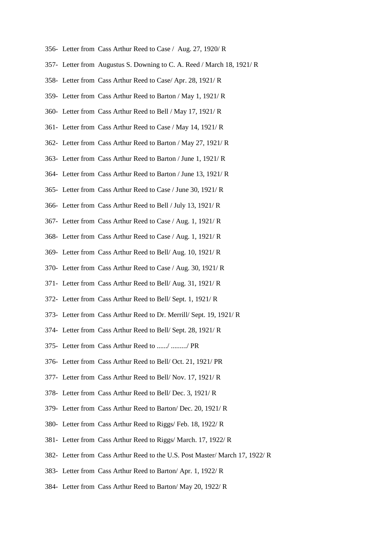- 356- Letter from Cass Arthur Reed to Case / Aug. 27, 1920/ R
- 357- Letter from Augustus S. Downing to C. A. Reed / March 18, 1921/ R
- 358- Letter from Cass Arthur Reed to Case/ Apr. 28, 1921/ R
- 359- Letter from Cass Arthur Reed to Barton / May 1, 1921/ R
- 360- Letter from Cass Arthur Reed to Bell / May 17, 1921/ R
- 361- Letter from Cass Arthur Reed to Case / May 14, 1921/ R
- 362- Letter from Cass Arthur Reed to Barton / May 27, 1921/ R
- 363- Letter from Cass Arthur Reed to Barton / June 1, 1921/ R
- 364- Letter from Cass Arthur Reed to Barton / June 13, 1921/ R
- 365- Letter from Cass Arthur Reed to Case / June 30, 1921/ R
- 366- Letter from Cass Arthur Reed to Bell / July 13, 1921/ R
- 367- Letter from Cass Arthur Reed to Case / Aug. 1, 1921/ R
- 368- Letter from Cass Arthur Reed to Case / Aug. 1, 1921/ R
- 369- Letter from Cass Arthur Reed to Bell/ Aug. 10, 1921/ R
- 370- Letter from Cass Arthur Reed to Case / Aug. 30, 1921/ R
- 371- Letter from Cass Arthur Reed to Bell/ Aug. 31, 1921/ R
- 372- Letter from Cass Arthur Reed to Bell/ Sept. 1, 1921/ R
- 373- Letter from Cass Arthur Reed to Dr. Merrill/ Sept. 19, 1921/ R
- 374- Letter from Cass Arthur Reed to Bell/ Sept. 28, 1921/ R
- 375- Letter from Cass Arthur Reed to ....../ ........./ PR
- 376- Letter from Cass Arthur Reed to Bell/ Oct. 21, 1921/ PR
- 377- Letter from Cass Arthur Reed to Bell/ Nov. 17, 1921/ R
- 378- Letter from Cass Arthur Reed to Bell/ Dec. 3, 1921/ R
- 379- Letter from Cass Arthur Reed to Barton/ Dec. 20, 1921/ R
- 380- Letter from Cass Arthur Reed to Riggs/ Feb. 18, 1922/ R
- 381- Letter from Cass Arthur Reed to Riggs/ March. 17, 1922/ R
- 382- Letter from Cass Arthur Reed to the U.S. Post Master/ March 17, 1922/ R
- 383- Letter from Cass Arthur Reed to Barton/ Apr. 1, 1922/ R
- 384- Letter from Cass Arthur Reed to Barton/ May 20, 1922/ R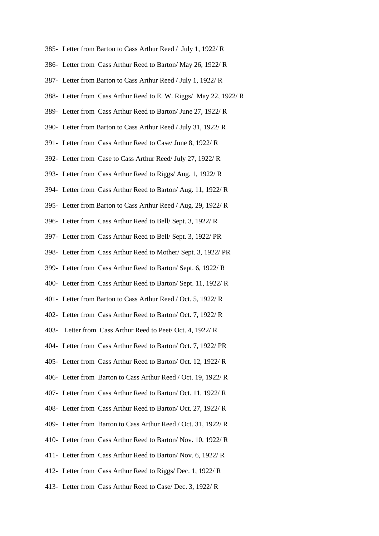- 385- Letter from Barton to Cass Arthur Reed / July 1, 1922/ R
- 386- Letter from Cass Arthur Reed to Barton/ May 26, 1922/ R
- 387- Letter from Barton to Cass Arthur Reed / July 1, 1922/ R
- 388- Letter from Cass Arthur Reed to E. W. Riggs/ May 22, 1922/ R
- 389- Letter from Cass Arthur Reed to Barton/ June 27, 1922/ R
- 390- Letter from Barton to Cass Arthur Reed / July 31, 1922/ R
- 391- Letter from Cass Arthur Reed to Case/ June 8, 1922/ R
- 392- Letter from Case to Cass Arthur Reed/ July 27, 1922/ R
- 393- Letter from Cass Arthur Reed to Riggs/ Aug. 1, 1922/ R
- 394- Letter from Cass Arthur Reed to Barton/ Aug. 11, 1922/ R
- 395- Letter from Barton to Cass Arthur Reed / Aug. 29, 1922/ R
- 396- Letter from Cass Arthur Reed to Bell/ Sept. 3, 1922/ R
- 397- Letter from Cass Arthur Reed to Bell/ Sept. 3, 1922/ PR
- 398- Letter from Cass Arthur Reed to Mother/ Sept. 3, 1922/ PR
- 399- Letter from Cass Arthur Reed to Barton/ Sept. 6, 1922/ R
- 400- Letter from Cass Arthur Reed to Barton/ Sept. 11, 1922/ R
- 401- Letter from Barton to Cass Arthur Reed / Oct. 5, 1922/ R
- 402- Letter from Cass Arthur Reed to Barton/ Oct. 7, 1922/ R
- 403- Letter from Cass Arthur Reed to Peet/ Oct. 4, 1922/ R
- 404- Letter from Cass Arthur Reed to Barton/ Oct. 7, 1922/ PR
- 405- Letter from Cass Arthur Reed to Barton/ Oct. 12, 1922/ R
- 406- Letter from Barton to Cass Arthur Reed / Oct. 19, 1922/ R
- 407- Letter from Cass Arthur Reed to Barton/ Oct. 11, 1922/ R
- 408- Letter from Cass Arthur Reed to Barton/ Oct. 27, 1922/ R
- 409- Letter from Barton to Cass Arthur Reed / Oct. 31, 1922/ R
- 410- Letter from Cass Arthur Reed to Barton/ Nov. 10, 1922/ R
- 411- Letter from Cass Arthur Reed to Barton/ Nov. 6, 1922/ R
- 412- Letter from Cass Arthur Reed to Riggs/ Dec. 1, 1922/ R
- 413- Letter from Cass Arthur Reed to Case/ Dec. 3, 1922/ R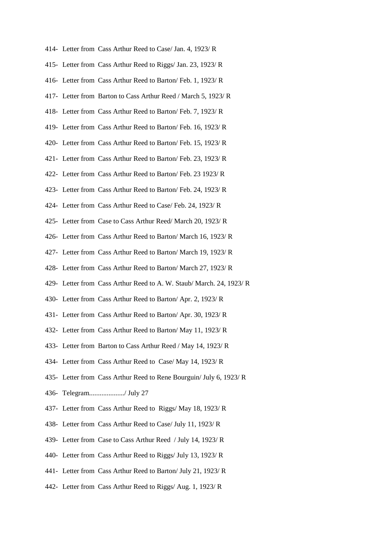- 414- Letter from Cass Arthur Reed to Case/ Jan. 4, 1923/ R 415- Letter from Cass Arthur Reed to Riggs/ Jan. 23, 1923/ R 416- Letter from Cass Arthur Reed to Barton/ Feb. 1, 1923/ R 417- Letter from Barton to Cass Arthur Reed / March 5, 1923/ R 418- Letter from Cass Arthur Reed to Barton/ Feb. 7, 1923/ R 419- Letter from Cass Arthur Reed to Barton/ Feb. 16, 1923/ R 420- Letter from Cass Arthur Reed to Barton/ Feb. 15, 1923/ R 421- Letter from Cass Arthur Reed to Barton/ Feb. 23, 1923/ R 422- Letter from Cass Arthur Reed to Barton/ Feb. 23 1923/ R 423- Letter from Cass Arthur Reed to Barton/ Feb. 24, 1923/ R 424- Letter from Cass Arthur Reed to Case/ Feb. 24, 1923/ R 425- Letter from Case to Cass Arthur Reed/ March 20, 1923/ R 426- Letter from Cass Arthur Reed to Barton/ March 16, 1923/ R 427- Letter from Cass Arthur Reed to Barton/ March 19, 1923/ R 428- Letter from Cass Arthur Reed to Barton/ March 27, 1923/ R 429- Letter from Cass Arthur Reed to A. W. Staub/ March. 24, 1923/ R 430- Letter from Cass Arthur Reed to Barton/ Apr. 2, 1923/ R 431- Letter from Cass Arthur Reed to Barton/ Apr. 30, 1923/ R 432- Letter from Cass Arthur Reed to Barton/ May 11, 1923/ R 433- Letter from Barton to Cass Arthur Reed / May 14, 1923/ R 434- Letter from Cass Arthur Reed to Case/ May 14, 1923/ R 435- Letter from Cass Arthur Reed to Rene Bourguin/ July 6, 1923/ R 436- Telegram..................../ July 27 437- Letter from Cass Arthur Reed to Riggs/ May 18, 1923/ R 438- Letter from Cass Arthur Reed to Case/ July 11, 1923/ R 439- Letter from Case to Cass Arthur Reed / July 14, 1923/ R 440- Letter from Cass Arthur Reed to Riggs/ July 13, 1923/ R 441- Letter from Cass Arthur Reed to Barton/ July 21, 1923/ R
- 442- Letter from Cass Arthur Reed to Riggs/ Aug. 1, 1923/ R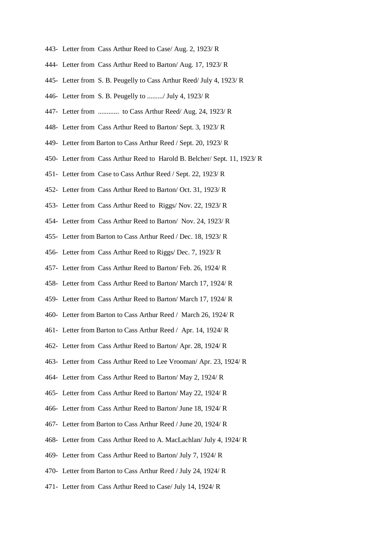- 443- Letter from Cass Arthur Reed to Case/ Aug. 2, 1923/ R
- 444- Letter from Cass Arthur Reed to Barton/ Aug. 17, 1923/ R
- 445- Letter from S. B. Peugelly to Cass Arthur Reed/ July 4, 1923/ R
- 446- Letter from S. B. Peugelly to ........./ July 4, 1923/ R
- 447- Letter from ............ to Cass Arthur Reed/ Aug. 24, 1923/ R
- 448- Letter from Cass Arthur Reed to Barton/ Sept. 3, 1923/ R
- 449- Letter from Barton to Cass Arthur Reed / Sept. 20, 1923/ R
- 450- Letter from Cass Arthur Reed to Harold B. Belcher/ Sept. 11, 1923/ R
- 451- Letter from Case to Cass Arthur Reed / Sept. 22, 1923/ R
- 452- Letter from Cass Arthur Reed to Barton/ Oct. 31, 1923/ R
- 453- Letter from Cass Arthur Reed to Riggs/ Nov. 22, 1923/ R
- 454- Letter from Cass Arthur Reed to Barton/ Nov. 24, 1923/ R
- 455- Letter from Barton to Cass Arthur Reed / Dec. 18, 1923/ R
- 456- Letter from Cass Arthur Reed to Riggs/ Dec. 7, 1923/ R
- 457- Letter from Cass Arthur Reed to Barton/ Feb. 26, 1924/ R
- 458- Letter from Cass Arthur Reed to Barton/ March 17, 1924/ R
- 459- Letter from Cass Arthur Reed to Barton/ March 17, 1924/ R
- 460- Letter from Barton to Cass Arthur Reed / March 26, 1924/ R
- 461- Letter from Barton to Cass Arthur Reed / Apr. 14, 1924/ R
- 462- Letter from Cass Arthur Reed to Barton/ Apr. 28, 1924/ R
- 463- Letter from Cass Arthur Reed to Lee Vrooman/ Apr. 23, 1924/ R
- 464- Letter from Cass Arthur Reed to Barton/ May 2, 1924/ R
- 465- Letter from Cass Arthur Reed to Barton/ May 22, 1924/ R
- 466- Letter from Cass Arthur Reed to Barton/ June 18, 1924/ R
- 467- Letter from Barton to Cass Arthur Reed / June 20, 1924/ R
- 468- Letter from Cass Arthur Reed to A. MacLachlan/ July 4, 1924/ R
- 469- Letter from Cass Arthur Reed to Barton/ July 7, 1924/ R
- 470- Letter from Barton to Cass Arthur Reed / July 24, 1924/ R
- 471- Letter from Cass Arthur Reed to Case/ July 14, 1924/ R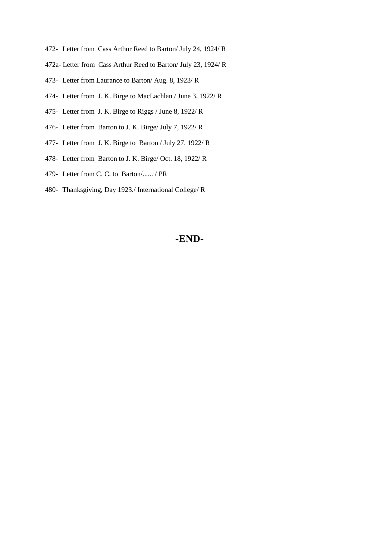- 472- Letter from Cass Arthur Reed to Barton/ July 24, 1924/ R
- 472a- Letter from Cass Arthur Reed to Barton/ July 23, 1924/ R
- 473- Letter from Laurance to Barton/ Aug. 8, 1923/ R
- 474- Letter from J. K. Birge to MacLachlan / June 3, 1922/ R
- 475- Letter from J. K. Birge to Riggs / June 8, 1922/ R
- 476- Letter from Barton to J. K. Birge/ July 7, 1922/ R
- 477- Letter from J. K. Birge to Barton / July 27, 1922/ R
- 478- Letter from Barton to J. K. Birge/ Oct. 18, 1922/ R
- 479- Letter from C. C. to Barton/...... / PR
- 480- Thanksgiving, Day 1923./ International College/ R

# **-END-**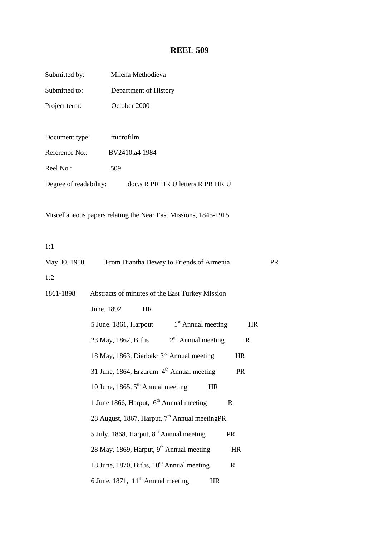# **REEL 509**

| Submitted by:  | Milena Methodieva                                                  |    |
|----------------|--------------------------------------------------------------------|----|
| Submitted to:  | Department of History                                              |    |
| Project term:  | October 2000                                                       |    |
|                |                                                                    |    |
| Document type: | microfilm                                                          |    |
| Reference No.: | BV2410.a4 1984                                                     |    |
| Reel No.:      | 509                                                                |    |
|                | Degree of readability: doc.s R PR HR U letters R PR HR U           |    |
|                |                                                                    |    |
|                | Miscellaneous papers relating the Near East Missions, 1845-1915    |    |
|                |                                                                    |    |
| 1:1            |                                                                    |    |
| May 30, 1910   | From Diantha Dewey to Friends of Armenia                           | PR |
| 1:2            |                                                                    |    |
| 1861-1898      | Abstracts of minutes of the East Turkey Mission                    |    |
|                | June, 1892<br><b>HR</b>                                            |    |
|                | $1st$ Annual meeting<br>5 June. 1861, Harpout<br><b>HR</b>         |    |
|                | $2nd$ Annual meeting<br>23 May, 1862, Bitlis<br>$\mathbf R$        |    |
|                | 18 May, 1863, Diarbakr 3 <sup>rd</sup> Annual meeting<br>HR        |    |
|                | 31 June, 1864, Erzurum 4 <sup>th</sup> Annual meeting<br><b>PR</b> |    |
|                | 10 June, 1865, $5th$ Annual meeting<br><b>HR</b>                   |    |
|                | 1 June 1866, Harput, 6 <sup>th</sup> Annual meeting<br>R           |    |
|                | 28 August, 1867, Harput, 7 <sup>th</sup> Annual meeting PR         |    |
|                | 5 July, 1868, Harput, 8 <sup>th</sup> Annual meeting<br><b>PR</b>  |    |
|                | 28 May, 1869, Harput, 9th Annual meeting<br><b>HR</b>              |    |
|                | 18 June, 1870, Bitlis, 10 <sup>th</sup> Annual meeting<br>R        |    |
|                | 6 June, 1871, $11th$ Annual meeting<br>HR                          |    |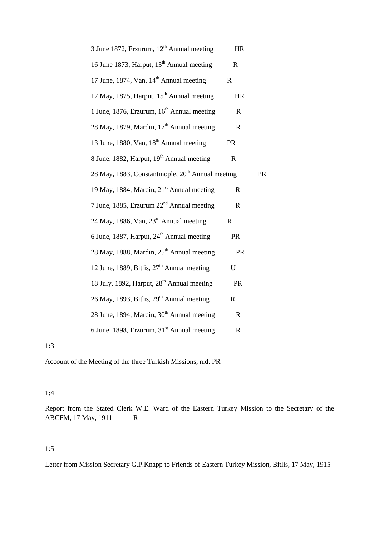| 3 June 1872, Erzurum, 12 <sup>th</sup> Annual meeting         | HR           |    |
|---------------------------------------------------------------|--------------|----|
| 16 June 1873, Harput, 13 <sup>th</sup> Annual meeting         | $\mathbf R$  |    |
| 17 June, 1874, Van, 14 <sup>th</sup> Annual meeting           | $\mathbf R$  |    |
| 17 May, 1875, Harput, 15 <sup>th</sup> Annual meeting         | <b>HR</b>    |    |
| 1 June, 1876, Erzurum, 16 <sup>th</sup> Annual meeting        | R            |    |
| 28 May, 1879, Mardin, 17 <sup>th</sup> Annual meeting         | $\mathbf R$  |    |
| 13 June, 1880, Van, 18 <sup>th</sup> Annual meeting           | <b>PR</b>    |    |
| 8 June, 1882, Harput, 19th Annual meeting                     | $\mathbf R$  |    |
| 28 May, 1883, Constantinople, 20 <sup>th</sup> Annual meeting |              | PR |
| 19 May, 1884, Mardin, 21 <sup>st</sup> Annual meeting         | $\mathbf R$  |    |
| 7 June, 1885, Erzurum 22 <sup>nd</sup> Annual meeting         | R            |    |
| 24 May, 1886, Van, 23rd Annual meeting                        | $\mathbf R$  |    |
| 6 June, 1887, Harput, 24 <sup>th</sup> Annual meeting         | PR           |    |
| 28 May, 1888, Mardin, 25 <sup>th</sup> Annual meeting         | <b>PR</b>    |    |
| 12 June, 1889, Bitlis, 27 <sup>th</sup> Annual meeting        | U            |    |
| 18 July, 1892, Harput, 28 <sup>th</sup> Annual meeting        | <b>PR</b>    |    |
| 26 May, 1893, Bitlis, 29 <sup>th</sup> Annual meeting         | $\mathbf R$  |    |
| 28 June, 1894, Mardin, 30 <sup>th</sup> Annual meeting        | $\mathbf R$  |    |
| 6 June, 1898, Erzurum, 31st Annual meeting                    | $\mathsf{R}$ |    |

1:3

Account of the Meeting of the three Turkish Missions, n.d. PR

#### 1:4

Report from the Stated Clerk W.E. Ward of the Eastern Turkey Mission to the Secretary of the ABCFM, 17 May, 1911 R

#### 1:5

Letter from Mission Secretary G.P.Knapp to Friends of Eastern Turkey Mission, Bitlis, 17 May, 1915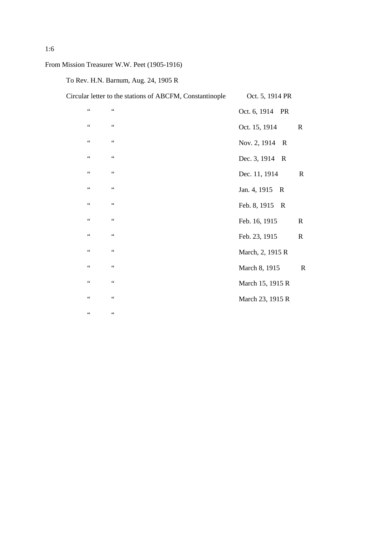From Mission Treasurer W.W. Peet (1905-1916)

To Rev. H.N. Barnum, Aug. 24, 1905 R

|                 | Circular letter to the stations of ABCFM, Constantinople | Oct. 5, 1914 PR                |             |
|-----------------|----------------------------------------------------------|--------------------------------|-------------|
| $\zeta$ $\zeta$ | $\zeta\,\zeta$                                           | Oct. 6, 1914 PR                |             |
| $\zeta$ $\zeta$ | $\zeta\,\zeta$                                           | Oct. 15, 1914                  | $\mathbf R$ |
| $\zeta\,\zeta$  | $\zeta\,\zeta$                                           | Nov. 2, 1914 R                 |             |
| $\zeta\,\zeta$  | $\zeta\,\zeta$                                           | Dec. 3, 1914<br>$\overline{R}$ |             |
| $\zeta\,\zeta$  | $\zeta\,\zeta$                                           | Dec. 11, 1914                  | $\mathbf R$ |
| $\zeta\,\zeta$  | $\zeta\,\zeta$                                           | Jan. 4, 1915 R                 |             |
| $\zeta\,\zeta$  | $\zeta\,\zeta$                                           | Feb. 8, 1915 R                 |             |
| 44              | $\zeta\,\zeta$                                           | Feb. 16, 1915                  | $\mathbf R$ |
| $\zeta\,\zeta$  | $\zeta\,\zeta$                                           | Feb. 23, 1915                  | $\mathbf R$ |
| $\zeta\,\zeta$  | $\zeta\,\zeta$                                           | March, 2, 1915 R               |             |
| $\zeta\,\zeta$  | $\zeta\,\zeta$                                           | March 8, 1915                  | $\mathbf R$ |
| $\zeta$ $\zeta$ | $\zeta\,\zeta$                                           | March 15, 1915 R               |             |
| $\zeta$ $\zeta$ | $\zeta\,\zeta$                                           | March 23, 1915 R               |             |
| 44              | $\zeta\,\zeta$                                           |                                |             |
|                 |                                                          |                                |             |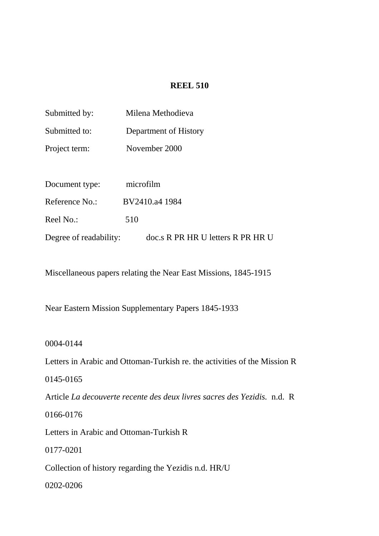#### **REEL 510**

| Submitted by:          | Milena Methodieva                 |
|------------------------|-----------------------------------|
| Submitted to:          | Department of History             |
| Project term:          | November 2000                     |
|                        |                                   |
| Document type:         | microfilm                         |
| Reference No.:         | BV2410.a4 1984                    |
| Reel No.:              | 510                               |
| Degree of readability: | doc.s R PR HR U letters R PR HR U |

Miscellaneous papers relating the Near East Missions, 1845-1915

Near Eastern Mission Supplementary Papers 1845-1933

0004-0144

Letters in Arabic and Ottoman-Turkish re. the activities of the Mission R

0145-0165

Article *La decouverte recente des deux livres sacres des Yezidis.* n.d. R

0166-0176

Letters in Arabic and Ottoman-Turkish R

0177-0201

Collection of history regarding the Yezidis n.d. HR/U

0202-0206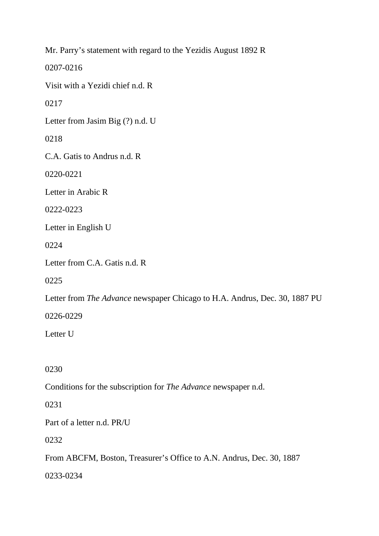Mr. Parry's statement with regard to the Yezidis August 1892 R

0207-0216

Visit with a Yezidi chief n.d. R

0217

Letter from Jasim Big (?) n.d. U

0218

C.A. Gatis to Andrus n.d. R

0220-0221

Letter in Arabic R

0222-0223

Letter in English U

0224

Letter from C.A. Gatis n.d. R

0225

Letter from *The Advance* newspaper Chicago to H.A. Andrus, Dec. 30, 1887 PU

0226-0229

Letter U

0230

Conditions for the subscription for *The Advance* newspaper n.d.

0231

Part of a letter n.d. PR/U

0232

From ABCFM, Boston, Treasurer's Office to A.N. Andrus, Dec. 30, 1887

0233-0234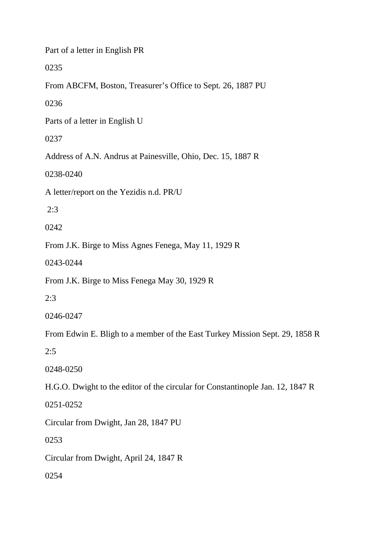Part of a letter in English PR

0235

From ABCFM, Boston, Treasurer's Office to Sept. 26, 1887 PU

0236

Parts of a letter in English U

0237

Address of A.N. Andrus at Painesville, Ohio, Dec. 15, 1887 R

0238-0240

A letter/report on the Yezidis n.d. PR/U

2:3

0242

From J.K. Birge to Miss Agnes Fenega, May 11, 1929 R

0243-0244

From J.K. Birge to Miss Fenega May 30, 1929 R

2:3

0246-0247

From Edwin E. Bligh to a member of the East Turkey Mission Sept. 29, 1858 R

2:5

0248-0250

H.G.O. Dwight to the editor of the circular for Constantinople Jan. 12, 1847 R

0251-0252

Circular from Dwight, Jan 28, 1847 PU

0253

Circular from Dwight, April 24, 1847 R

0254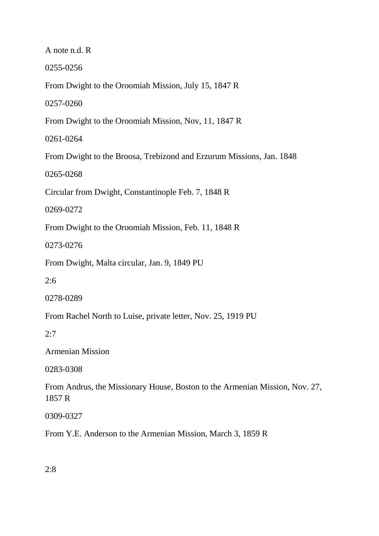0255-0256 From Dwight to the Oroomiah Mission, July 15, 1847 R 0257-0260 From Dwight to the Oroomiah Mission, Nov, 11, 1847 R 0261-0264 From Dwight to the Broosa, Trebizond and Erzurum Missions, Jan. 1848 0265-0268 Circular from Dwight, Constantinople Feb. 7, 1848 R 0269-0272 From Dwight to the Oroomiah Mission, Feb. 11, 1848 R 0273-0276 From Dwight, Malta circular, Jan. 9, 1849 PU 2:6 0278-0289 From Rachel North to Luise, private letter, Nov. 25, 1919 PU 2:7 Armenian Mission 0283-0308 From Andrus, the Missionary House, Boston to the Armenian Mission, Nov. 27, 1857 R 0309-0327

A note n.d. R

From Y.E. Anderson to the Armenian Mission, March 3, 1859 R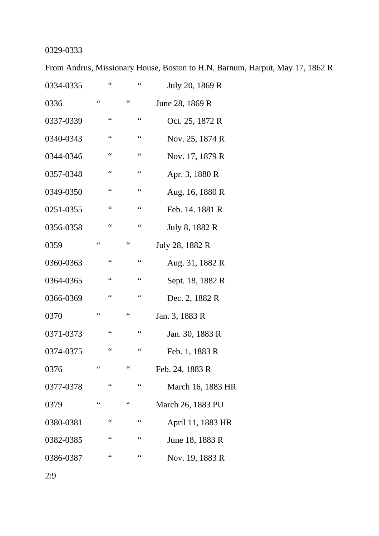# 0329-0333

From Andrus, Missionary House, Boston to H.N. Barnum, Harput, May 17, 1862 R

| 0334-0335 |                 | $\mbox{G}\,\mbox{G}$ |                               | 66                   | July 20, 1869 R   |
|-----------|-----------------|----------------------|-------------------------------|----------------------|-------------------|
| 0336      | 66              |                      | $\zeta$ $\zeta$               |                      | June 28, 1869 R   |
| 0337-0339 |                 | $\mbox{\bf 6}$       |                               | $\zeta$ $\zeta$      | Oct. 25, 1872 R   |
| 0340-0343 |                 | $\zeta$ $\zeta$      |                               | $\zeta$ $\zeta$      | Nov. 25, 1874 R   |
| 0344-0346 |                 | $\zeta$ $\zeta$      |                               | $\zeta$ $\zeta$      | Nov. 17, 1879 R   |
| 0357-0348 |                 | $\mbox{\bf 6}$       |                               | $\zeta$ $\zeta$      | Apr. 3, 1880 R    |
| 0349-0350 |                 | $\zeta$ $\zeta$      |                               | $\zeta$ $\zeta$      | Aug. 16, 1880 R   |
| 0251-0355 |                 | $\zeta$ $\zeta$      |                               | $\zeta$ $\zeta$      | Feb. 14. 1881 R   |
| 0356-0358 |                 | $\mbox{\bf 6}$       |                               | $\zeta$ $\zeta$      | July 8, 1882 R    |
| 0359      | $\zeta$ $\zeta$ |                      | $\mbox{\bf 6}$                |                      | July 28, 1882 R   |
| 0360-0363 |                 | $\zeta$ $\zeta$      |                               | $\zeta$ $\zeta$      | Aug. 31, 1882 R   |
| 0364-0365 |                 | $\zeta$ $\zeta$      |                               | $\zeta$ $\zeta$      | Sept. 18, 1882 R  |
| 0366-0369 |                 | $\zeta$ $\zeta$      |                               | $\zeta$ $\zeta$      | Dec. 2, 1882 R    |
| 0370      |                 |                      | $\mbox{\bf 6}$                |                      | Jan. 3, 1883 R    |
| 0371-0373 |                 | $\zeta$ $\zeta$      |                               | $\mbox{G}\,\mbox{G}$ | Jan. 30, 1883 R   |
| 0374-0375 |                 | $\leq$ $\leq$        |                               | $\zeta$ $\zeta$      | Feb. 1, 1883 R    |
| 0376      | $\zeta$ $\zeta$ |                      | $\mbox{\bf 6}$ $\mbox{\bf 6}$ |                      | Feb. 24, 1883 R   |
| 0377-0378 |                 | 66                   |                               | $\zeta$ $\zeta$      | March 16, 1883 HR |
| 0379      | $\zeta$ $\zeta$ |                      | $\zeta$ $\zeta$               |                      | March 26, 1883 PU |
| 0380-0381 |                 | $\mbox{\bf 6}$       |                               | $\zeta$ $\zeta$      | April 11, 1883 HR |
| 0382-0385 |                 |                      |                               | $\zeta$ $\zeta$      | June 18, 1883 R   |
| 0386-0387 |                 |                      |                               | $\zeta$ $\zeta$      | Nov. 19, 1883 R   |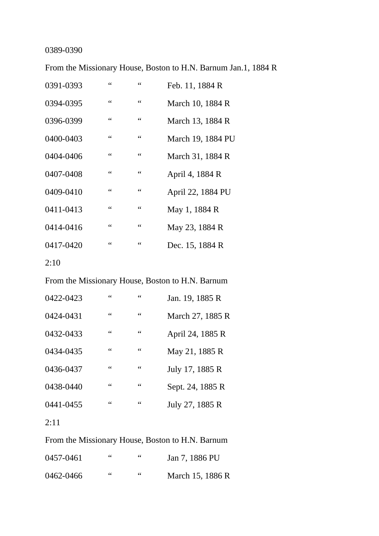# 0389-0390

From the Missionary House, Boston to H.N. Barnum Jan.1, 1884 R

| 0391-0393 | 66             | 66                   | Feb. 11, 1884 R   |
|-----------|----------------|----------------------|-------------------|
| 0394-0395 | 66             | $\mbox{\bf 6}$       | March 10, 1884 R  |
| 0396-0399 | $\mbox{\bf 6}$ | $\mbox{G}\,\mbox{G}$ | March 13, 1884 R  |
| 0400-0403 | $\mbox{\bf 6}$ | $\mbox{G}\,\mbox{G}$ | March 19, 1884 PU |
| 0404-0406 | $\mbox{\bf 6}$ | $\mbox{G}\,\mbox{G}$ | March 31, 1884 R  |
| 0407-0408 | 66             | 66                   | April 4, 1884 R   |
| 0409-0410 | $\mbox{\bf 6}$ | $\mbox{\bf 6}$       | April 22, 1884 PU |
| 0411-0413 | $\mbox{\bf 6}$ | $\zeta$ $\zeta$      | May 1, 1884 R     |
| 0414-0416 | 66             | 66                   | May 23, 1884 R    |
| 0417-0420 | 66             | 66                   | Dec. 15, 1884 R   |
|           |                |                      |                   |

From the Missionary House, Boston to H.N. Barnum

| 0422-0423 | 66 | 66 | Jan. 19, 1885 R  |
|-----------|----|----|------------------|
| 0424-0431 | 66 | 66 | March 27, 1885 R |
| 0432-0433 | 66 | 66 | April 24, 1885 R |
| 0434-0435 | 66 | 66 | May 21, 1885 R   |
| 0436-0437 | 66 | 66 | July 17, 1885 R  |
| 0438-0440 | 66 | 66 | Sept. 24, 1885 R |
| 0441-0455 | 66 | 66 | July 27, 1885 R  |
| 2:11      |    |    |                  |

From the Missionary House, Boston to H.N. Barnum

| 0457-0461 | 66 | 66 | Jan 7, 1886 PU   |
|-----------|----|----|------------------|
| 0462-0466 | 66 | 66 | March 15, 1886 R |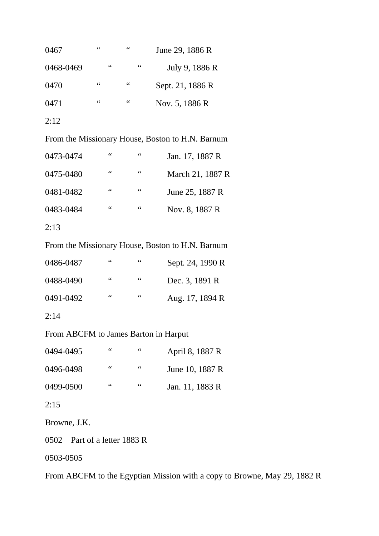| 0467      | 66 | 66 | June 29, 1886 R  |
|-----------|----|----|------------------|
| 0468-0469 | 66 | 66 | July 9, 1886 R   |
| 0470      | 66 | 66 | Sept. 21, 1886 R |
| 0471      | 66 | 66 | Nov. 5, 1886 R   |
| 2:12      |    |    |                  |

From the Missionary House, Boston to H.N. Barnum

| 0473-0474 | 66 | 66 | Jan. 17, 1887 R  |
|-----------|----|----|------------------|
| 0475-0480 | 66 | 66 | March 21, 1887 R |
| 0481-0482 | 66 | 66 | June 25, 1887 R  |
| 0483-0484 | 66 | 66 | Nov. 8, 1887 R   |
|           |    |    |                  |

2:13

From the Missionary House, Boston to H.N. Barnum

| 0486-0487 | 66 | 66 | Sept. 24, 1990 R |
|-----------|----|----|------------------|
| 0488-0490 | 66 | 66 | Dec. 3, 1891 R   |
| 0491-0492 | 66 | 66 | Aug. 17, 1894 R  |

2:14

From ABCFM to James Barton in Harput

| 0494-0495 | 66 | 66 | April 8, 1887 R |
|-----------|----|----|-----------------|
| 0496-0498 | 66 | 66 | June 10, 1887 R |
| 0499-0500 | 66 | 66 | Jan. 11, 1883 R |

2:15

Browne, J.K.

0502 Part of a letter 1883 R

0503-0505

From ABCFM to the Egyptian Mission with a copy to Browne, May 29, 1882 R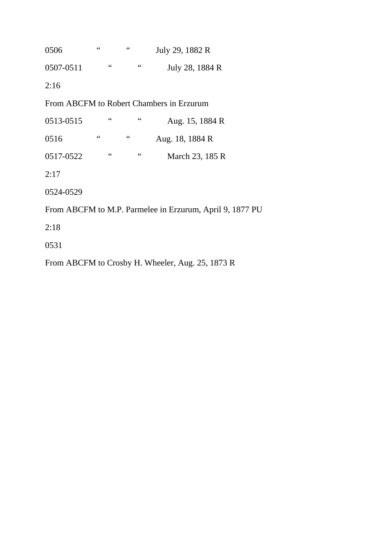0506 " " July 29, 1882 R 0507-0511 " " July 28, 1884 R 2:16 From ABCFM to Robert Chambers in Erzurum 0513-0515 " " Aug. 15, 1884 R 0516 " " Aug. 18, 1884 R 0517-0522 " " March 23, 185 R 2:17 0524-0529 From ABCFM to M.P. Parmelee in Erzurum, April 9, 1877 PU 2:18 0531

From ABCFM to Crosby H. Wheeler, Aug. 25, 1873 R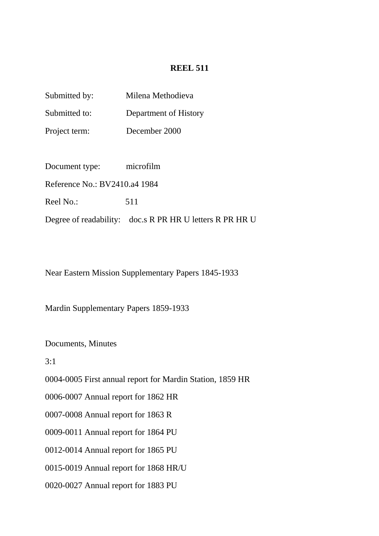### **REEL 511**

| Submitted by: | Milena Methodieva     |
|---------------|-----------------------|
| Submitted to: | Department of History |
| Project term: | December 2000         |
|               |                       |

Document type: microfilm

Reference No.: BV2410.a4 1984

Reel No.: 511

Degree of readability: doc.s R PR HR U letters R PR HR U

Near Eastern Mission Supplementary Papers 1845-1933

Mardin Supplementary Papers 1859-1933

Documents, Minutes

 $3.1$ 

0004-0005 First annual report for Mardin Station, 1859 HR

0006-0007 Annual report for 1862 HR

0007-0008 Annual report for 1863 R

0009-0011 Annual report for 1864 PU

0012-0014 Annual report for 1865 PU

0015-0019 Annual report for 1868 HR/U

0020-0027 Annual report for 1883 PU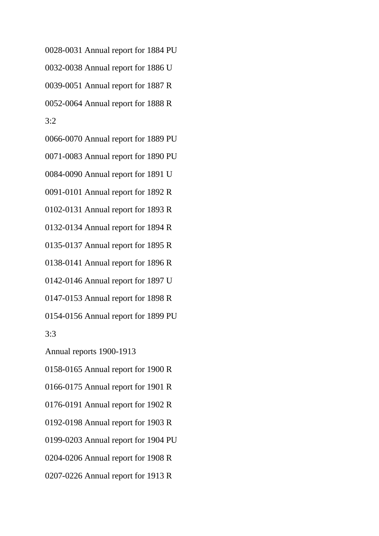0028-0031 Annual report for 1884 PU 0032-0038 Annual report for 1886 U 0039-0051 Annual report for 1887 R 0052-0064 Annual report for 1888 R 3:2

0066-0070 Annual report for 1889 PU 0071-0083 Annual report for 1890 PU 0084-0090 Annual report for 1891 U

0091-0101 Annual report for 1892 R

0102-0131 Annual report for 1893 R

0132-0134 Annual report for 1894 R

0135-0137 Annual report for 1895 R

0138-0141 Annual report for 1896 R

0142-0146 Annual report for 1897 U

0147-0153 Annual report for 1898 R

0154-0156 Annual report for 1899 PU

3:3

Annual reports 1900-1913

0158-0165 Annual report for 1900 R

0166-0175 Annual report for 1901 R

0176-0191 Annual report for 1902 R

0192-0198 Annual report for 1903 R

0199-0203 Annual report for 1904 PU

0204-0206 Annual report for 1908 R

0207-0226 Annual report for 1913 R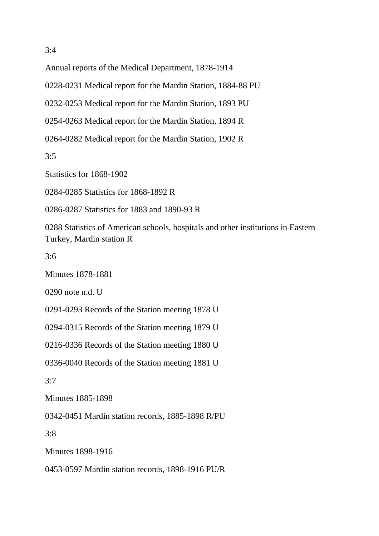Annual reports of the Medical Department, 1878-1914

0228-0231 Medical report for the Mardin Station, 1884-88 PU

0232-0253 Medical report for the Mardin Station, 1893 PU

0254-0263 Medical report for the Mardin Station, 1894 R

0264-0282 Medical report for the Mardin Station, 1902 R

3:5

Statistics for 1868-1902

0284-0285 Statistics for 1868-1892 R

0286-0287 Statistics for 1883 and 1890-93 R

0288 Statistics of American schools, hospitals and other institutions in Eastern Turkey, Mardin station R

 $3.6$ 

Minutes 1878-1881

0290 note n.d. U

0291-0293 Records of the Station meeting 1878 U

0294-0315 Records of the Station meeting 1879 U

0216-0336 Records of the Station meeting 1880 U

0336-0040 Records of the Station meeting 1881 U

3:7

Minutes 1885-1898

0342-0451 Mardin station records, 1885-1898 R/PU

3:8

Minutes 1898-1916

0453-0597 Mardin station records, 1898-1916 PU/R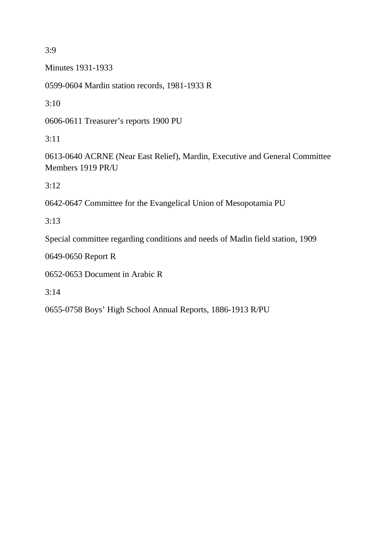3:9

Minutes 1931-1933

0599-0604 Mardin station records, 1981-1933 R

 $3:10$ 

0606-0611 Treasurer's reports 1900 PU

3:11

0613-0640 ACRNE (Near East Relief), Mardin, Executive and General Committee Members 1919 PR/U

3:12

0642-0647 Committee for the Evangelical Union of Mesopotamia PU

3:13

Special committee regarding conditions and needs of Madin field station, 1909

0649-0650 Report R

0652-0653 Document in Arabic R

3:14

0655-0758 Boys' High School Annual Reports, 1886-1913 R/PU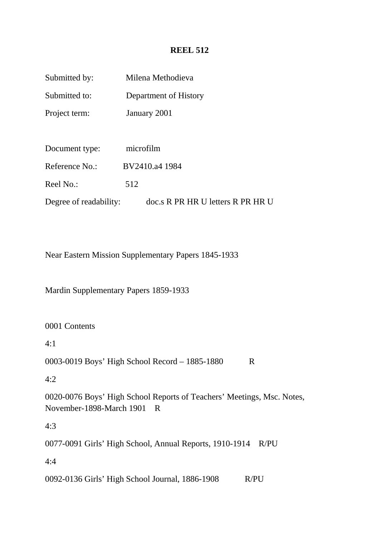## **REEL 512**

| Submitted by:          | Milena Methodieva                 |
|------------------------|-----------------------------------|
| Submitted to:          | Department of History             |
| Project term:          | January 2001                      |
|                        |                                   |
| Document type:         | microfilm                         |
| Reference No.:         | BV2410.a4 1984                    |
| Reel No.:              | 512                               |
| Degree of readability: | doc.s R PR HR U letters R PR HR U |

Near Eastern Mission Supplementary Papers 1845-1933

Mardin Supplementary Papers 1859-1933

0001 Contents

4:1

0003-0019 Boys' High School Record – 1885-1880 R

4:2

0020-0076 Boys' High School Reports of Teachers' Meetings, Msc. Notes, November-1898-March 1901 R

4:3

0077-0091 Girls' High School, Annual Reports, 1910-1914 R/PU

4:4

0092-0136 Girls' High School Journal, 1886-1908 R/PU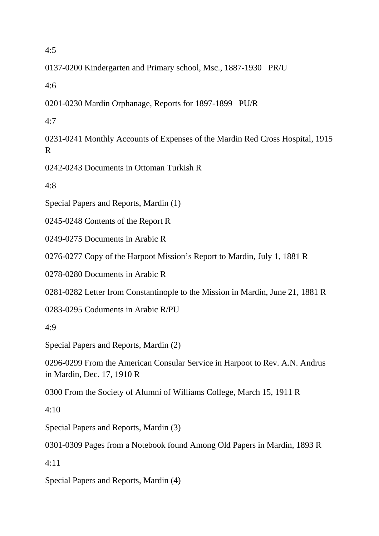4:5

0137-0200 Kindergarten and Primary school, Msc., 1887-1930 PR/U

4:6

0201-0230 Mardin Orphanage, Reports for 1897-1899 PU/R

4:7

0231-0241 Monthly Accounts of Expenses of the Mardin Red Cross Hospital, 1915 R

0242-0243 Documents in Ottoman Turkish R

4:8

Special Papers and Reports, Mardin (1)

0245-0248 Contents of the Report R

0249-0275 Documents in Arabic R

0276-0277 Copy of the Harpoot Mission's Report to Mardin, July 1, 1881 R

0278-0280 Documents in Arabic R

0281-0282 Letter from Constantinople to the Mission in Mardin, June 21, 1881 R

0283-0295 Coduments in Arabic R/PU

4:9

Special Papers and Reports, Mardin (2)

0296-0299 From the American Consular Service in Harpoot to Rev. A.N. Andrus in Mardin, Dec. 17, 1910 R

0300 From the Society of Alumni of Williams College, March 15, 1911 R

 $4.10$ 

Special Papers and Reports, Mardin (3)

0301-0309 Pages from a Notebook found Among Old Papers in Mardin, 1893 R

4:11

Special Papers and Reports, Mardin (4)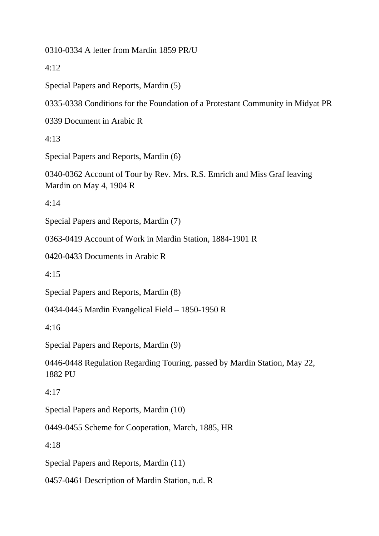0310-0334 A letter from Mardin 1859 PR/U

 $4:12$ 

Special Papers and Reports, Mardin (5)

0335-0338 Conditions for the Foundation of a Protestant Community in Midyat PR

0339 Document in Arabic R

4:13

Special Papers and Reports, Mardin (6)

0340-0362 Account of Tour by Rev. Mrs. R.S. Emrich and Miss Graf leaving Mardin on May 4, 1904 R

4:14

Special Papers and Reports, Mardin (7)

0363-0419 Account of Work in Mardin Station, 1884-1901 R

0420-0433 Documents in Arabic R

4:15

Special Papers and Reports, Mardin (8)

0434-0445 Mardin Evangelical Field – 1850-1950 R

4:16

Special Papers and Reports, Mardin (9)

0446-0448 Regulation Regarding Touring, passed by Mardin Station, May 22, 1882 PU

4:17

Special Papers and Reports, Mardin (10)

0449-0455 Scheme for Cooperation, March, 1885, HR

4:18

Special Papers and Reports, Mardin (11)

0457-0461 Description of Mardin Station, n.d. R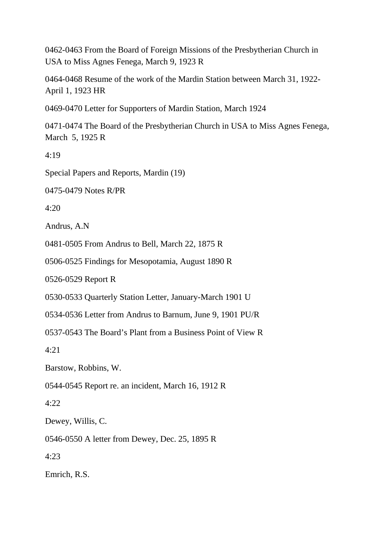0462-0463 From the Board of Foreign Missions of the Presbytherian Church in USA to Miss Agnes Fenega, March 9, 1923 R

0464-0468 Resume of the work of the Mardin Station between March 31, 1922- April 1, 1923 HR

0469-0470 Letter for Supporters of Mardin Station, March 1924

0471-0474 The Board of the Presbytherian Church in USA to Miss Agnes Fenega, March 5, 1925 R

4:19

Special Papers and Reports, Mardin (19)

0475-0479 Notes R/PR

 $4:20$ 

Andrus, A.N

0481-0505 From Andrus to Bell, March 22, 1875 R

0506-0525 Findings for Mesopotamia, August 1890 R

0526-0529 Report R

0530-0533 Quarterly Station Letter, January-March 1901 U

0534-0536 Letter from Andrus to Barnum, June 9, 1901 PU/R

0537-0543 The Board's Plant from a Business Point of View R

4:21

Barstow, Robbins, W.

0544-0545 Report re. an incident, March 16, 1912 R

4:22

Dewey, Willis, C.

0546-0550 A letter from Dewey, Dec. 25, 1895 R

4:23

Emrich, R.S.